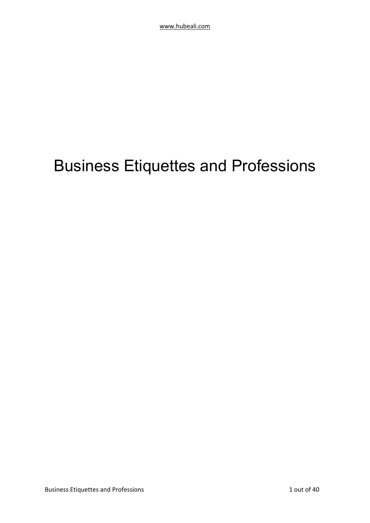# Business Etiquettes and Professions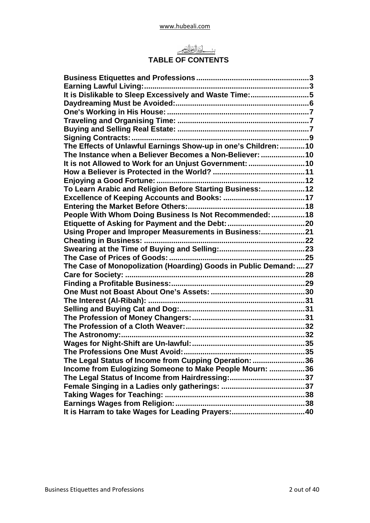

## **TABLE OF CONTENTS**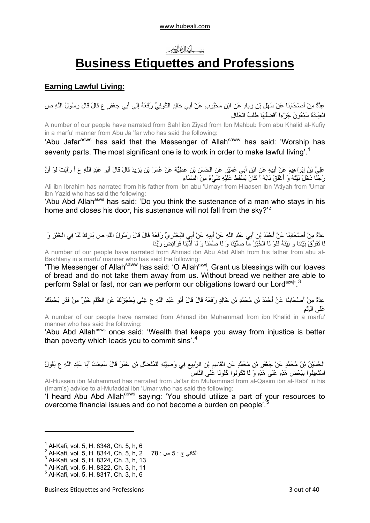## بش أنَنَأَ أَخَرَأَنَّكَمَ

## **Business Etiquettes and Professions**

## <span id="page-2-0"></span>**Earning Lawful Living:**

عِدَّةٌ مِنْ أَصْحَابِنَا عَنْ سَهْلِ بْنِ زِيَادٍ عَنِ ابْنِ مَحْبُوبٍ عَنْ أَبِي خَالِدٍ الْكُوفِيِّ رَفَعَهُ إِلَى أَبِي جَعْفَرٍ ع قَالَ قَالَ رَسُولُ اللَّهِ ص الْعِبَادَةُ سَبْعُونَ جُزْءاً أَفْضَلُهَا طَلَبُ الْحَلَالِ

A number of our people have narrated from Sahl ibn Ziyad from Ibn Mahbub from abu Khalid al-Kufiy in a marfu' manner from Abu Ja 'far who has said the following:

'Abu Jafar<sup>asws</sup> has said that the Messenger of Allah<sup>saww</sup> has said: 'Worship has seventy parts. The most significant one is to work in order to make lawful living'.<sup>[1](#page-2-1)</sup>

عَلِيُّ بْنُ إِبْرَاهِيمَ عَنْ أَبِيهِ عَنِ ابْنِ أَبِي عُمَيْرٍ عَنِ الْحَسَنِ بْنِ عَطِيَّةَ عَنْ عُمَرَ بْنِ يَزِيدَ قَالَ قَالَ أَبُو عَبْدِ اللَّهِ ع أَ رَأَيْتَ لَوْ أَنَّ حَقِيَّةٍ بَيْنَ بَيْتِهِمْ كَنْ بَيْتِهَا عَنْ بَيْتِهِ مِنْ بَيْتِهِمْ مَثْنَ بِيَنْ مِنْ السَّمَاءِ<br>رَجُلًا دَخَلَ بَيْتَهُ وَ أَعْلَقَ بَابَهُ أَ كَانَ يَسْقُطُ عَلَيْهِ شَيْءٌ مِنَ السَّمَاءِ

Ali ibn Ibrahim has narrated from his father from ibn abu 'Umayr from Hiaasen ibn 'Atiyah from 'Umar ibn Yazid who has said the following:

'Abu Abd Allah<sup>asws</sup> has said: 'Do you think the sustenance of a man who stavs in his home and closes his door, his sustenance will not fall from the sky?<sup>'[2](#page-2-2)</sup>

عِدَّةٌ مِنْ أَصْحَابِنَا عَنْ أَحْمَدَ بْنِ أَبِي عَبْدِ اللَّهِ عَنْ أَبِيهِ عَنْ أَبِي الْبَخْتَرِيِّ رَفَعَهُ قَالَ قَالَ رَسُولُ اللَّهِ ص بَارِكْ لَنَا فِي الْخُبْزِ وَ لَا تُفَرِّقْ بَيْنَنَا وَ بَيْنَهُ فَلَوْ لَا الْخُبْزُ مَا صَلَّيْنَا وَ لَا صُمْنَا وَ لَا أَدَّيْنَا فَرَائِضَ رَبِّنَا

A number of our people have narrated from Ahmad ibn Abu Abd Allah from his father from abu al-Bakhtariy in a marfu' manner who has said the following:

'The Messenger of Allah<sup>saww</sup> has said: 'O Allah<sup>azwj</sup>, Grant us blessings with our loaves of bread and do not take them away from us. Without bread we neither are able to perform Salat or fast, nor can we perform our obligations toward our Lord<sup>azwj, [3](#page-2-3)</sup>

عِدَّةٌ مِنْ أَصْحَابِنَا عَنْ أَحْمَدَ بْنِ مُحَمَّدِ بْنِ خَالِدٍ رَفَعَهُ قَالَ قَالَ أَبُو عَبْدِ اللَّهِ ع غِنًى يَحْجُزُكَ عَنِ الظُّلْمِ خَيْرٌ مِنْ فَقْرٍ يَحْمِلُكَ عَلَى الْإِثْمِ

A number of our people have narrated from Ahmad ibn Muhammad from ibn Khalid in a marfu' manner who has said the following:

'Abu Abd Allah<sup>asws</sup> once said: 'Wealth that keeps you away from injustice is better than poverty which leads you to commit sins'. $4$ 

الْحُسَيْنُ بْنُ مُحَمَّدٍ عَنْ جَعْفَرِ بْنِ مُحَمَّدٍ عَنِ الْقَاسِمِ بْنِ الرَّبِيعِ فِي وَصِيَّتِهِ لِلْمُفَضَّلِ بْنِ عُمَرَ قَالَ سَمِعْتُ أَبَا عَبْدِ اللَّهِ ع يَقُولُ اسْتَعِينُوا بِبَعْضِ هَذِهِ عَلَى هَذِهِ وَ لَا تَكُونُوا آُلُولًا عَلَى النَّاسِ

AI-Hussein ibn Muhammad has narrated from Ja'far ibn Muhammad from al-Qasim ibn al-Rabi' in his (Imam's) advice to al-Mufaddal ibn 'Umar who has said the following:

'I heard Abu Abd Allahasws saying: 'You should utilize a part of your resources to overcome financial issues and do not become a burden on people'.[5](#page-2-5)

<span id="page-2-1"></span><sup>1</sup> Al-Kafi, vol. 5, H. 8348, Ch. 5, h, 6

<span id="page-2-2"></span><sup>2</sup> Al-Kafi, vol. 5, H. 8344, Ch. 5, h, 2 78 : <sup>ص</sup> 5 : <sup>ج</sup> الكافي <sup>3</sup>

<span id="page-2-3"></span> $3$  Al-Kafi, vol. 5, H. 8324, Ch. 3, h, 13

<span id="page-2-4"></span><sup>4</sup> Al-Kafi, vol. 5, H. 8322, Ch. 3, h, 11

<span id="page-2-5"></span><sup>5</sup> Al-Kafi, vol. 5, H. 8317, Ch. 3, h, 6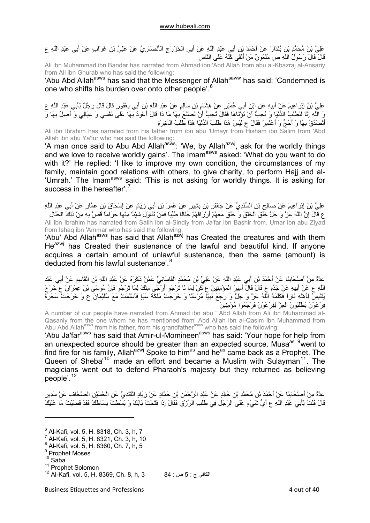عَلِيُّ بْنُ مُحَمَّدِ بْنِ بُنْدَارَ عَنْ أَحْمَدَ بْنِ أَبِي عَبْدِ اللَّهِ عَنْ أَبِي الْخَزْرَجِ الْأَنْصَارِيِّ عَنْ عَلِيِّ بْنِ غُرَابٍ عَنْ أَبِي عَبْدِ اللَّهِ ع قَالَ قَالَ رَسُولُ اللَّهِ ص مَلْعُونٌ مَنْ أَلْقَى آَلَّهُ عَلَى النَّاسِ

Ali ibn Muhammad ibn Bandar has narrated from Ahmad ibn 'Abd Allah from abu al-Kbazraj al-Ansariy from Ali ibn Ghurab who has said the following:

'Abu Abd Allah<sup>asws</sup> has said that the Messenger of Allah<sup>saww</sup> has said: 'Condemned is one who shifts his burden over onto other people'.[6](#page-3-0)

عَلِيُّ بْنُ إِبْرَاهِيمَ عَنْ أَبِيهِ عَنِ ابْنِ أَبِي عُمَيْرٍ عَنْ هِشَامِ بْنِ سَالِمٍ عَنْ عَبْدِ اللَّهِ بْنِ أَبِي يَعْفُورٍ قَالَ قَالَ رَجُلٌ لِأَبِي عَبْدِ اللَّهِ ع وَ اللَّهِ إِنَّا لَنَطْلُبُ الدُّنْيَا وَ نُحِبُّ أَنْ نُؤْتَاهَا فَقَالَ تُحِبُّ أَنْ تَصْنَعَ بِهَا مَا ذَا قَالَ أَعُودُ بِّهَا عَلَى نَفْسِي وَ عِيَالِي وَ أَصِلُ بِهَا وَ أَتَصَدَّقُ بِهَا وَ أَحُجُّ وَ أَعْتَمِرُ فَقَالَ ع لَيْسَ هَذَا طَلَبَ الدُّنْيَا هَذَا طَلَبُ الْآخِرَةِ

Ali ibn Ibrahim has narrated from his father from ibn abu 'Umayr from Hisham ibn Salim from 'Abd Allah ibn abu Ya'fur who has said the following:

'A man once said to Abu Abd Allah<sup>asws</sup>: 'We, by Allah<sup>azwj</sup>, ask for the worldly things and we love to receive worldly gains'. The Imam<sup>asws</sup> asked: 'What do you want to do with it?' He replied: 'I like to improve my own condition, the circumstances of my family, maintain good relations with others, to give charity, to perform Hajj and al- 'Umrah.' The Imam<sup>asws</sup> said: 'This is not asking for worldly things. It is asking for success in the hereafter<sup>'</sup>.<sup>[7](#page-3-1)</sup>

عَلِيُّ بْنُ إِبْرَاهِيمَ عَنْ صَالِحِ بْنِ السِّنْدِيِّ عَنْ جَعْفَرِ بْنِ بَشِيرٍ عَنْ عُمَرَ بْنِ أَبِي زِيَادٍ عَنْ إِسْحَاقَ بْنِ عَمَّارٍ عَنْ أَبِي عَبْدِ اللَّهِ ع قَالَ إِنَّ اللَّهَ عَزَّ وَ جَلَّ خَلَقَ الْخَلْقَ وَ خَلَقَ مَعَهُمْ أَرْزَاقَهُمْ حَلَالًا طَيِّباً فَمَنْ تَنَاوَلَ شَيْئاً مِنْهَا حَرَاماً قُصَّ بِهِ مِنْ ذَلِكَ الْحَلَالِ Ali ibn Ibrahim has narrated from Salih ibn al-Sindiy from Ja'far ibn Bashir from. Umar ibn abu Ziyad from Ishaq ibn 'Ammar who has said the following:

'Abu' Abd Allah<sup>asws</sup> has said that Allah<sup>azwj</sup> has Created the creatures and with them  $He^{azwj}$  has Created their sustenance of the lawful and beautiful kind. If anyone acquires a certain amount of unlawful sustenance, then the same (amount) is deducted from his lawful sustenance'.<sup>[8](#page-3-2)</sup>

عِدَّةٌ مِنْ أَصْحَابِنَا عَنْ أَحْمَدَ بْنِ أَبِي عَبْدِ اللَّهِ عَنْ عَلِيِّ بْنِ مُحَمَّدٍ الْقَاسَانِيِّ عَمَّنْ ذَآَرَهُ عَنْ عَبْدِ اللَّهِ بْنِ الْقَاسِمِ عَنْ أَبِي عَبْدِ اللَّهِ ع عَنْ أَبِيهِ عَنْ جَدِّهِ ع قَالَ قَالَ أَمِيرُ الْمُؤْمِنِينَ ع آُنْ لِمَا لَا تَرْجُو أَرْجَى مِنْكَ لِمَا تَرْجُو فَإِنَّ مُوسَى بْنَ عِمْرَانَ ع خَرَجَ يَقْتَبِسُ لِأَهْلِهِ نَاراً فَكَلَّمَهُ اللَّهُ عَزَّ وَ جَلَّ وَ رَجَعَ نَبِيّاً مُرْسَلًا وَ خَرَجَتْ مَلِكَةُ سَبَإٍ فَأَسْلَمَتْ مَعَ سُلَيْمَانَ ع وَ خَرَجَتْ سَحَرَةُ فِرْعَوْنَ يَطْلُبُونَ الْعِزَّ لِفِرْعَوْنَ فَرَجَعُوا مُؤْمِنِينَ

A number of our people have narrated from Ahmad ibn abu ' Abd Allah from Ali ibn Muhammad al-Qasaniy from the one whom he has mentioned from' Abd Allah ibn al-Qasim ibn Muhammad from Abu Abd Allah<sup>asws</sup> from his father, from his grandfather<sup>asws</sup> who has said the following:

'Abu Ja'farasws has said that Amir-ul-Momineenasws has said: 'Your hope for help from an unexpected source should be greater than an expected source. Musa<sup>as [9](#page-3-3)</sup>went to find fire for his family, Allah<sup>azwj</sup> Spoke to him<sup>as</sup> and he<sup>as</sup> came back as a Prophet. The Queen of Sheba'<sup>[10](#page-3-4)</sup> made an effort and became a Muslim with Sulayman<sup>[11](#page-3-5)</sup>. The magicians went out to defend Pharaoh's majesty but they returned as believing people'.[12](#page-3-6)

عِدَّةٌ مِنْ أَصْحَابِنَا عَنْ أَحْمَدَ بْنِ مُحَمَّدِ بْنِ خَالِدٍ عَنْ عَبْدِ الرَّحْمَنِ بْنِ حَمَّادٍ عَنْ زِيَادٍ الْقَنْدِيِّ عَنِ الْحُسَيْنِ الصَّحَّافِ عَنْ سَدِيرٍ قَالَ قُلْتُ لِأَبِي عَبْدِ اللَّهِ ع أَيُّ شَيْءٍ عَلَى الرَّجُلِ فِي طَلَبِ الرِّزْقِ فَقَالَ إِذَا فَتَحْتَ بَابَكَ وَ بَسَطْتَ بِسَاطَكَ فَقَدْ قَضَيْتَ مَا عَلَيْكَ

<span id="page-3-0"></span><sup>6</sup> Al-Kafi, vol. 5, H. 8318, Ch. 3, h, 7

<span id="page-3-1"></span><sup>7</sup> Al-Kafi, vol. 5, H. 8321, Ch. 3, h, 10

<span id="page-3-2"></span><sup>8</sup> Al-Kafi, vol. 5, H. 8360, Ch. 7, h, 5

<sup>&</sup>lt;sup>9</sup> Prophet Moses

<span id="page-3-5"></span>

<span id="page-3-4"></span><span id="page-3-3"></span> $10^{10}$  Saba<br> $11$  Prophet Solomon

<span id="page-3-6"></span> $^{12}$  Al-Kafi, vol. 5, H. 8369, Ch. 8, h, 3  $84:$  ص: 5  $\pm$  5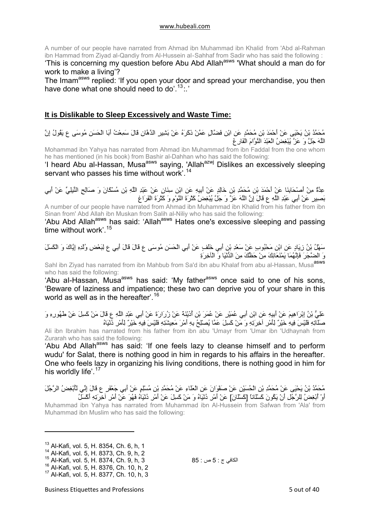<span id="page-4-0"></span>A number of our people have narrated from Ahmad ibn Muhammad ibn Khalid from 'Abd al-Rahman ibn Hammad from Ziyad al-Qandiy from Al-Hussein al-Sahhaf from Sadir who has said the following :

'This is concerning my question before Abu Abd Allahasws 'What should a man do for work to make a living'?

The Imam<sup>asws</sup> replied: 'If you open your door and spread your merchandise, you then have done what one should need to do'.<sup>[13](#page-4-1)</sup>:

## **It is Dislikable to Sleep Excessively and Waste Time:**

مُحَمَّدُ بْنُ يَحْيَى عَنْ أَحْمَدَ بْنِ مُحَمَّدٍ عَنِ ابْنِ فَضَّالٍ عَمَّنْ ذَآَرَهُ عَنْ بَشِيرٍ الدَّهَّانِ قَالَ سَمِعْتُ أَبَا الْحَسَنِ مُوسَى ع يَقُولُ إِنَّ اللَّهَ جَلَّ وَ عَزَّ يُبْغِضُ الْعَبْدَ النَّوَّامَ الْفَارِغَ

Mohammad ibn Yahya has narrated from Ahmad ibn Muhammad from ibn Faddal from the one whom he has mentioned (in his book) from Bashir al-Dahhan who has said the following:

'I heard Abu al-Hassan, Musa<sup>asws</sup> saying, 'Allah<sup>azwj</sup> Dislikes an excessively sleeping servant who passes his time without work'.<sup>[14](#page-4-2)</sup>

عِدَّةٌ مِنْ أَصْحَابِنَا عَنْ أَحْمَدَ بْنِ مُحَمَّدِ بْنِ خَالِدٍ عَنْ أَبِيهِ عَنِ ابْنِ سِنَانٍ عَنْ عَبْدِ اللَّهِ بْنِ مُسْكَانَ وَ صَالِحٍ النِّيلِيِّ عَنْ أَبِي بَصِيرٍ عَنْ أَبِي عَبْدِ اللَّهِ ع قَالَ إِنَّ اللَّهَ عَزَّ وَ جَلَّ يُبْغِضُ آَثْرَةَ النَّوْمِ وَ آَثْرَةَ الْفَرَاغِ

A number of our people have narrated from Ahmad ibn Muhammad ibn Khalid from his father from ibn Sinan from' Abd Allah ibn Muskan from Salih al-Niliy who has said the following:

'Abu Abd Allahasws has said: 'Allahasws Hates one's excessive sleeping and passing time without work'.<sup>[15](#page-4-3)</sup>

سَهْلُ بْنُ زِيَادٍ عَنِ ابْنِ مَحْبُوبٍ عَنْ سَعْدِ بْنِ أَبِي خَلَفٍ عَنْ أَبِي الْحَسَنِ مُوسَى ع قَالَ قَالَ أَبِي ع لِبَعْضِ وُلْدِهِ إِيَّاكَ وَ الْكَسَلَ وَ الضَّجَرَ فَإِنَّهُمَا يَمْنَعَانِكَ مِنْ حَظِّكَ مِنَ الدُّنْيَا وَ الْآخِرَةِ

Sahl ibn Ziyad has narrated from ibn Mahbub from Sa'd ibn abu Khalaf from abu al-Hassan, Musa<sup>asws</sup> who has said the following:

Abu al-Hassan, Musa<sup>asws</sup> has said: 'My father<sup>asws</sup> once said to one of his sons, 'Beware of laziness and impatience; these two can deprive you of your share in this world as well as in the hereafter<sup>' [16](#page-4-4)</sup>

عَلِيُّ بْنُ إِبْرَاهِيمَ عَنْ أَبِيهِ عَنِ ابْنِ أَبِي عُمَيْرٍ عَنْ عُمَرَ بْنِ أُدَيْنَةَ عَنْ زُرَارَةَ عَنْ أَبِي عَبْدِ اللَّهِ ع قَالَ مَنْ كَسِلَ عَنْ طَهُورِهِ وَ صَلَاتِهِ فَلَيْسَ فِيهِ خَيْرٌ لِأَمْرِ آخِرَتِهِ وَ مَنْ آَسِلَ عَمَّا يُصْلِحُ بِهِ أَمْرَ مَعِيشَتِهِ فَلَيْسَ فِيهِ خَيْرٌ لِأَمْرِ دُنْيَاهُ

Ali ibn Ibrahim has narrated from his father from ibn abu 'Umayr from 'Umar ibn 'Udhaynah from Zurarah who has said the following:

'Abu Abd Allah<sup>asws</sup> has said: 'If one feels lazy to cleanse himself and to perform wudu' for Salat, there is nothing good in him in regards to his affairs in the hereafter. One who feels lazy in organizing his living conditions, there is nothing good in him for his worldly life'.<sup>[17](#page-4-5)</sup>

مُحَمَّدُ بْنُ يَحْيَى عَنْ مُحَمَّدِ بْنِ الْحُسَيْنِ عَنْ صَفْوَانَ عَنِ الْعَلَاءِ عَنْ مُحَمَّدِ بْنِ مُسْلِمٍ عَنْ أَبِي جَعْفَرٍ ع قَالَ إِنِّي لَأُبْغِضُ الرَّجُلَ أَوْ أُبْغِضُ لِلرَّجُلِ أَنْ يَكُونَ كَسْلَاناً [كَسْلَانَ] عَنْ أَمْرِ دُنْيَاهُ وَ مَنْ كَسِلَ عَنْ أَمْرِ دُنْيَاهُ فَهُوَ عَنْ أَمْرِ آخِرَتِهِ أَكْسَلُ

Muhammad ibn Yahya has narrated from Muhammad ibn Al-Hussein from Safwan from 'Ala' from Muhammad ibn Muslim who has said the following:

<span id="page-4-1"></span><sup>&</sup>lt;sup>13</sup> Al-Kafi, vol. 5, H, 8354, Ch, 6, h, 1

<span id="page-4-2"></span><sup>&</sup>lt;sup>14</sup> Al-Kafi, vol. 5, H. 8373, Ch. 9, h, 2<br><sup>15</sup> Al-Kafi, vol. 5, H. 8374, Ch. 9, h, 3

<span id="page-4-3"></span> $^{15}$  Al-Kafi, vol. 5, H. 8374, Ch. 9, h, 3 85 : حص : 85  $\sim$  16 Al-Kafi. vol. 5. H. 8376, Ch. 10, h, 2

<span id="page-4-5"></span><span id="page-4-4"></span><sup>&</sup>lt;sup>17</sup> Al-Kafi, vol. 5, H. 8377, Ch. 10, h, 3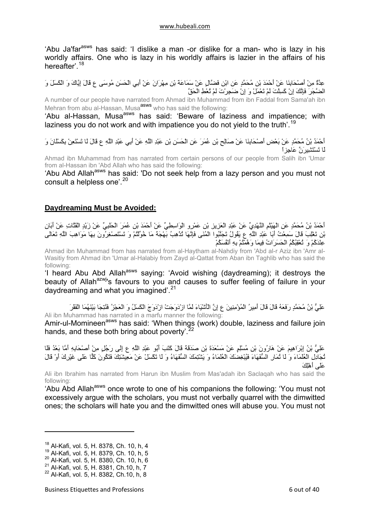<span id="page-5-0"></span>'Abu Ja'far<sup>asws</sup> has said: 'I dislike a man -or dislike for a man- who is lazy in his worldly affairs. One who is lazy in his worldly affairs is lazier in the affairs of his hereafter'.<sup>[18](#page-5-1)</sup>

عِدَّةٌ مِنْ أَصْحَابِنَا عَنْ أَحْمَدَ بْنِ مُحَمَّدٍ عَنِ ابْنِ فَضَّالٍ عَنْ سَمَاعَةَ بْنِ مِهْرَانَ عَنْ أَبِي الْحَسَنِ مُوسَى ع قَالَ إِيَّاكَ وَ الْكَسَلَ وَ الضَّجَرَ فَإِنَّكَ إِنْ آَسِلْتَ لَمْ تَعْمَلْ وَ إِنْ ضَجِرْتَ لَمْ تُعْطِ الْحَقَّ

A number of our people have narrated from Ahmad ibn Muhammad from ibn Faddal from Sama'ah ibn Mehran from abu al-Hassan, Musa<sup>asws</sup> who has said the following:

'Abu al-Hassan, Musa<sup>asws</sup> has said: 'Beware of laziness and impatience; with laziness you do not work and with impatience you do not yield to the truth'.<sup>[19](#page-5-2)</sup>

أَحْمَدُ بْنُ مُحَمَّدٍ عَنْ بَعْضِ أَصْحَابِنَا عَنْ صَالِحٍ بْنِ عُمَرَ عَنِ الْحَسَنِ بْنِ عَبْدِ اللَّهِ عَنْ أَبِي عَبْدِ اللَّهِ ع قَالَ لَا تَسْتَعِنْ بِكَسْلَانَ وَ لَا تَسْتَشِيرَنَّ عَاجِزاً

Ahmad ibn Muhammad from has narrated from certain persons of our people from Salih ibn 'Umar from al-Hassan ibn 'Abd Allah who has said the following:

'Abu Abd Allah<sup>asws</sup> has said: 'Do not seek help from a lazy person and you must not consult a helpless one'.<sup>[20](#page-5-3)</sup>

## **Daydreaming Must be Avoided:**

أَحْمَدُ بْنُ مُحَمَّدٍ عَنِ الْهَيْثَمِ النَّهْدِيِّ عَنْ عَبْدِ الْعَزِيزِ بْنِ عَمْرٍو الْوَاسِطِيِّ عَنْ أَحْمَدَ بْنِ عُمَرَ الْحَلَبِيِّ عَنْ زَيْدٍ الْقَتَّاتِ عَنْ أَبَانِ بْنِ تَغْلِبَ قَالَ سَمِعْتُ أَبَا عَبْدِ اللَّهِ عَ يَقُولُ تَجَنَّبُوا الْمُنَى فَإِنَّهَا تُذْهِبُ بَهْجَةً مَا خُوَّلْتُمْ وَ تَسْتَصْغِرُونَ بِهَا مَوَاهِبَ اللَّهِ تَعَالَى<br>بْنِ تَغْلِبَ قَالَ سَمِعْتُ أَبَا عَبْدِ عِنْدَآُمْ وَ تُعْقِبُكُمُ الْحَسَرَاتُ فِيمَا وَهَّمْتُمْ بِهِ أَنْفُسَكُمْ

Ahmad ibn Muhammad from has narrated from al-Haytham al-Nahdiy from 'Abd al-r Aziz ibn 'Amr al-Wasitiy from Ahmad ibn 'Umar al-Halabiy from Zayd al-Qattat from Aban ibn Taghlib who has said the following:

'I heard Abu Abd Allah<sup>asws</sup> saying: 'Avoid wishing (daydreaming); it destroys the beauty of Allah<sup>azwj</sup>'s favours to you and causes to suffer feeling of failure in your daydreaming and what you imagined'.<sup>[21](#page-5-4)</sup>

عَلِيُّ بْنُ مُحَمَّدٍ رَفَعَهُ قَالَ قَالَ أَمِيرُ الْمُؤْمِنِينَ ع إِنَّ الْأَشْيَاءَ لَمَّا ازْدَوَجَتْ ازْدَوَجَ الْكَسَلُ وَ الْعَجْزُ فَنُتِجَا بَيْنَهُمَا الْفَقْرَ Ali ibn Muhammad has narrated in a marfu manner the following:

Amir-ul-Momineen<sup>asws</sup> has said: 'When things (work) double, laziness and failure join hands, and these both bring about poverty'.<sup>[22](#page-5-5)</sup>

عَلِيُّ بْنُ إِبْرَاهِيمَ عَنْ هَارُونَ بْنِ مُسْلِمٍ عَنْ مَسْعَدَةَ بْنِ صَدَقَةَ قَالَ كَتَبَ أَبُو عَبْدِ اللَّهِ ع إِلَى رَجُلٍ مِنْ أَصْحَابِهِ أَمَّا بَعْدُ فَلَا تِ بَيْنِ الْعُلَمَاءَ وَ لَا تُمَارِ السُّفَهَاءَ فَيُبْغِضَكَ الْعُلَمَاءُ وَ يَشْتِمَكَ السُّفَهَاءُ وَ لَا تَكْسَلْ عَنْ مَعِيشَتِكَ فَتَكُونَ كَلَّا عَلَى غَيْرِكَ أَوْ قَالَ عَلَى أَهْلِكَ

Ali ibn Ibrahim has narrated from Harun ibn Muslim from Mas'adah ibn Saclaqah who has said the following:

'Abu Abd Allah<sup>asws</sup> once wrote to one of his companions the following: 'You must not excessively argue with the scholars, you must not verbally quarrel with the dimwitted ones; the scholars will hate you and the dimwitted ones will abuse you. You must not

<span id="page-5-1"></span><sup>&</sup>lt;sup>18</sup> Al-Kafi, vol. 5, H, 8378, Ch, 10, h, 4

<sup>19</sup> Al-Kafi, vol. 5, H. 8379, Ch. 10, h, 5

<span id="page-5-3"></span><span id="page-5-2"></span><sup>20</sup> Al-Kafi, vol. 5, H. 8380, Ch. 10, h, 6

<span id="page-5-4"></span><sup>21</sup> Al-Kafi, vol. 5, H. 8381, Ch.10, h, 7

<span id="page-5-5"></span><sup>22</sup> Al-Kafi, vol. 5, H. 8382, Ch.10, h, 8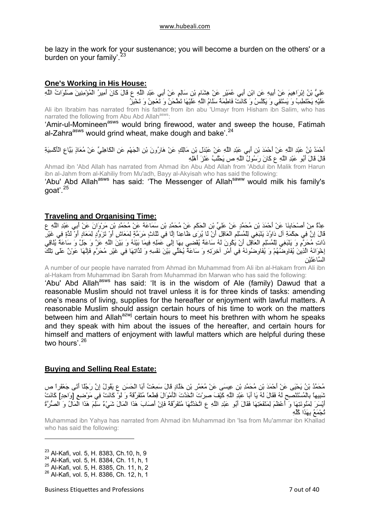<span id="page-6-0"></span>be lazy in the work for your sustenance; you will become a burden on the others' or a burden on your family'.<sup>[23](#page-6-1)</sup>

## **One's Working in His House:**

عَلِيُّ بْنُ إِبْرَاهِيمَ عَنْ أَبِيهِ عَنِ ابْنِ أَبِي عُمَيْرٍ عَنْ هِشَامِ بْنِ سَالِمٍ عَنْ أَبِي عَبْدِ اللَّهِ ع قَالَ كَانَ أَمِيرُ الْمُؤْمِنِينَ صَلَوَاتُ اللَّهِ عَلَيْهِ يَحْتَطِبُ وَ يَسْتَقِي وَ يَكْنُسُ وَ آَانَتْ فَاطِمَةُ سَلَامُ اللَّهِ عَلَيْهَا تَطْحَنُ وَ تَعْجِنُ وَ تَخْبِزُ Ali ibn Ibrabim has narrated from his father from ibn abu 'Umayr from Hisham ibn Salim, who has narrated the following from Abu Abd Allah<sup>asws</sup>:

'Amir-ul-Momineen<sup>asws</sup> would bring firewood, water and sweep the house, Fatimah al-Zahra $^{asws}$  would grind wheat, make dough and bake'.<sup>[24](#page-6-2)</sup>

أَحْمَدُ بْنُ عَبْدِ اللَّهِ عَنْ أَحْمَدَ بْنِ أَبِي عَبْدِ اللَّهِ عَنْ عَبْدَلِ بْنِ مَالِكٍ عَنْ هَارُونَ بْنِ الْجَهْمِ عَنِ الْكَاهِلِيِّ عَنْ مُعَاذٍ بَيَّاعِ الْأَآْسِيَةِ قَالَ قَالَ أَبُو عَبْدِ اللَّهِ ع آَانَ رَسُولُ اللَّهِ ص يَحْلُبُ عَنْزَ أَهْلِهِ

Ahmad ibn 'Abd Allah has narrated from Ahmad ibn Abu Abd Allah from 'Abdul ibn Malik from Harun ibn al-Jahm from al-Kahiliy from Mu'adh, Bayy al-Akyisah who has said the following:

'Abu' Abd Allahasws has said: 'The Messenger of Allahsaww would milk his family's aoat'. $25$ 

## **Traveling and Organising Time:**

عِدَّةٌ مِنْ أَصْحَابِنَا عَنْ أَحْمَدَ بْنِ مُحَمَّدٍ عَنْ عَلِيِّ بْنِ الْحَكَمِ عَنْ مُحَمَّدِ بْنِ سَمَاعَةَ عَنْ مُحَمَّدِ بْنِ مَرْوَانَ عَنْ أَبِي عَبْدِ اللَّهِ ع قَالَ إِنَّ فِي حِكْمَةِ آلِ دَاوُدَ يَنْبَغِي لِلْمُسْلِمِ الْعَاقِلِ أَنْ لَا يُرَى ظَاعِناً إِلَّا فِي ثَلَاثٍ مَرَمَّةٍ لِمَعَاشٍ أَوْ تَزَوُّدٍ لِمَعَادٍ أَوْ لَذَّةٍ فِي غَيْرِ ذَاتِ مُحَرَّمٍ وَ يَنْبَغِي لِلْمُسْلِمِ الْعَاقِلِ أَنْ يَكُونَ لَهُ سَاعَةٌ يُفْضِي بِهَا إِلَى عَمَلِهِ فِيمَا بَيْنَهُ وَ بَيْنَ اللَّهِ عَزَّ وَ جَلَّ وَ سَاعَةٌ يُلَاقِي إِخْوَانَهُ الَّذِينَ يُفَاوِضُهُمْ وَ يُفَاوِضُونَهُ فِي أَمْرِ آخِرَتِهِ وَ سَاعَةٌ يُخَلِّي بَيْنَ نَفْسِهِ وَ لَذَّاتِهَا فِي غَيْرِ مُحَرَّمٍ فَإِنَّهَا عَوْنٌ عَلَى تِلْكَ السَّاعَتَيْنِ

A number of our people have narrated from Ahmad ibn Muhammad from Ali ibn al-Hakam from Ali ibn al-Hakam from Muhammad ibn Sarah from Muhammad ibn Marwan who has said the following:

'Abu' Abd Allah<sup>asws</sup> has said: 'It is in the wisdom of Ale (family) Dawud that a reasonable Muslim should not travel unless it is for three kinds of tasks: amending one's means of living, supplies for the hereafter or enjoyment with lawful matters. A reasonable Muslim should assign certain hours of his time to work on the matters between him and Allah<sup>azwj</sup> certain hours to meet his brethren with whom he speaks and they speak with him about the issues of the hereafter, and certain hours for himself and matters of enjoyment with lawful matters which are helpful during these two hours'.<sup>[26](#page-6-4)</sup>

## **Buying and Selling Real Estate:**

مُحَمَّدُ بْنُ يَحْيَى عَنْ أَحْمَدَ بْنِ مُحَمَّدِ بْنِ عِيسَى عَنْ مُعَمَّرِ بْنِ خَلَّادٍ قَالَ سَمِعْتُ أَبَا الْحَسَنِ ع يَقُولُ إِنَّ رَجُلًا أَتَى جَعْفَراً ص شَبِيهاً بِالْمُسْتَنْصِحِ لَهُ فَقَالَ لَهُ يَا أَبَا عَبْدِ اللَّهِ آَيْفَ صِرْتَ اتَّخَذْتَ الْأَمْوَالَ قِطَعاً مُتَفَرِّقَةً وَ لَوْ آَانَتْ فِي مَوْضِعٍ [وَاحِدٍ] آَانَتْ أَيْسَرَ لِمَئُونَتِهَا وَ أَعْظَمَ لِمَنْفَعَتِهَا فَقَالَ أَبُو عَبْدِ اللَّهِ ع اتَّخَذْتُهَا مُتَفَرِّقَةً فَإِنْ أَصَابَ هَذَا الْمَالَ شَيْءٌ سَلِمَ هَذَا الْمَالُ وَ الصُّرَّةُ تُجْمَعُ بِهَذَا آُلِّهِ

Muhammad ibn Yahya has narrated from Ahmad ibn Muhammad ibn 'Isa from Mu'ammar ibn Khallad who has said the following:

<span id="page-6-1"></span><sup>23</sup> Al-Kafi, vol. 5, H. 8383, Ch.10, h, 9

<span id="page-6-2"></span><sup>24</sup> Al-Kafi, vol. 5, H. 8384, Ch. 11, h, 1

<span id="page-6-3"></span><sup>25</sup> Al-Kafi, vol. 5, H. 8385, Ch. 11, h, 2

<span id="page-6-4"></span><sup>26</sup> Al-Kafi, vol. 5, H. 8386, Ch. 12, h, 1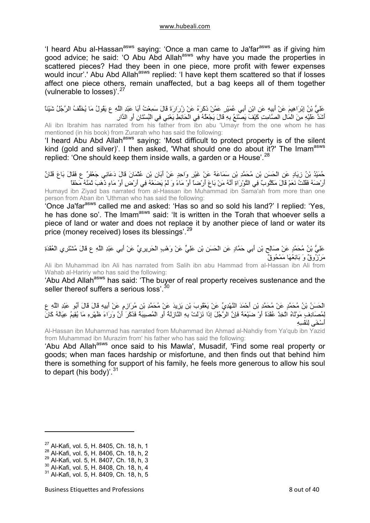'I heard Abu al-Hassan<sup>asws</sup> saying: 'Once a man came to Ja'far<sup>asws</sup> as if giving him good advice; he said: 'O Abu Abd Allah<sup>asws</sup> why have you made the properties in scattered pieces? Had they been in one piece, more profit with fewer expenses would incur'.' Abu Abd Allah<sup>asws</sup> replied: 'I have kept them scattered so that if losses affect one piece others, remain unaffected, but a bag keeps all of them together (vulnerable to losses)'.[27](#page-7-0)

عَلِيُّ بْنُ إِبْرَاهِيمَ عَنْ أَبِيهِ عَنِ ابْنِ أَبِي عُمَيْرٍ عَمَّنْ ذَكَرَهُ عَنْ زُرَارَةَ قَالَ سَمِعْتُ أَبَا عَبْدِ اللَّهِ ع يَقُولُ مَا يُخَلِّفُ الرَّجُلُ شَيْئاً أَشَدَّ عَلَيْهِ مِنَ الْمَالِ الصَّامِتِ آَيْفَ يَصْنَعُ بِهِ قَالَ يَجْعَلُهُ فِي الْحَائِطِ يَعْنِي فِي الْبُسْتَانِ أَوِ الدَّارِ

Ali ibn Ibrahim has narrated from his father from ibn abu 'Umayr from the one whom he has mentioned (in his book) from Zurarah who has said the following:

'I heard Abu Abd Allah<sup>asws</sup> saying: 'Most difficult to protect property is of the silent kind (gold and silver)'. I then asked, 'What should one do about it?' The Imam<sup>asws</sup> replied: 'One should keep them inside walls, a garden or a House'.<sup>[28](#page-7-1)</sup>

حُمَيْدُ بْنُ زِيَادٍ عَنِ الْحَسَنِ بْنِ مُحَمَّدِ بْنِ سَمَاعَةَ عَنْ غَيْرِ وَاحِدٍ عَنْ أَبَانِ بْنِ عُثْمَانَ قَالَ دَعَانِي جَعْفَرٌ ع فَقَالَ بَاعَ فُلَانٌ أَرْضَهُ فَقُلْتُ نَعَمْ قَالَ مَكْتُوبٌ فِي التَّوْرَاةِ أَنَّهُ مَنْ بَاعَ أَرْضاً أَوْ مَاءً وَ لَمْ يَضَعْهُ فِي أَرْضٍ أَوْ مَاءٍ ذَهَبَ ثَمَنُهُ مَحْقاً Humayd ibn Ziyad bas narrated from al-Hassan ibn Muhammad ibn Sama'ah from more than one person from Aban ibn 'Uthman who has said the following:

'Once Ja'far<sup>asws</sup> called me and asked: 'Has so and so sold his land?' I replied: 'Yes, he has done so'. The Imam<sup>asws</sup> said: 'It is written in the Torah that whoever sells a piece of land or water and does not replace it by another piece of land or water its price (money received) loses its blessings'.[29](#page-7-2)

عَلِيُّ بْنُ مُحَمَّدٍ عَنْ صَالِحِ بْنِ أَبِي حَمَّادٍ عَنِ الْحَسَنِ بْنِ عَلِيٍّ عَنْ وَهْبٍ الْحَرِيرِيِّ عَنْ أَبِي عَبْدِ اللَّهِ ع قَالَ مُشْتَرِي الْعُقْدَةِ مَرْزُوقٌ وَ بَائِعُهَا مَمْحُوقٌ

Ali ibn Muhammad ibn Ali has narrated from Salih ibn abu Hammad from al-Hassan ibn Ali from Wahab al-Haririy who has said the following:

'Abu Abd Allah<sup>asws</sup> has said: 'The buyer of real property receives sustenance and the seller thereof suffers a serious loss'.<sup>[30](#page-7-3)</sup>

الْحَسَنُ بْنُ مُحَمَّدٍ عَنْ مُحَمَّدِ بْنِ أَحْمَدَ النَّهْدِيِّ عَنْ يَعْقُوبَ بْنِ يَزِيدَ عَنْ مُحَمَّدِ بْنِ مُرَازِمٍ عَنْ أَبِيهِ قَالَ قَالَ أَبُو عَبْدِ اللَّهِ ع لِمُصَادِفٍ مَوْلَاهُ اتَّخِذْ عُقْدَةً أَوْ ضَيْعَةً فَإِنَّ الرَّجُلَ إِذَا نَزَلَتْ بِهِ النَّازِلَةُ أَوِ الْمُصِيبَةُ فَذَآَرَ أَنَّ وَرَاءَ ظَهْرِهِ مَا يُقِيمُ عِيَالَهُ آَانَ أَسْخَى لِنَفْسِهِ

Al-Hassan ibn Muhammad has narrated from Muhammad ibn Ahmad al-Nahdiy from Ya'qub ibn Yazid from Muhammad ibn Murazim from' his father who has said the following:

'Abu Abd Allah<sup>asws</sup> once said to his Mawla', Musadif, 'Find some real property or goods; when man faces hardship or misfortune, and then finds out that behind him there is something for support of his family, he feels more generous to allow his soul to depart (his body)'.  $31$ 

<span id="page-7-0"></span><sup>27</sup> Al-Kafi, vol. 5, H. 8405, Ch. 18, h, 1

<sup>28</sup> Al-Kafi, vol. 5, H. 8406, Ch. 18, h, 2

<span id="page-7-2"></span><span id="page-7-1"></span><sup>29</sup> Al-Kafi, vol. 5, H. 8407, Ch. 18, h, 3

<span id="page-7-3"></span><sup>30</sup> Al-Kafi, vol. 5, H. 8408, Ch. 18, h, 4

<span id="page-7-4"></span><sup>31</sup> Al-Kafi, vol. 5, H. 8409, Ch. 18, h, 5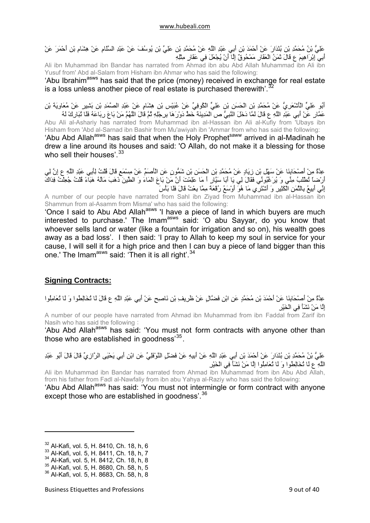<span id="page-8-0"></span>عَلِيُّ بْنُ مُحَمَّدِ بْنِ بُنْدَارَ عَنْ أَحْمَدَ بْنِ أَبِي عَبْدِ اللَّهِ عَنْ مُحَمَّدِ بْنِ عَلِيِّ بْنِ يُوسُفَ عَنْ عَبْدِ السَّلَامِ عَنْ هِشَامِ بْنِ أَحْمَرَ عَنْ أَبِي إِبْرَاهِيمَ ع قَالَ ثَمَنُ الْعَقَارِ مَمْحُوقٌ إِلَّا أَنْ يُجْعَلَ فِي عَقَارٍ مِثْلِهِ

Ali ibn Muhammad ibn Bandar has narrated from Ahmad ibn abu Abd Allah Muhammad ibn Ali ibn Yusuf from' Abd al-Salam from Hisham ibn Ahmar who has said the following:

'Abu Ibrahim<sup>asws</sup> has said that the price (money) received in exchange for real estate is a loss unless another piece of real estate is purchased therewith'. $3$ 

أَبُو عَلِيٍّ الْأَشْعَرِيُّ عَنْ مُحَمَّدِ بْنِ الْحَسَنِ بْنِ عَلِيٍّ الْكُوفِيِّ عَنْ عُبَيْسِ بْنِ هِشَامٍ عَنْ عَبْدِ الصَّمَدِ بْنِ بَشِيرٍ عَنْ مُعَاوِيَةَ بْنِ عَمَّارِ عَنْ أَبِي عَبْدِ اللَّهِ ع قَالَ لَمَّا دَخَلَ النَّبِيُّ ص الْمَدِينَةَ خَطَّ دَوْرَهَا بِرِجْلِهِ ثُمَّ قَالَ اللَّهُمَّ مَنْ بَاعَ رِبَاعَهُ فَلَا تُبَارِكَ لَهُ

Abu Ali al-Ashariy has narrated from Muhammad ibn al-Hassan ibn Ali al-Kufiy from 'Ubays ibn Hisham from 'Abd al-Sarnad ibn Bashir from Mu'awiyah ibn 'Ammar from who has said the following: 'Abu Abd Allah<sup>asws</sup> has said that when the Holy Prophet<sup>saww</sup> arrived in al-Madinah he drew a line around its houses and said: 'O Allah, do not make it a blessing for those who sell their houses'. [33](#page-8-2)

عِدَّةٌ مِنْ أَصْحَابِنَا عَنْ سَهْلِ بْنِ زِيَادٍ عَنْ مُحَمَّدِ بْنِ الْحَسَنِ بْنِ شَمُّونٍ عَنِ الْأَصَمِّ عَنْ مِسْمَعٍ قَالَ قُلْتُ لِأَبِي عَبْدِ اللَّهِ ع إِنَّ لِي أَرْضاً تُطْلَبُ مِنِّي وَ يُرَغِّبُونِّي فَقَالَ لِي يَا أَبَا سَيَّارٍ أَ مَا عَلِمْتَ أَنَّ مَنْ بَاعَ الْمَاءَ وَ الطِّينَ ذَهَبَ مَالُهُ هَبَاءً قُلْتُ جُعِلْتُ فِدَاكَ إِنِّي أَبِيعُ بِالثَّمَنِ الْكَثِيرِ وَ أَشْتَرِي مَا هُوَ أَوْسَعُ رُقْعَةً مِمَّا بِعْتُ قَالَ فَلَا بَأْسَ

A number of our people have narrated from Sahl ibn Ziyad from Muhammad ibn al-Hassan ibn Shammun from al-Asamm from Misma' who has said the following:

'Once I said to Abu Abd Allah<sup>asws</sup> 'I have a piece of land in which buyers are much interested to purchase.' The Imam<sup>asws</sup> said: 'O abu Sayyar, do you know that whoever sells land or water (like a fountain for irrigation and so on), his wealth goes away as a bad loss'. I then said: 'I pray to Allah to keep my soul in service for your cause, I will sell it for a high price and then I can buy a piece of land bigger than this one.' The Imam<sup>asws</sup> said: 'Then it is all right'.<sup>[34](#page-8-3)</sup>

## **Signing Contracts:**

عِدَّةٌ مِنْ أَصْحَابِنَا عَنْ أَحْمَدَ بْنِ مُحَمَّدٍ عَنِ ابْنِ فَضَّالٍ عَنْ ظَرِيفِ بْنِ نَاصِحٍ عَنْ أَبِي عَبْدِ اللَّهِ ع قَالَ لَا تُخَالِطُوا وَ لَا تُعَامِلُوا إِلَّا مَنْ نَشَأَ فِي الْخَيْرِ A number of our people have narrated from Ahmad ibn Muhammad from ibn Faddal from Zarif ibn

Nasih who has said the following :

'Abu Abd Allah<sup>asws</sup> has said: 'You must not form contracts with anyone other than those who are established in goodness<sup>[35](#page-8-4)</sup>.

عَلِيُّ بْنُ مُحَمَّدِ بْنِ بُنْدَارَ عَنْ أَحْمَدَ بْنِ أَبِي عَبْدِ اللَّهِ عَنْ أَبِيهِ عَنْ فَضْلٍ النَّوْفَلِيِّ عَنِ ابْنِ أَبِي يَحْيَى الرَّازِيِّ قَالَ قَالَ أَبُو عَبْدِ اللَّهِ ع لَا تُخَالِطُوا وَ لَا تُعَامِلُوا إِلَّا مَنْ نَشَأَ فِي الْخَيْرِ

Ali ibn Muhammad ibn Bandar has narrated from Ahmad ibn Muhammad from ibn Abu Abd Allah, from his father from Fadl al-Nawfaliy from ibn abu Yahya al-Raziy who has said the following: 'Abu Abd Allah<sup>asws</sup> has said: 'You must not intermingle or form contract with anyone

except those who are established in goodness'.<sup>[36](#page-8-5)</sup>

<span id="page-8-1"></span><sup>32</sup> Al-Kafi, vol. 5, H. 8410, Ch. 18, h, 6

<sup>33</sup> Al-Kafi, vol. 5, H. 8411, Ch. 18, h, 7

<span id="page-8-3"></span><span id="page-8-2"></span><sup>34</sup> Al-Kafi, vol. 5, H. 8412, Ch. 18, h, 8

<span id="page-8-4"></span><sup>35</sup> Al-Kafi, vol. 5, H. 8680, Ch. 58, h, 5

<span id="page-8-5"></span><sup>36</sup> Al-Kafi, vol. 5, H. 8683, Ch. 58, h, 8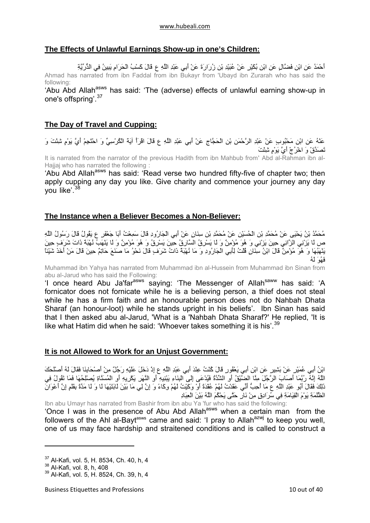## <span id="page-9-0"></span>**The Effects of Unlawful Earnings Show-up in one's Children:**

أَحْمَدُ عَنِ ابْنِ فَضَّالٍ عَنِ ابْنِ بُكَيْرٍ عَنْ عُبَيْدِ بْنِ زُرَارَةَ عَنْ أَبِي عَبْدِ اللَّهِ ع قَالَ آَسْبُ الْحَرَامِ يَبِينُ فِي الذُّرِّيَّةِ Ahmad has narrated from ibn Faddal from ibn Bukayr from 'Ubayd ibn Zurarah who has said the following:

'Abu Abd Allah<sup>asws</sup> has said: 'The (adverse) effects of unlawful earning show-up in one's offspring'.[37](#page-9-1)

## **The Day of Travel and Cupping:**

عَنْهُ عَنِ ابْنِ مَحْبُوبٍ عَنْ عَبْدِ الرَّحْمَنِ بْنِ الْحَجَّاجِ عَنْ أَبِي عَبْدِ اللَّهِ ع قَالَ اقْرَأْ آيَةَ الْكُرْسِيِّ وَ احْتَجِمْ أَيَّ يَوْمٍ شِئْتَ وَ تَصَدَّقْ وَ اخْرُجْ أَيَّ يَوْمٍ شِئْتَ

It is narrated from the narrator of the previous Hadith from ibn Mahbub from' Abd al-Rahman ibn al-Hajjaj who has narrated the following :

'Abu Abd Allah<sup>asws</sup> has said: 'Read verse two hundred fifty-five of chapter two; then apply cupping any day you like. Give charity and commence your journey any day you like'.<sup>[38](#page-9-2)</sup>

## **The Instance when a Believer Becomes a Non-Believer:**

مُحَمَّدُ بْنُ يَحْيَى عَنْ مُحَمَّدِ بْنِ الْحُسَيْنِ عَنْ مُحَمَّدِ بْنِ سِنَانٍ عَنْ أَبِي الْجَارُودِ قَالَ سَمِعْتُ أَبَا جَعْفَرٍ ع يَقُولُ قَالَ رَسُولُ اللَّهِ ص لَا يَزْنِي الزَّانِي حِينَ يَزْنِي وَ هُوَ مُؤْمِنٌ وَ لَا يَسْرِقُ السَّارِقُ حِينَ يَسْرِقُ وَ هُوَ مُؤْمِنٌ وَ لَا يَنْهَبُ نُهْبَةً ذَاتَ شَرَفٍ حِينَ يَنْهَبُهَا وَ هُوَ مُؤْمِنٌ قَالَ ابْنُ سِنَانٍ قُلْتُ لِأَبِي الْجَارُودِ وَ مَا نُهْبَةٌ ذَاتُ شَرَفٍ قَالَ نَحْوُ مَا صَنَعَ حَاتِمٌ حِينَ قَالَ مَنْ أَخَذَ شَيْئاً فَهُوَ لَهُ

Muhammad ibn Yahya has narrated from Muhammad ibn al-Hussein from Muhammad ibn Sinan from abu al-Jarud who has said the Following:

'I once heard Abu Ja'far<sup>asws</sup> saying: 'The Messenger of Allah<sup>saww</sup> has said: 'A fornicator does not fornicate while he is a believing person, a thief does not steal while he has a firm faith and an honourable person does not do Nahbah Dhata Sharaf (an honour-loot) while he stands upright in his beliefs'. Ibn Sinan has said that I then asked abu al-Jarud, 'What is a 'Nahbah Dhata Sharaf?' He replied, 'It is like what Hatim did when he said: 'Whoever takes something it is his'.<sup>[39](#page-9-3)</sup>

#### **It is not Allowed to Work for an Unjust Government:**

ابْنُ أَبِي عُمَيْرٍ عَنْ بَشِيرٍ عَنِ ابْنِ أَبِي يَعْفُورٍ قَالَ آُنْتُ عِنْدَ أَبِي عَبْدِ اللَّهِ ع إِذْ دَخَلَ عَلَيْهِ رَجُلٌ مِنْ أَصْحَابِنَا فَقَالَ لَهُ أَصْلَحَكَ اللَّهُ إِنَّهُ رُبَّمَا أَصَابَ الرَّجُلَ مِنَّا الضَّيْقُ أَوِ الشِّدَّةُ فَيُدْعَى إِلَى الْبِنَاءِ يَبْنِيهِ أَوِ النَّهَرِ يَكْرِيهِ أَوِ الْمُسَنَّاةِ يُصْلِحُهَا فَمَا تَقُولُ فِي .<br>ذَلِكَ فَقَالَ أَبُو عَبْدِ اللَّهِ عَ مَا أُحِبُّ أَنِّي عَقَدْتُ لَهُمْ عُقْدَةً أَوْ وَكَيْتُ لَهُمْ وِكَاءً وَ إِنَّ لِي مَا بَيْنَ لَابَتَيْهَا لَا وَ لَا مَدَّةً بِقَلَمٍ إِنَّ أَعْوَانَ الظَّلَمَةِ يَوْمَ الْقِيَامَةِ فِي سُرَادِقٍ مِنْ نَارٍ حَتَّى يَحْكُمَ اللَّهُ بَيْنَ الْعِبَادِ

Ibn abu Umayr has narrated from Bashir from ibn abu Ya 'fur who has said the following: 'Once I was in the presence of Abu Abd Allah<sup>asws</sup> when a certain man from the followers of the Ahl al-Bayt<sup>asws</sup> came and said: 'I pray to Allah<sup>azwj</sup> to keep you well, one of us may face hardship and straitened conditions and is called to construct a

<span id="page-9-1"></span><sup>37</sup> Al-Kafi, vol. 5, H. 8534, Ch. 40, h, 4

<span id="page-9-2"></span><sup>38</sup> Al-Kafi, vol. 8, h, 408

<span id="page-9-3"></span><sup>39</sup> Al-Kafi, vol. 5, H. 8524, Ch. 39, h, 4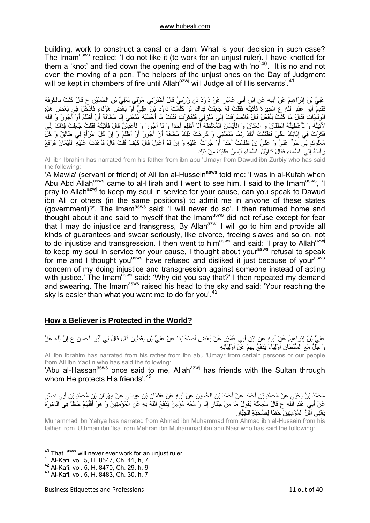<span id="page-10-0"></span>building, work to construct a canal or a dam. What is your decision in such case? The Imam<sup>asws</sup> replied: 'I do not like it (to work for an unjust ruler). I have knotted for them a 'knot' and tied down the opening end of the bag with 'no'[40](#page-10-1). It is no and not even the moving of a pen. The helpers of the unjust ones on the Day of Judgment will be kept in chambers of fire until Allah<sup>azwj</sup> will Judge all of His servants'.<sup>[41](#page-10-2)</sup>

عَلِيُّ بْنُ إِبْرَاهِيمَ عَنْ أَبِيهِ عَنِ ابْنِ أَبِي عُمَيْرٍ عَنْ دَاوُدَ بْنِ زُرْبِيٍّ قَالَ أَخْبَرَنِي مَوْلًى لِعَلِيِّ بْنِ الْحُسَيْنِ ع قَالَ آُنْتُ بِالْكُوفَةِ ُ حَمِي بَنْ بَيْنَ سَبَمَ کَ تَبَيْنَ عَبَدَتَ فَقَائِمَتُهُ فَقُلْتُ لَهُ جُعِلْتُ فِدَاكَ لَوْ کَلَّمْتَ دَاوُدَ بْنَ عَلِيٍّ أَوْ بَعْضَ هَوْلَاءِ فَأَدْخُلَ فِي بَعْضِ هَذِهِ الْوِلَايَاتِ فَقَالَ مَا آُنْتُ لِأَفْعَلَ قَالَ فَانْصَرَفْتُ إِلَى مَنْزِلِي فَتَفَكَّرْتُ فَقُلْتُ مَا أَحْسَبُهُ مَنَعَنِي إِلَّا مَخَافَةَ أَنْ أَظْلِمَ أَوْ أَجُورَ وَ اللَّهِ .<br>لأَتِيَنَّهُ وَ لَأَعْطِيَنَّهُ الطَّلَاقَ وَ الْعَتَاقَ وَ الْأَيْمَانَ الْمُغَلَّطَةَ أَلَّا أَظْلِمَ أَحَدا .<br>فَكَّرْتُ فِي إِبَائِكَ عَلَيَّ فَظَنَنْتُ أَنَّكَ إِنَّمَا مَنَعْتَنِي وَ كَرِهْتَ ذَلِكَ مَخَافَةَ أَنْ أَجُورَ أَوْ أَظْلِمَ وَ إِنَّ كُلَّ امْرِأَةٍ لِي طَالِقٌ وَ كُلَّ مَمْلُوكٍ لِي حُرٌّ عَلَيَّ وَ عَلَيَّ إِنْ ظَلَمْتُ أَحَداً أَوْ جُرُتُ عَلَيْهِ وَ إِنْ لَمْ أَعْدِلْ قَالَ <br>مَمْلُوكٍ لِي حُرٌّ عَلَيَّ وَ عَلَيَّ إِنْ ظَلَمْتُ أَحَداً أَوْ جُرُتُ عَلَيْهِ وَ إِنْ لَمْ أَعْدِلْ قَالَ رَأْسَهُ إِلَى السَّمَاءِ فَقَالَ تَنَاوُلُ السَّمَاءِ أَيْسَرُ عَلَيْكَ مِنْ ذَلِكَ

Ali ibn Ibrahim has narrated from his father from ibn abu 'Umayr from Dawud ibn Zurbiy who has said the following:

'A Mawla' (servant or friend) of Ali ibn al-Hussein<sup>asws</sup> told me: 'I was in al-Kufah when Abu Abd Allah<sup>asws</sup> came to al-Hirah and I went to see him. I said to the Imam<sup>asws</sup>, 'I pray to Allah<sup>azwj</sup> to keep my soul in service for your cause, can you speak to Dawud ibn Ali or others (in the same positions) to admit me in anyone of these states (government)?'. The Imam<sup>asws</sup> said: 'I will never do so'. I then returned home and thought about it and said to myself that the Imamasws did not refuse except for fear that I may do injustice and transgress, By Allah<sup>azwj</sup> I will go to him and provide all kinds of guarantees and swear seriously, like divorce, freeing slaves and so on, not to do injustice and transgression. I then went to him<sup>asws</sup> and said: 'I pray to Allah<sup>azwj</sup> to keep my soul in service for your cause, I thought about your<sup>asws</sup> refusal to speak for me and I thought you<sup>asws</sup> have refused and disliked it just because of your<sup>asws</sup> concern of my doing injustice and transgression against someone instead of acting with justice.' The Imam<sup>asws</sup> said: 'Why did you say that?' I then repeated my demand and swearing. The Imam<sup>asws</sup> raised his head to the sky and said: 'Your reaching the sky is easier than what you want me to do for you<sup>'.[42](#page-10-3)</sup>

## **How a Believer is Protected in the World?**

عَلِيُّ بْنُ إِبْرَاهِيمَ عَنْ أَبِيهِ عَنِ ابْنِ أَبِي عُمَيْرٍ عَنْ بَعْضِ أَصْحَابِنَا عَنْ عَلِيِّ بْنِ يَقْطِينٍ قَالَ قَالَ لِي أَبُو الْحَسَنِ ع إِنَّ لِلَّهِ عَزَّ وَ جَلَّ مَعَ السُّلْطَانِ أَوْلِيَاءَ يَدْفَعُ بِهِمْ عَنْ أَوْلِيَائِهِ

Ali ibn Ibrahim has narrated from his rather from ibn abu 'Umayr from certain persons or our people from Ali ibn Yaqtin who has said the following:

'Abu al-Hassan<sup>asws</sup> once said to me, Allah<sup>azwj</sup> has friends with the Sultan through whom He protects His friends'.<sup>[43](#page-10-4)</sup>

مُحَمَّدُ بْنُ يَحْيَى عَنْ مُحَمَّدِ بْنِ أَحْمَدَ عَنْ أَحْمَدَ بْنِ الْحُسَيْنِ عَنْ أَبِيهِ عَنْ عُثْمَانَ بْنِ عِيسَى عَنْ مِهْرَانَ بْنِ مُحَمَّدِ بْنِ أَبِي نَصْرٍ عَنْ أَبِي عَبْدِ اللَّهِ ع قَالَ سَمِعْتُهُ يَقُولُ مَا مِنْ جَبَّارٍ إِلَّا وَ مَعَهُ مُؤْمِنٌ يَدْفَعُ اللَّهُ بِهِ عَنِ الْمُؤْمِنِينَ وَ هُوَ أَقَلُّهُمْ حَظّاً فِي الْآخِرَةِ يَعْنِي أَقَلَّ الْمُؤْمِنِينَ حَظّاً لِصُحْبَةِ الْجَبَّارِ

Muhammad ibn Yahya has narrated from Ahmad ibn Muhammad from Ahmad ibn al-Hussein from his father from 'Uthman ibn 'Isa from Mehran ibn Muhammad ibn abu Nasr who has said the following:

<span id="page-10-1"></span><sup>&</sup>lt;sup>40</sup> That  $I^{asws}$  will never ever work for an unjust ruler.<br><sup>41</sup> Al-Kafi, vol. 5, H. 8547, Ch. 41, h, 7

<span id="page-10-3"></span><span id="page-10-2"></span><sup>42</sup> Al-Kafi, vol. 5, H. 8470, Ch. 29, h, 9

<span id="page-10-4"></span><sup>43</sup> Al-Kafi, vol. 5, H. 8483, Ch. 30, h, 7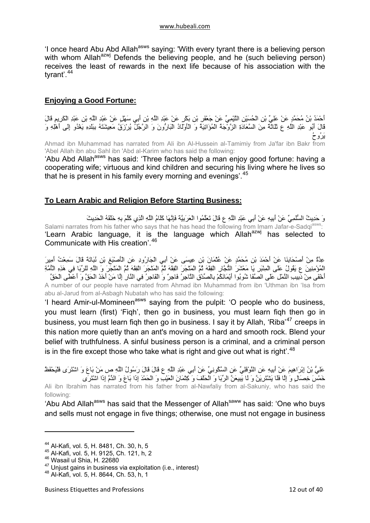<span id="page-11-0"></span>'I once heard Abu Abd Allah<sup>asws</sup> saying: 'With every tyrant there is a believing person with whom Allah<sup>azwj</sup> Defends the believing people, and he (such believing person) receives the least of rewards in the next life because of his association with the tyrant'.<sup>[44](#page-11-1)</sup>

## **Enjoying a Good Fortune:**

أَحْمَدُ بْنُ مُحَمَّدٍ عَنْ عَلِيِّ بْنِ الْحُسَيْنِ التَّيْمِيِّ عَنْ جَعْفَرِ بْنِ بَكْرٍ عَنْ عَبْدِ اللَّهِ بْنِ أَبِي سَهْلٍ عَنْ عَبْدِ اللَّهِ بْنِ عَبْدِ الْكَرِيمِ قَالَ قَالَ أَبُو عَبْدِ اللَّهِ ع ثَلَاثَةٌ مِنَ السَّعَادَةِ الزَّوْجَةُ الْمُؤَاتِيَةُ وَ الْأَوْلَادُ الْبَارُّونَ وَ الرَّجُلُ يُرْزَقُ مَعِيشَتَهُ بِبَلَدِهِ يَغْدُو إِلَى أَهْلِهِ وَ يَرُوحُ Ahmad ibn Muhammad has narrated from Ali ibn Al-Hussein al-Tamimiy from Ja'far ibn Bakr from

'Abel Allah ibn abu Sahl ibn 'Abd al-Karim who has said the following: 'Abu Abd Allah<sup>asws</sup> has said: 'Three factors help a man enjoy good fortune: having a cooperating wife; virtuous and kind children and securing his living where he lives so that he is present in his family every morning and evenings'.<sup>[45](#page-11-2)</sup>

## **To Learn Arabic and Religion Before Starting Business:**

وَ حَدِيثُ السُّلَمِيِّ عَنْ أَبِيهِ عَنْ أَبِي عَبْدِ اللَّهِ ع قَالَ تَعَلَّمُوا الْعَرَبِيَّةَ فَإِنَّهَا آَلَامُ اللَّهِ الَّذِي آَلَّمَ بِهِ خَلْقَهُ الْحَدِيثَ Salami narrates from his father who says that he has head the following from Imam Jafar-e-Sadqi<sup>asws</sup>: 'Learn Arabic language, it is the language which Allah $a^{2}$  has selected to Communicate with His creation'.[46](#page-11-3)

عِدَّةٌ مِنْ أَصْحَابِنَا عَنْ أَحْمَدَ بْنِ مُحَمَّدٍ عَنْ عُثْمَانَ بْنِ عِيسَى عَنْ أَبِي الْجَارُودِ عَنِ الْأَصْبَغِ بْنِ نُبَاتَةَ قَالَ سَمِعْتُ أَمِيرَ الْمُؤْمِنِينَ ع يَقُولُ عَلَى الْمِنْبَرِ يَا مَعْشَرَ التُّجَّارِ الْفِقْهَ ثُمَّ الْمَتَّجَرَ الْفِقْهَ ثُمَّ الْمَتْجَرَ الْفِقَهَ ثُمَّ الْمَتْجَرَ وَ اللَّهِ لَلرِّبَا فِي هَذِهِ الْأُمَّةِ .<br>أَخْفَى مِنْ دَبِيبِ النَّمْلِ عَلَى الصَّفَا شُوبُوا أَيْمَانَكُمْ بِالصِّدْقِ النَّاجِرُ فَاجِرٌ وَ الْفَاجِر A number of our people have narrated from Ahmad ibn Muhammad from ibn 'Uthman ibn 'Isa from abu al-Jarud from al-Asbagh Nubatah who has said the following:

'I heard Amir-ul-Momineen<sup>asws</sup> saying from the pulpit: 'O people who do business, you must learn (first) 'Fiqh', then go in business, you must learn fiqh then go in business, you must learn fiqh then go in business. I say it by Allah, 'Riba'<sup>[47](#page-11-4)</sup> creeps in this nation more quietly than an ant's moving on a hard and smooth rock. Blend your belief with truthfulness. A sinful business person is a criminal, and a criminal person is in the fire except those who take what is right and give out what is right'.<sup>[48](#page-11-5)</sup>

عَلِيُّ بْنُ إِبْرَاهِيمَ عَنْ أَبِيهِ عَنِ النَّوْفَلِيِّ عَنِ السَّكُونِيِّ عَنْ أَبِي عَبْدِ اللَّهِ ع قَالَ قَالَ رَسُولُ اللَّهِ ص مَنْ بَاعَ وَ اشْتَرَى فَلْيَحْفَظْ خَمْسَ خِصَالٍ وَ إِلَّا فَلَا يَشْتَرِيَنَّ وَ لَا يَبِيعَنَّ الرِّبَا وَ الْحَلْفَ وَ آِتْمَانَ الْعَيْبِ وَ الْحَمْدَ إِذَا بَاعَ وَ الذَّمَّ إِذَا اشْتَرَى

Ali ibn Ibrahim has narrated from his father from al-Nawfaliy from al-Sakuniy, who has said the following:

'Abu Abd Allah<sup>asws</sup> has said that the Messenger of Allah<sup>saww</sup> has said: 'One who buys and sells must not engage in five things; otherwise, one must not engage in business

<span id="page-11-1"></span><sup>44</sup> Al-Kafi, vol. 5, H. 8481, Ch. 30, h, 5

<span id="page-11-2"></span><sup>45</sup> Al-Kafi, vol. 5, H. 9125, Ch. 121, h, 2

<span id="page-11-3"></span><sup>46</sup> Wasail ul Shia, H. 22680

<span id="page-11-4"></span> $^{47}$  Unjust gains in business via exploitation (i.e., interest)<br> $^{48}$  Al-Kafi, vol. 5, H. 8644, Ch. 53, h, 1

<span id="page-11-5"></span>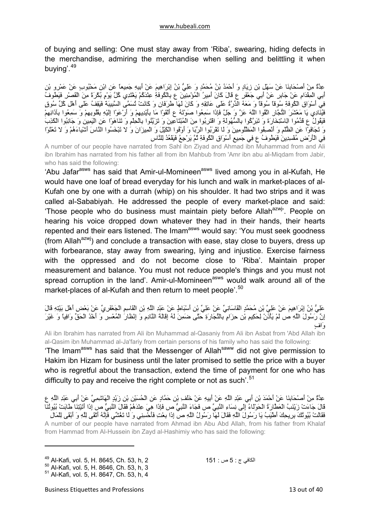of buying and selling: One must stay away from 'Riba', swearing, hiding defects in the merchandise, admiring the merchandise when selling and belittling it when buying'.[49](#page-12-0)

عِدَّةٌ مِنْ أَصْحَابِنَا عَنْ سَهْلِ بْنِ زِيَادٍ وَ أَحْمَدُ بْنُ مُحَمَّدٍ وَ عَلِيُّ بْنُ إِبْرَاهِيمَ عَنْ أَبِيهِ جَمِيعاً عَنِ ابْنِ مَحْبُوبٍ عَنْ عَمْرِو بْنِ أَبِي الْمِقْدَامِ عَنْ جَابِرٍ عَنْ أَبِي جَعْفَرٍ ع قَالَ كَانَ أَمِيرُ الْمُؤْمِنِينَ ع بِالْكُوفَةِ عِنْدَكْمْ يَغْتَدِي كُلَّ يَوْمٍ بُكْرَةً مِنَ الْقَصْرِ فَيَطُوفُ فِي أَسْوَاقِ الْكُوفَةِ سُوقاً سُوقاً وَ مَعَهُ الدِّرَّةُ عَلَى عَاتِقِهِ وَ آَانَ لَهَا طَرَفَانِ وَ آَانَتْ تُسَمَّى السَّبِيبَةَ فَيَقِفُ عَلَى أَهْلِ آُلِّ سُوقٍ فَيُنَادِي يَا مَعْشَرَ التُّجَّارِ اتَّقُوا اللَّهَ عَزَّ وَ جَلَّ فَإِذَا سَمِعُوا صَوْتَهُ ع أَلْقَوْا مَا بِأَيْدِيهِمْ وَ أَرْعَوْا إِلَيْهِ بِقُلُوبِهِمْ وَ سَمِعُوا بِآذَانِهِمْ فَيَقُولُ ع قَدِّمُوا الِاسْتِخَارَةَ وَ تَبَرَّآُوا بِالسُّهُولَةِ وَ اقْتَرِبُوا مِنَ الْمُبْتَاعِينَ وَ تَزَيَّنُوا بِالْحِلْمِ وَ تَنَاهَوْا عَنِ الْيَمِينِ وَ جَانِبُوا الْكَذِبَ وَ تَجَافَوْا عَنِ الظُّلْمِ وَ أَنْصِفُوا الْمَظْلُومِينَ وَ لَا تَقْرَبُوا الرِّبَا وَ أَوْفُوا الْكَيْلَ وَ الْمِيزَانَ وَ لا تَبْخَسُوا النَّاسَ أَشْياءَهُمْ وَ لا تَعْثَوْا فِي الْأَرْضِ مُفْسِدِينَ فَيَطُوفُ ع فِي جَمِيعِ أَسْوَاقِ الْكُوفَةِ ثُمَّ يَرْجِعُ فَيَقْعُدُ لِلنَّاسِ

A number of our people have narrated from Sahl ibn Ziyad and Ahmad ibn Muhammad from and Ali ibn Ibrahim has narrated from his father all from ibn Mahbub from 'Amr ibn abu al-Miqdam from Jabir, who has said the following:

'Abu Jafar<sup>asws</sup> has said that Amir-ul-Momineen<sup>asws</sup> lived among you in al-Kufah, He would have one loaf of bread everyday for his lunch and walk in market-places of al-Kufah one by one with a durrah (whip) on his shoulder. It had two strips and it was called al-Sababiyah. He addressed the people of every market-place and said: 'Those people who do business must maintain piety before Allah<sup>azwj</sup>'. People on hearing his voice dropped down whatever they had in their hands, their hearts repented and their ears listened. The Imam<sup>asws</sup> would say: 'You must seek goodness (from Allah<sup>azwj</sup>) and conclude a transaction with ease, stay close to buyers, dress up with forbearance, stay away from swearing, lying and injustice. Exercise fairness with the oppressed and do not become close to 'Riba'. Maintain proper measurement and balance. You must not reduce people's things and you must not spread corruption in the land'. Amir-ul-Momineen<sup>asws</sup> would walk around all of the market-places of al-Kufah and then return to meet people'.<sup>[50](#page-12-1)</sup>

عَلِيُّ بْنُ إِبْرَاهِيمَ عَنْ عَلِيِّ بْنِ مُحَمَّدٍ الْقَاسَانِيِّ عَنْ عَلِيِّ بْنِ أَسْبَاطٍ عَنْ عَبْدِ اللَّهِ بْنِ الْقَاسِمِ الْجَعْفَرِيِّ عَنْ بَعْضِ أَهْلِ بَيْتِهِ قَالَ إِنَّ رَسُولَ اللَّهِ ص لَمْ يَأْذَنْ لِحَكِيمِ بْنِ حِزَامٍ بِالتِّجَارَةِ حَتَّى ضَمِنَ لَهُ إِقَالَةَ النَّادِمِ وَ إِنْظَارَ الْمُعْسِرِ وَ أَخْذَ الْحَقِّ وَافِياً وَ غَيْرَ وَافٍ

Ali ibn Ibrahim has narrated from Ali ibn Muhammad al-Qasaniy from Ali ibn Asbat from 'Abd Allah ibn al-Qasim ibn Muhammad al-Ja'fariy from certain persons of his family who has said the following:

'The Imam<sup>asws</sup> has said that the Messenger of Allah<sup>saww</sup> did not give permission to Hakim ibn Hizam for business until the later promised to settle the price with a buyer who is regretful about the transaction, extend the time of payment for one who has difficulty to pay and receive the right complete or not as such<sup>'.[51](#page-12-2)</sup>

عِدَّةٌ مِنْ أَصْحَابِنَا عَنْ أَحْمَدَ بْنِ أَبِي عَبْدِ اللَّهِ عَنْ أَبِيهِ عَنْ خَلَفِ بْنِ حَمَّادٍ عَنِ الْحُسَيْنِ بْنِ زَيْدٍ الْهَاشِمِيِّ عَنْ أَبِي عَبْدِ اللَّهِ ع قَالَ جَاءَتْ زَيْنَبُ الْعَطَّارَةُ الْحَوْلَاءُ إِلَى نِسَاءِ النَّبِيِّ ص فَجَاءَ النَّبِيُّ ص فَإِذَا هِيَ عِنْدَهُمْ فَقَالَ النَّبِيُّ ص إِذَا أَتَيْتِنَا طَابَتْ بُيُوتُنَا فَقَالَتْ بُيُوتُكَ بِرِيحِكَ أَطْيَبُ يَا رَسُولَ اللَّهِ فَقَالَ لَهَا رَسُولُ اللَّهِ ص إِذَا بِعْتِ فَأَحْسِنِي وَ لَا تَغُشِّي فَإِنَّهُ أَتْقَى لِلَّهِ وَ أَبْقَى لِلْمَالِ A number of our people have narrated from Ahmad ibn Abu Abd Allah, from his father from Khalaf from Hammad from Al-Hussein ibn Zayd al-Hashimiy who has said the following:

<span id="page-12-0"></span><sup>&</sup>lt;sup>49</sup> Al-Kafi, vol. 5, H. 8645, Ch. 53, h, 2 <sup>49</sup> Al-Kafi, vol. 5, H. 8646, Ch. 53, h, 3 <sup>50</sup> Al-Kafi, vol. 5, H. 8646, Ch. 53, h, 3

<span id="page-12-2"></span><span id="page-12-1"></span><sup>51</sup> Al-Kafi, vol. 5, H. 8647, Ch. 53, h, 4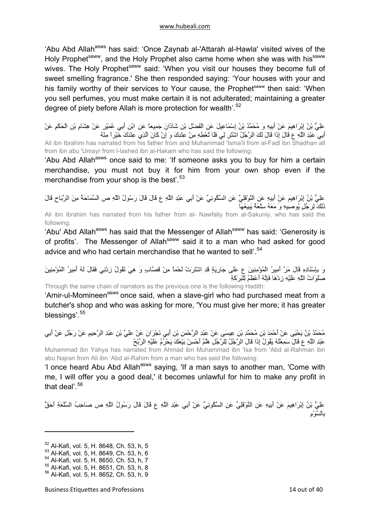'Abu Abd Allah<sup>asws</sup> has said: 'Once Zaynab al-'Attarah al-Hawla' visited wives of the Holy Prophet<sup>saww</sup>, and the Holy Prophet also came home when she was with his<sup>saww</sup> wives. The Holy Prophet<sup>saww</sup> said: 'When you visit our houses they become full of sweet smelling fragrance.' She then responded saying: 'Your houses with your and his family worthy of their services to Your cause, the Prophetsaww then said: 'When you sell perfumes, you must make certain it is not adulterated; maintaining a greater degree of piety before Allah is more protection for wealth'.<sup>[52](#page-13-0)</sup>

عَلِيُّ بْنُ إِبْرَاهِيمَ عَنْ أَبِيهِ وَ مُحَمَّدُ بْنُ إِسْمَاعِيلَ عَنِ الْفَضْلِ بْنِ شَاذَانَ جَمِيعاً عَنِ ابْنِ أَبِي عُمَيْرٍ عَنْ هِشَامِ بْنِ الْحَكَمِ عَنْ أَبِي عَبْدِ اللَّهِ ع قَالَ إِذَا قَالَ لَكَ الرَّجُلُ اشْتَرِ لِي فَلَا تُعْطِهِ مِنْ عِنْدِكَ وَ إِنْ آَانَ الَّذِي عِنْدَكَ خَيْراً مِنْهُ Ali ibn Ibrahim has narrated from his father from and Muhammad 'Isma'il from al-Fadl ibn Shadhan all from ibn abu 'Umayr from l-lashed ibn al-Hakam who has said the following:

'Abu Abd Allah<sup>asws</sup> once said to me: 'If someone asks you to buy for him a certain merchandise, you must not buy it for him from your own shop even if the merchandise from your shop is the best'.<sup>[53](#page-13-1)</sup>

عَلِيُّ بْنُ إِبْرَاهِيمَ عَنْ أَبِيهِ عَنِ النَّوْفَلِيِّ عَنِ السَّكُونِيِّ عَنْ أَبِي عَبْدِ اللَّهِ ع قَالَ قَالَ رَسُولُ اللَّهِ ص السَّمَاحَةُ مِنَ الرَّبَاحِ قَالَ ذَلِكَ لِرَجُلٍ يُوصِيهِ وَ مَعَهُ سِلْعَةٌ يَبِيعُهَا

Ali ibn Ibrahim has narrated from his father from al- Nawfaliy from al-Sakuniy, who has said the following:

'Abu' Abd Allah<sup>asws</sup> has said that the Messenger of Allah<sup>saww</sup> has said: 'Generosity is of profits'. The Messenger of Allah<sup>saww</sup> said it to a man who had asked for good advice and who had certain merchandise that he wanted to sell'.<sup>[54](#page-13-2)</sup>

وَ بِإِسْنَادِهِ قَالَ مَرَّ أَمِيرُ الْمُؤْمِنِينَ ع عَلَى جَارِيَةٍ قَدِ اشْتَرَتْ لَحْماً مِنْ قَصَّابٍ وَ هِيَ تَقُولُ زِدْنِي فَقَالَ لَهُ أَمِيرُ الْمُؤْمِنِينَ صَلَوَاتُ اللَّهِ عَلَيْهِ زِدْهَا فَإِنَّهُ أَعْظَمُ لِلْبَرَآَةِ

Through the same chain of narrators as the previous one is the following Hadith:

'Amir-ul-Momineen<sup>asws</sup> once said, when a slave-girl who had purchased meat from a butcher's shop and who was asking for more, 'You must give her more; it has greater blessings'.<sup>[55](#page-13-3)</sup>

مُحَمَّدُ بْنُ يَحْيَى عَنْ أَحْمَدَ بْنِ مُحَمَّدِ بْنِ عِيسَى عَنْ عَبْدِ الرَّحْمَنِ بْنِ أَبِي نَجْرَانَ عَنْ عَلِيِّ بْنِ عَبْدِ الرَّحِيمِ عَنْ رَجُلٍ عَنْ أَبِي عَبْدِ اللَّهِ ع قَالَ سَمِعْتُهُ يَقُولُ إِذَا قَالَ الرَّجُلُ لِلرَّجُلِ هَلُمَّ أَحْسِنْ بَيْعَكَ يَحْرُمُ عَلَيْهِ الرِّبْحُ

Muhammad ibn Yahya has narrated from Ahmad ibn Muhammad ibn 'Isa from 'Abd al-Rahman ibn abu Najran from Ali ibn 'Abd aI-Rahim from a man who has said the following:

'l once heard Abu Abd Allah<sup>asws</sup> saying, 'If a man says to another man, 'Come with me, I will offer you a good deal,' it becomes unlawful for him to make any profit in that deal'.<sup>[56](#page-13-4)</sup>

عَلِيُّ بْنُ إِبْرَاهِيمَ عَنْ أَبِيهِ عَنِ النَّوْفَلِيِّ عَنِ السَّكُونِيِّ عَنْ أَبِي عَبْدِ اللَّهِ ع قَالَ قَالَ رَسُولُ اللَّهِ ص صَاحِبُ السِّلْعَةِ أَحَقُّ بِالسَّوْمِ

<span id="page-13-0"></span><sup>52</sup> Al-Kafi, vol. 5, H. 8648, Ch. 53, h, 5

<span id="page-13-1"></span><sup>53</sup> Al-Kafi, vol. 5, H. 8649, Ch. 53, h, 6

<span id="page-13-2"></span><sup>54</sup> Al-Kafi, vol. 5, H. 8650, Ch. 53, h, 7

<sup>55</sup> Al-Kafi, vol. 5, H. 8651, Ch. 53, h, 8

<span id="page-13-4"></span><span id="page-13-3"></span><sup>56</sup> Al-Kafi, vol. 5, H. 8652, Ch. 53, h, 9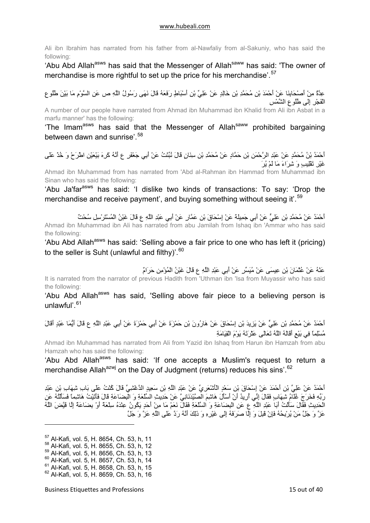Ali ibn Ibrahim has narrated from his father from al-Nawfaliy from al-Sakuniy, who has said the following:

'Abu Abd Allah<sup>asws</sup> has said that the Messenger of Allah<sup>saww</sup> has said: 'The owner of merchandise is more rightful to set up the price for his merchandise'.<sup>[57](#page-14-0)</sup>

عِدَّةٌ مِنْ أَصْحَابِنَا عَنْ أَحْمَدَ بْنِ مُحَمَّدِ بْنِ خَالِدٍ عَنْ عَلِيِّ بْنِ أَسْبَاطٍ رَفَعَهُ قَالَ نَهَى رَسُولُ اللَّهِ ص عَنِ السَّوْمِ مَا بَيْنَ طُلُوعِ الْفَجْرِ إِلَى طُلُوعِ الشَّمْسِ

A number of our people have narrated from Ahmad ibn Muhammad ibn Khalid from Ali ibn Asbat in a marfu manner' has the following:

'The Imam<sup>asws</sup> has said that the Messenger of Allah<sup>saww</sup> prohibited bargaining between dawn and sunrise<sup>'.[58](#page-14-1)</sup>

أَحْمَدُ بْنُ مُحَمَّدٍ عَنْ عَبْدِ الرَّحْمَنِ بْنِ حَمَّادٍ عَنْ مُحَمَّدِ بْنِ سِنَانٍ قَالَ نُبِّئْتُ عَنْ أَبِي جَعْفَرٍ ع أَنَّهُ آَرِهَ بَيْعَيْنِ اطْرَحْ وَ خُذْ عَلَى غَيْرِ تَقْلِيبٍ وَ شِرَاءَ مَا لَمْ يُرَ

Ahmad ibn Muhammad from has narrated from 'Abd al-Rahman ibn Hammad from Muhammad ibn Sinan who has said the following:

'Abu Ja'far<sup>asws</sup> has said: 'I dislike two kinds of transactions: To say: 'Drop the merchandise and receive payment', and buying something without seeing it'.<sup>[59](#page-14-2)</sup>

أَحْمَدُ عَنْ مُحَمَّدِ بْنِ عَلِيٍّ عَنْ أَبِي جَمِيلَةَ عَنْ إِسْحَاقَ بْنِ عَمَّارٍ عَنْ أَبِي عَبْدِ اللَّهِ ع قَالَ غَبْنُ الْمُسْتَرْسِلِ سُحْتٌ Ahmad ibn Muhammad ibn Ali has narrated from abu Jamilah from Ishaq ibn 'Ammar who has said the following:

'Abu Abd Allah<sup>asws</sup> has said: 'Selling above a fair price to one who has left it (pricing) to the seller is Suht (unlawful and filthy)<sup>'.[60](#page-14-3)</sup>

عَنْهُ عَنْ عُثْمَانَ بْنِ عِيسَى عَنْ مُيَسِّرٍ عَنْ أَبِي عَبْدِ اللَّهِ ع قَالَ غَبْنُ الْمُؤْمِنِ حَرَامٌ

It is narrated from the narrator of previous Hadith from 'Uthman ibn 'Isa from Muyassir who has said the following:

'Abu Abd Allah<sup>asws</sup> has said, 'Selling above fair piece to a believing person is unlawful' $61$ 

أَحْمَدُ عَنْ مُحَمَّدِ بْنِ عَلِيٍّ عَنْ يَزِيدَ بْنِ إِسْحَاقَ عَنْ هَارُونَ بْنِ حَمْزَةَ عَنْ أَبِي حَمْزَةَ عَنْ أَبِي عَبْدِ اللَّهِ ع قَالَ أَيُّمَا عَبْدٍ أَقَالَ مُسْلِماً فِي بَيْعٍ أَقَالَهُ اللَّهُ تَعَالَى عَثْرَتَهُ يَوْمَ الْقِيَامَةِ

Ahmad ibn Muhammad has narrated from Ali from Yazid ibn Ishaq from Harun ibn Hamzah from abu Hamzah who has said the following:

'Abu Abd Allah<sup>asws</sup> has said: 'If one accepts a Muslim's request to return a merchandise Allah<sup>azwj</sup> on the Day of Judgment (returns) reduces his sins'.<sup>[62](#page-14-5)</sup>

أَحْمَدُ عَنْ عَلِيِّ بْنِ أَحْمَدَ عَنْ إِسْحَاقَ بْنِ سَعْدٍ الْأَشْعَرِيِّ عَنْ عَبْدِ اللَّهِ بْنِ سَعِيدٍ الدَّغْشِيِّ قَالَ آُنْتُ عَلَى بَابِ شِهَابِ بْنِ عَبْدِ رَبِّهِ فَخَرَجَ غُلَامُ شِهَابٍ فَقَالَ إِنِّي أُرِيدُ أَنْ أَسْأَلَ هَاشِمَ الصَّيْدَنَانِيَّ عَنْ حَدِيثِ السِّلْعَةِ وَ الْبِضَاعَةِ قَالَ فَأَتَيْتُ هَاشِماً فَسَأَلْتُهُ عَنِ الْحَدِيثِ فَقَالَ سَأَلْتُ أَبَا عَبْدِ اللَّهِ ع عَنِ الْبِضَاعَةِ وَ السِّلْعَةِ فَقَالَ نَعَمْ مَا مِنْ أَحَدٍ يَكُونُ عِنْدَهُ سِلْعَةٌ أَوْ بِضَاعَةٌ إِلَّا قَيَّضَ اللَّهُ عَزَّ وَ جَلَّ مَنْ يُرْبِحُهُ فَإِنْ قَبِلَ وَ إِلَّا صَرَفَهُ إِلَى غَيْرِهِ وَ ذَلِكَ أَنَّهُ رَدَّ عَلَى اللَّهِ عَزَّ وَ جَلَّ

<span id="page-14-5"></span><span id="page-14-4"></span><span id="page-14-3"></span><span id="page-14-2"></span><span id="page-14-1"></span><span id="page-14-0"></span>57 Al-Kafi, vol. 5, H. 8654, Ch. 53, h, 11 58 Al-Kafi, vol. 5, H. 8655, Ch. 53, h, 12 59 Al-Kafi, vol. 5, H. 8656, Ch. 53, h, 13 60 Al-Kafi, vol. 5, H. 8657, Ch. 53, h, 14 61 Al-Kafi, vol. 5, H. 8658, Ch. 53, h, 15 62 Al-Kafi, vol. 5, H. 8659, Ch. 53, h, 16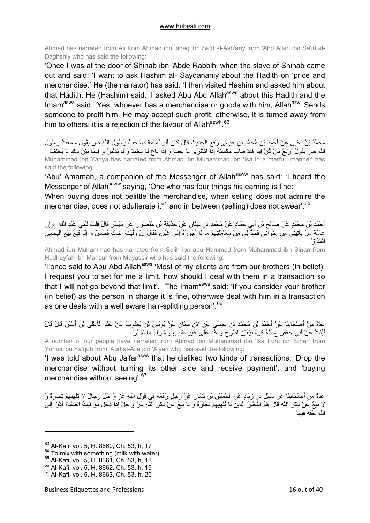Ahmad has narrated from Ali from Ahmad ibn Ishaq ibn Sa'd al-Ash'ariy from 'Abd Allah ibn Sa'id al-Daghshiy who has said the following:

'Once I was at the door of Shihab ibn 'Abde Rabbihi when the slave of Shihab came out and said: 'I want to ask Hashim al- Saydananiy about the Hadith on 'price and merchandise.' He (the narrator) has said: 'I then visited Hashim and asked him about that Hadith. He (Hashim) said: 'I asked Abu Abd Allah<sup>asws</sup> about this Hadith and the Imam<sup>asws</sup> said: 'Yes, whoever has a merchandise or goods with him, Allah<sup>azwj</sup> Sends someone to profit him. He may accept such profit, otherwise, it is turned away from him to others; it is a rejection of the favour of Allah<sup>azwj</sup>'.<sup>[63](#page-15-0)</sup>

مُحَمَّدُ بْنُ يَحْيَى عَنْ أَحْمَدَ بْنِ مُحَمَّدِ بْنِ عِيسَى رَفَعَ الْحَدِيثَ قَالَ آَانَ أَبُو أُمَامَةَ صَاحِبُ رَسُولِ اللَّهِ ص يَقُولُ سَمِعْتُ رَسُولَ اللَّهِ ص يَقُولُ أَرْبَعٌ مَنْ كُنَّ فِيهِ فَقَدْ طَابَ مَكْسَبُهُ إِذَا اشْتَرَى لَمْ يَعِبْ وَ إِذَا بَاعَ لَمْ يَحْمَدْ وَ لَا يُدَلِّسُ وَ فِيمَا بَيْنَ ذَلِكَ لَا يَحْلِفُ Muhammad ibn Yahya has narrated from Ahmad ibn Muhammad ibn 'Isa in a marfu ' manner' has said the following:

'Abu' Amamah, a companion of the Messenger of Allah<sup>saww</sup> has said: 'I heard the Messenger of Allah<sup>saww</sup> saying, 'One who has four things his earning is fine:

When buying does not belittle the merchandise, when selling does not admire the merchandise, does not adulterate it<sup>[64](#page-15-1)</sup> and in between (selling) does not swear'.<sup>[65](#page-15-2)</sup>

أَحْمَدُ بْنُ مُحَمَّدٍ عَنْ صَالِحِ بْنِ أَبِي حَمَّادٍ عَنْ مُحَمَّدِ بْنِ سِنَانٍ عَنْ حُذَيْفَةَ بْنِ مَنْصُورٍ عَنْ مُيَسِّرٍ قَالَ قُلْتُ لِأَبِي عَبْدِ اللَّهِ ع إِنَّ عَامَّةَ مَنْ يَأْتِينِي مِنْ إِخْوَانِي فَحُدَّ لِي مِنْ مُعَامَلَتِهِمْ مَا لَا أَجُوزُهُ إِلَى غَيْرِهِ فَقَالَ إِنْ وَلَّيْتَ أَخَاكَ فَحَسَنٌ وَ إِلَّا فَبِعْ بَيْعَ الْبَصِيرِ الْمُدَاقِّ

Ahmad ibn Muhammad has narrated from Salih ibn abu Hammad from Muhammad ibn Sinan from Hudhayfah ibn Mansur from Muyassir who has said the following:

'l once said to Abu Abd Allah<sup>asws</sup> 'Most of my clients are from our brothers (in belief). I request you to set for me a limit, how should I deal with them in a transaction so that I will not go beyond that limit'. The Imam<sup>asws</sup> said: 'If you consider your brother (in belief) as the person in charge it is fine, otherwise deal with him in a transaction as one deals with a well aware hair-splitting person'.<sup>[66](#page-15-3)</sup>

عِدَّةٌ مِنْ أَصْحَابِنَا عَنْ أَحْمَدَ بْنِ مُحَمَّدِ بْنِ عِيسَى عَنِ ابْنِ سِنَانٍ عَنْ يُونُسَ بْنِ يَعْقُوبَ عَنْ عَبْدِ الْأَعْلَى بْنِ أَعْيَنَ قَالَ قَالَ نُبِّئْتُ عَنْ أَبِي جَعْفَرٍ ع أَنَّهُ آَرِهَ بَيْعَيْنِ اطْرَحْ وَ خُذْ عَلَى غَيْرِ تَقْلِيبٍ وَ شِرَاءَ مَا لَمْ يُرَ

A number of our people have narrated from Ahmad ibn Muhammad ibn 'Isa from ibn Sinan from Yunus ibn Ya'qub from 'Abd al-Alla ibn 'A'yan who has said the following:

'I was told about Abu Ja'far<sup>asws</sup> that he disliked two kinds of transactions: 'Drop the merchandise without turning its other side and receive payment', and 'buying merchandise without seeing<sup>'.[67](#page-15-4)</sup>

عِدَّةٌ مِنْ أَصْحَابِنَا عَنْ سَهْلِ بْنِ زِيَادٍ عَنِ الْحُسَيْنِ بْنِ بَشَّارٍ عَنْ رَجُلٍ رَفَعَهُ فِي قَوْلِ اللَّهِ عَزَّ وَ جَلَّ رِجالٌ لا تُلْهِيهِمْ تِجارَةٌ وَ لا بَيْعٌ عَنْ ذِآْرِ اللَّهِ قَالَ هُمُ التُّجَّارُ الَّذِينَ لَا تُلْهِيهِمْ تِجَارَةٌ وَ لَا بَيْعٌ عَنْ ذِآْرِ اللَّهِ عَزَّ وَ جَلَّ إِذَا دَخَلَ مَوَاقِيتُ الصَّلَاةِ أَدَّوْا إِلَى اللَّهِ حَقَّهُ فِيهَا

<span id="page-15-0"></span><sup>63</sup> Al-Kafi, vol. 5, H. 8660, Ch. 53, h, 17

<span id="page-15-1"></span> $64$  To mix with something (milk with water)  $65$  Al-Kafi, vol. 5, H. 8661, Ch. 53, h, 18

<span id="page-15-3"></span><span id="page-15-2"></span><sup>66</sup> Al-Kafi, vol. 5, H. 8662, Ch. 53, h, 19

<span id="page-15-4"></span><sup>67</sup> Al-Kafi, vol. 5, H. 8663, Ch. 53, h, 20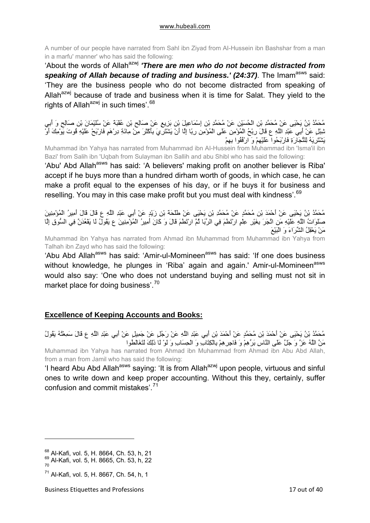<span id="page-16-0"></span>A number of our people have narrated from Sahl ibn Ziyad from AI-Hussein ibn Bashshar from a man in a marfu' manner' who has said the following:

'About the words of Allah<sup>azwj</sup> **'There are men who do not become distracted from** speaking of Allah because of trading and business.' (24:37). The Imam<sup>asws</sup> said: 'They are the business people who do not become distracted from speaking of Allah<sup>azwj</sup> because of trade and business when it is time for Salat. They yield to the rights of Allah $^{azwj}$  in such times'.  $^{68}$  $^{68}$  $^{68}$ 

مُحَمَّدُ بْنُ يَحْيَى عَنْ مُحَمَّدِ بْنِ الْحُسَيْنِ عَنْ مُحَمَّدِ بْنِ إِسْمَاعِيلَ بْنِ بَزِيعٍ عَنْ صَالِحِ بْنِ عُقْبَةَ عَنْ سُلَيْمَانَ بْنِ صَالِحٍ وَ أَبِي شِبْلٍ عَنْ أَبِي عَبْدِ اللَّهِ ع قَالَ رِبْحُ الْمُؤْمِنِ عَلَى الْمُؤْمِنِ رِبًا إِلَّا أَنْ يَشْتَرِيَ بِأَآْثَرَ مِنْ مِائَةِ دِرْهَمٍ فَارْبَحْ عَلَيْهِ قُوتَ يَوْمِكَ أَوْ يَشْتَرِيَهُ لِلتِّجَارَةِ فَارْبَحُوا عَلَيْهِمْ وَ ارْفُقُوا بِهِمْ

Muhammad ibn Yahya has narrated from Muhammad ibn AI-Hussein from Muhammad ibn 'Isma'il ibn Bazi' from Salih ibn 'Uqbah from Sulayman ibn Sallih and abu Shibl who has said the following:

'Abu' Abd Allah<sup>asws</sup> has said: 'A believers' making profit on another believer is Riba' accept if he buys more than a hundred dirham worth of goods, in which case, he can make a profit equal to the expenses of his day, or if he buys it for business and reselling. You may in this case make profit but you must deal with kindness'.<sup>[69](#page-16-2)</sup>

مُحَمَّدُ بْنُ يَحْيَى عَنْ أَحْمَدَ بْنِ مُحَمَّدٍ عَنْ مُحَمَّدِ بْنِ يَحْيَى عَنْ طَلْحَةَ بْنِ زَيْدٍ عَنْ أَبِي عَبْدِ اللَّهِ ع قَالَ قَالَ أَمِيرُ الْمُؤْمِنِينَ صَلَوَاتُ اللَّهِ عَلَيْهِ مَنِ اتَّجَرَ بِغَيْرِ عِلْمٍ ارْتَطَمَ فِي الرِّبَا ثُمَّ ارْتَطَمَ قَالَ وَ آَانَ أَمِيرُ الْمُؤْمِنِينَ ع يَقُولُ لَا يَقْعُدَنَّ فِي السُّوقِ إِلَّا مَنْ يَعْقِلُ الشِّرَاءَ وَ الْبَيْعَ

Muhammad ibn Yahya has narrated from Ahmad ibn Muhammad from Muhammad ibn Yahya from Talhah ibn Zayd who has said the following:

'Abu Abd Allah<sup>asws</sup> has said: 'Amir-ul-Momineen<sup>asws</sup> has said: 'If one does business without knowledge, he plunges in 'Riba' again and again.' Amir-ul-Momineen<sup>asws</sup> would also say: 'One who does not understand buying and selling must not sit in market place for doing business'.<sup>[70](#page-16-3)</sup>

## **Excellence of Keeping Accounts and Books:**

مُحَمَّدُ بْنُ يَحْيَى عَنْ أَحْمَدَ بْنِ مُحَمَّدٍ عَنْ أَحْمَدَ بْنِ أَبِي عَبْدِ اللَّهِ عَنْ رَجُلٍ عَنْ جَمِيلٍ عَنْ أَبِي عَبْدِ اللَّهِ ع قَالَ سَمِعْتُهُ يَقُولُ مَنَّ اللَّهُ عَزَّ وَ جَلَّ عَلَى النَّاسِ بَرِّهِمْ وَ فَاجِرِهِمْ بِالْكِتَابِ وَ الْحِسَابِ وَ لَوْ لَا ذَلِكَ لَتَغَالَطُوا

Muhammad ibn Yahya has narrated from Ahmad ibn Muhammad from Ahmad ibn Abu Abd Allah, from a man from Jamil who has said the following:

'I heard Abu Abd Allah<sup>asws</sup> saying: 'It is from Allah<sup>azwj</sup> upon people, virtuous and sinful ones to write down and keep proper accounting. Without this they, certainly, suffer confusion and commit mistakes'.[71](#page-16-4)

<span id="page-16-1"></span><sup>68</sup> Al-Kafi, vol. 5, H. 8664, Ch. 53, h, 21

<span id="page-16-2"></span> $_{70}^{69}$  Al-Kafi, vol. 5, H. 8665, Ch. 53, h, 22

<span id="page-16-4"></span><span id="page-16-3"></span> $^{71}$  Al-Kafi, vol. 5, H. 8667, Ch. 54, h, 1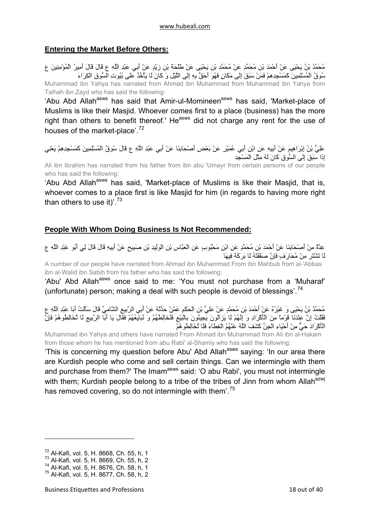## <span id="page-17-0"></span>**Entering the Market Before Others:**

مُحَمَّدُ بْنُ يَحْيَى عَنْ أَحْمَدَ بْنِ مُحَمَّدٍ عَنْ مُحَمَّدِ بْنِ يَحْيَى عَنْ طَلْحَةَ بْنِ زَيْدٍ عَنْ أَبِي عَبْدِ اللَّهِ ع قَالَ قَالَ أَمِيرُ الْمُؤْمِنِينَ ع سُوقُ الْمُسْلِمِينَ آَمَسْجِدِهِمْ فَمَنْ سَبَقَ إِلَى مَكَانٍ فَهُوَ أَحَقُّ بِهِ إِلَى اللَّيْلِ وَ آَانَ لَا يَأْخُذُ عَلَى بُيُوتِ السُّوقِ الْكِرَاءَ Muhammad ibn Yahya has narrated from Ahmad ibn Muhammad from Muhammad ibn Yahya from Talhah ibn Zayd who has said the following:

'Abu Abd Allah<sup>asws</sup> has said that Amir-ul-Momineen<sup>asws</sup> has said, 'Market-place of Muslims is like their Masjid. Whoever comes first to a place (business) has the more right than others to benefit thereof.' He<sup>asws</sup> did not charge any rent for the use of houses of the market-place'.<sup>[72](#page-17-1)</sup>

عَلِيُّ بْنُ إِبْرَاهِيمَ عَنْ أَبِيهِ عَنِ ابْنِ أَبِي عُمَيْرٍ عَنْ بَعْضِ أَصْحَابِنَا عَنْ أَبِي عَبْدِ اللَّهِ ع قَالَ سُوقُ الْمُسْلِمِينَ كَمَسْجِدِهِمْ يَعْنِي إِذَا سَبَقَ إِلَى السُّوقِ آَانَ لَهُ مِثْلَ الْمَسْجِدِ

Ali ibn Ibrahim has narrated from his father from ibn abu 'Umayr from certain persons of our people who has said the following:

'Abu Abd Allah<sup>asws</sup> has said, 'Market-place of Muslims is like their Masjid, that is, whoever comes to a place first is like Masjid for him (in regards to having more right than others to use it)'.<sup>[73](#page-17-2)</sup>

## **People With Whom Doing Business Is Not Recommended:**

عِدَّةٌ مِنْ أَصْحَابِنَا عَنْ أَحْمَدَ بْنِ مُحَمَّدٍ عَنِ ابْنِ مَحْبُوبٍ عَنِ الْعَبَّاسِ بْنِ الْوَلِيدِ بْنِ صَبِيحٍ عَنْ أَبِيهِ قَالَ قَالَ لِي أَبُو عَبْدِ اللَّهِ ع لَا تَشْتَرِ مِنْ مُحَارَفٍ فَإِنَّ صَفْقَتَهُ لَا بَرَآَةَ فِيهَا

A number of our people have narrated from Ahmad ibn Muhammad From ibn Mahbub from al-'Abbas ibn al-Walid ibn Sabih from his father who has said the following:

'Abu' Abd Allah<sup>asws</sup> once said to me: 'You must not purchase from a 'Muharaf' (unfortunate) person; making a deal with such people is devoid of blessings'.<sup>[74](#page-17-3)</sup>

مُحَمَّدُ بْنُ يَحْيَى وَ غَيْرُهُ عَنْ أَحْمَدَ بْنِ مُحَمَّدٍ عَنْ عَلِيِّ بْنِ الْحَكَمِ عَمَّنْ حَدَّثَهُ عَنْ أَبِي الرَّبِيعِ الشَّامِيِّ قَالَ سَأَلْتُ أَبَا عَبْدِ اللَّهِ ع فَقُلْتُ إِنَّ عِنْدَنَا قَوْماً مِنَ الْأَآْرَادِ وَ إِنَّهُمْ لَا يَزَالُونَ يَجِيئُونَ بِالْبَيْعِ فَنُخَالِطُهُمْ وَ نُبَايِعُهُمْ فَقَالَ يَا أَبَا الرَّبِيعِ لَا تُخَالِطُوهُمْ فَإِنَّ الْأَكْرَادَ حَيٌّ مِنْ أَحْيَاءِ الْجِنِّ كَثْنَفَ اللَّهُ عَنْهُمُ الْغِطَاءَ فَلَا تُخَالِطُوهُمْ

Muhammad ibn Yahya and others have narrated From Ahmad ibn Muhammad from Ali ibn al-Hakam from those whom he has mentioned from abu Rabi' al-Shamiy who has said the following:

'This is concerning my question before Abu' Abd Allah<sup>asws</sup> saying: 'In our area there are Kurdish people who come and sell certain things. Can we intermingle with them and purchase from them?' The Imam<sup>asws</sup> said: 'O abu Rabi', you must not intermingle with them; Kurdish people belong to a tribe of the tribes of Jinn from whom Allah<sup>azwj</sup> has removed covering, so do not intermingle with them<sup>'.[75](#page-17-4)</sup>

<span id="page-17-1"></span><sup>72</sup> Al-Kafi, vol. 5, H. 8668, Ch. 55, h, 1

<span id="page-17-2"></span><sup>73</sup> Al-Kafi, vol. 5, H. 8669, Ch. 55, h, 2

<span id="page-17-3"></span><sup>74</sup> Al-Kafi, vol. 5, H. 8676, Ch. 58, h, 1

<span id="page-17-4"></span><sup>75</sup> Al-Kafi, vol. 5, H. 8677, Ch. 58, h, 2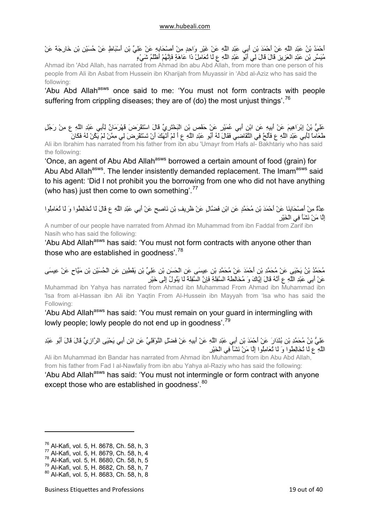أَحْمَدُ بْنُ عَبْدِ اللَّهِ عَنْ أَحْمَدَ بْنِ أَبِي عَبْدِ اللَّهِ عَنْ غَيْرِ وَاحِدٍ مِنْ أَصْحَابِهِ عَنْ عَلِيِّ بْنِ أَسْبَاطٍ عَنْ حُسَيْنِ بْنِ خَارِجَةَ عَنْ مُيَسِّرِ بْنِ عَبْدِ الْعَزِيزِ قَالَ قَالَ لِي أَبُو عَبْدِ اللَّهِ ع لَا تُعَامِلْ ذَا عَاهَةٍ فَإِنَّهُمْ أَظْلَمُ شَيْءٍ

Ahmad ibn 'Abd Allah, has narrated from Ahmad ibn abu Abd Allah, from more than one person of his people from Ali ibn Asbat from Hussein ibn Kharijah from Muyassir in 'Abd al-Aziz who has said the following:

'Abu Abd Allah<sup>asws</sup> once said to me: 'You must not form contracts with people suffering from crippling diseases; they are of (do) the most unjust things'.<sup>[76](#page-18-0)</sup>

عَلِيُّ بْنُ إِبْرَاهِيمَ عَنْ أَبِيهِ عَنِ ابْنِ أَبِي عُمَيْرٍ عَنْ حَفْصِ بْنِ الْبَخْتَرِيِّ قَالَ اسْتَقْرَضَ قَهْرَمَانٌ لِأَبِي عَبْدِ اللَّهِ ع مِنْ رَجُلٍ طَعَاماً لِأَبِي عَبْدِ اللَّهِ ع فَأَلَحَّ فِي التَّقَاضِي فَقَالَ لَهُ أَبُو عَبْدِ اللَّهِ ع أَ لَمْ أَنْهَكَ أَنْ تَسْتَقْرِضَ لِي مِمَّنْ لَمْ يَكُنْ لَهُ فَكَانَ Ali ibn Ibrahim has narrated from his father from ibn abu 'Umayr from Hafs al- Bakhtariy who has said the following:

'Once, an agent of Abu Abd Allah<sup>asws</sup> borrowed a certain amount of food (grain) for Abu Abd Allah<sup>asws</sup>. The lender insistently demanded replacement. The Imam<sup>asws</sup> said to his agent: 'Did I not prohibit you the borrowing from one who did not have anything (who has) just then come to own something'.<sup>[77](#page-18-1)</sup>

عِدَّةٌ مِنْ أَصْحَابِنَا عَنْ أَحْمَدَ بْنِ مُحَمَّدٍ عَنِ ابْنِ فَضَّالٍ عَنْ ظَرِيفِ بْنِ نَاصِحٍ عَنْ أَبِي عَبْدِ اللَّهِ ع قَالَ لَا تُخَالِطُوا وَ لَا تُعَامِلُوا إِلَّا مَنْ نَشَأَ فِي الْخَيْرِ

A number of our people have narrated from Ahmad ibn Muhammad from ibn Faddal from Zarif ibn Nasih who has said the following:

'Abu Abd Allah<sup>asws</sup> has said: 'You must not form contracts with anyone other than those who are established in goodness<sup>'.[78](#page-18-2)</sup>

## مُحَمَّدُ بْنُ يَحْيَى عَنْ مُحَمَّدِ بْنِ أَحْمَدَ عَنْ مُحَمَّدِ بْنِ عِيسَى عَنِ الْحَسَنِ بْنِ عَلِيِّ بْنِ يَقْطِينٍ عَنِ الْحُسَيْنِ بْنِ مَيَّاحٍ عَنْ عِيسَى عَنْ أَبِي عَبْدِ اللَّهِ ع أَنَّهُ قَالَ إِيَّاكَ وَ مُخَالَطَةَ السَّفِلَةِ فَإِنَّ السَّفِلَةَ لَا يَئُولُ إِلَى خَيْرٍ

Muhammad ibn Yahya has narrated from Ahmad ibn Muhammad From Ahmad ibn Muhammad ibn 'Isa from al-Hassan ibn Ali ibn Yaqtin From Al-Hussein ibn Mayyah from 'lsa who has said the Following:

'Abu Abd Allah<sup>asws</sup> has said: 'You must remain on your guard in intermingling with lowly people; lowly people do not end up in goodness'.<sup>[79](#page-18-3)</sup>

عَلِيُّ بْنُ مُحَمَّدِ بْنِ بُنْدَارَ عَنْ أَحْمَدَ بْنِ أَبِي عَبْدِ اللَّهِ عَنْ أَبِيهِ عَنْ فَضْلٍ النَّوْفَلِيِّ عَنِ ابْنِ أَبِي يَحْيَى الرَّازِيِّ قَالَ قَالَ أَبُو عَبْدِ اللَّهِ ع لَا تُخَالِطُوا وَ لَا تُعَامِلُوا إِلَّا مَنْ نَشَأَ فِي الْخَيْرِ

Ali ibn Muhammad ibn Bandar has narrated from Ahmad ibn Muhammad from ibn Abu Abd Allah, from his father from Fad I al-Nawfaliy from ibn abu Yahya al-Raziy who has said the following:

'Abu Abd Allah<sup>asws</sup> has said: 'You must not intermingle or form contract with anyone except those who are established in goodness'.<sup>[80](#page-18-4)</sup>

<span id="page-18-0"></span><sup>76</sup> Al-Kafi, vol. 5, H. 8678, Ch. 58, h, 3

<sup>77</sup> Al-Kafi, vol. 5, H. 8679, Ch. 58, h, 4

<span id="page-18-2"></span><span id="page-18-1"></span><sup>78</sup> Al-Kafi, vol. 5, H. 8680, Ch. 58, h, 5

<span id="page-18-3"></span><sup>79</sup> Al-Kafi, vol. 5, H. 8682, Ch. 58, h, 7

<span id="page-18-4"></span><sup>80</sup> Al-Kafi, vol. 5, H. 8683, Ch. 58, h, 8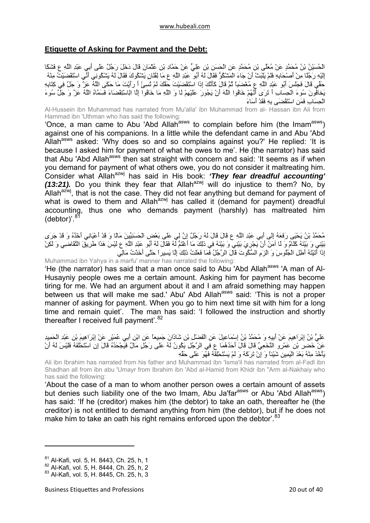## <span id="page-19-0"></span>**Etiquette of Asking for Payment and the Debt:**

الْحُسَيْنُ بْنُ مُحَمَّدٍ عَنْ مُعَلَّى بْنِ مُحَمَّدٍ عَنِ الْحَسَنِ بْنِ عَلِيٍّ عَنْ حَمَّادِ بْنِ عُثْمَانَ قَالَ دَخَلَ رَجُلٌ عَلَى أَبِي عَبْدِ اللَّهِ ع فَشَكَا إِلَيْهِ رَجُلًا مِنْ أَصْحَابِهِ فَلَمْ يَلْبَثْ أَنْ جَاءَ الْمَشْكُوُّ فَقَالَ لَهُ أَبُو عَبْدِ اللَّهِ ع مَا لِفُلَانٍ يَشْكُوكَ فَقَالَ لَهُ يَشْكُونِي أَنِّي اسْتَقْضَيْتُ مِنْهُ .<br>حَقِّي قَالَ فَجَلَسَ أَبُو عَبْدِ اللَّهِ ع مُغْضَبَا ثُمَّ قَالَ كَأَنَّكَ إِذَا اسْتَقْضَيْتَ حَقَّكَ لَمْ تُسِئْ أَ رَأَيْتَ مَا حَكَى اللَّهُ عَنَّ وَ جَلَّ فِي كِتَابِهِ يَخافُونَ سُوءَ الْحِسابِ أَ تَرَى أَنَّهُمْ خَافُوا اللَّهَ أَنْ يَجُورَ عَلَيْهِمْ لَا وَ اللَّهِ مَا خَافُوا إِلَّا الِاسْتِقْضَاءَ فَسَمَّاهُ اللَّهُ عَزَّ وَ جَلَّ سُوءَ الْحِسَابِ فَمَنِ اسْتَقْضَى بِهِ فَقَدْ أَسَاءَ

Al-Hussein ibn Muhammad has narrated from Mu'alla' ibn Muhammad from al- Hassan ibn Ali from Hammad ibn 'Uthman who has said the following:

'Once, a man came to Abu 'Abd Allah<sup>asws</sup> to complain before him (the Imam<sup>asws</sup>) against one of his companions. In a little while the defendant came in and Abu 'Abd Allah<sup>asws</sup> asked: 'Why does so and so complains against you?' He replied: 'It is because I asked him for payment of what he owes to me'. He (the narrator) has said that Abu 'Abd Allah<sup>asws</sup> then sat straight with concern and said: 'It seems as if when you demand for payment of what others owe, you do not consider it maltreating him. Consider what Allah<sup>azwj</sup> has said in His book: 'They fear dreadful accounting'  $(13:21)$ . Do you think they fear that Allah<sup>azwj</sup> will do injustice to them? No, by Allah $a^{2xy}$ , that is not the case. They did not fear anything but demand for payment of what is owed to them and Allah<sup>azwj</sup> has called it (demand for payment) dreadful accounting, thus one who demands payment (harshly) has maltreated him  $(debtor)$ '.<sup>[81](#page-19-1)</sup>

مُحَمَّدُ بْنُ يَحْيَى رَفَعَهُ إِلَى أَبِي عَبْدِ اللَّهِ ع قَالَ قَالَ لَهُ رَجُلٌ إِنَّ لِي عَلَى بَعْضِ الْحَسَنِيِّينَ مَالًا وَ قَدْ أَعْيَانِي أَخْذُهُ وَ قَدْ جَرَى بَيْنِي وَ بَيْنَهُ آَلَامٌ وَ لَا آمَنُ أَنْ يَجْرِيَ بَيْنِي وَ بَيْنَهُ فِي كَذَلِ مَا أَغْتَمُّ لَهُ فَقَالَ لَهُ أَبُو عَبْدِ اللَّهِ ع لَيْسَ هَذَا طَرِيقَ التَّقَاضِي وَ لَكِنْ إِذَا أَتَيْتَهُ أَطِلِ الْجُلُوسَ وَ الْزَمِ السُّكُوتَ قَالَ الرَّجُلُ فَمَا فَعَلْتُ ذَلِكَ إِلَّا يَسِيراً حَتَّى أَخَذْتُ مَالِي

Muhammad ibn Yahya in a marfu' manner has narrated the following:

'He (the narrator) has said that a man once said to Abu 'Abd Allah<sup>asws</sup> 'A man of Al-Husayniy people owes me a certain amount. Asking him for payment has become tiring for me. We had an argument about it and I am afraid something may happen between us that will make me sad.' Abu' Abd Allah<sup>asws</sup> said: 'This is not a proper manner of asking for payment. When you go to him next time sit with him for a long time and remain quiet'. The man has said: 'I followed the instruction and shortly thereafter I received full payment<sup>'.[82](#page-19-2)</sup>

عَلِيُّ بْنُ إِبْرَاهِيمَ عَنْ أَبِيهِ وَ مُحَمَّدُ بْنُ إِسْمَاعِيلَ عَنِ الْفَضْلِ بْنِ شَاذَانَ جَمِيعاً عَنِ ابْنِ أَبِي عُمَيْرٍ عَنْ إِبْرَاهِيمَ بْنِ عَبْدِ الْحَمِيدِ عَنْ خَضِرِ بْنِ عَمْرٍو النَّخَعِيِّ قَالَ قَالَ أَحَدُهُمَا ع فِي الرَّجُلِ يَكُونُ لَهُ عَلَى رَجُلٍ مَالٌ فَيَجْحَدُهُ قَالَ إِنِ اسْتَحْلَفَهُ فَلَيْسَ لَهُ أَنْ يَأْخُذَ مِنْهُ بَعْدَ الْيَمِينِ شَيْئاً وَ إِنْ تَرَآَهُ وَ لَمْ يَسْتَحْلِفْهُ فَهُوَ عَلَى حَقِّهِ

Ali ibn Ibrahim has narrated from his father and Muhammad ibn 'Isma'il has narrated from al-Fadl ibn Shadhan all from ibn abu 'Umayr from Ibrahim ibn 'Abd al-Hamid from Khidr ibn "Arm al-Nakhaiy who has said the following:

'About the case of a man to whom another person owes a certain amount of assets but denies such liability one of the two Imam, Abu Ja'far<sup>asws</sup> or Abu 'Abd Allah<sup>asws</sup>) has said: 'If he (creditor) makes him (the debtor) to take an oath, thereafter he (the creditor) is not entitled to demand anything from him (the debtor), but if he does not make him to take an oath his right remains enforced upon the debtor'.<sup>[83](#page-19-3)</sup>

<span id="page-19-1"></span><sup>81</sup> Al-Kafi, vol. 5, H. 8443, Ch. 25, h, 1

<span id="page-19-2"></span><sup>82</sup> Al-Kafi, vol. 5, H. 8444, Ch. 25, h, 2

<span id="page-19-3"></span><sup>83</sup> Al-Kafi, vol. 5, H. 8445, Ch. 25, h, 3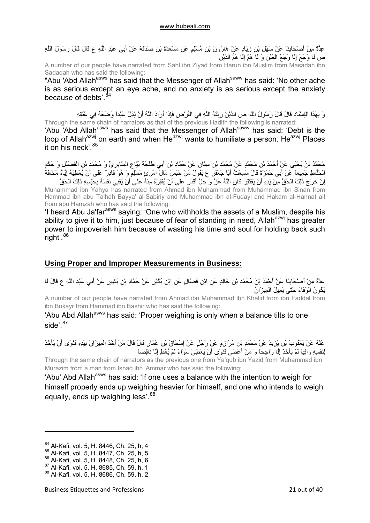<span id="page-20-0"></span>عِدَّةٌ مِنْ أَصْحَابِنَا عَنْ سَهْلِ بْنِ زِيَادٍ عَنْ هَارُونَ بْنِ مُسْلِمٍ عَنْ مَسْعَدَةَ بْنِ صَدَقَةَ عَنْ أَبِي عَبْدِ اللَّهِ ع قَالَ قَالَ رَسُولُ اللَّهِ ص لَا وَجَعَ إِلَّا وَجَعُ الْعَيْنِ وَ لَا هَمَّ إِلَّا هَمُّ الدَّيْنِ

A number of our people have narrated from Sahl ibn Ziyad from Harun ibn Muslim from Masadah ibn Sadaqah who has said the following:

"Abu 'Abd Allah<sup>asws</sup> has said that the Messenger of Allah<sup>saww</sup> has said: 'No other ache is as serious except an eye ache, and no anxiety is as serious except the anxiety because of debts'.<sup>[84](#page-20-1)</sup>

وَ بِهَذَا الْإِسْنَادِ قَالَ قَالَ رَسُولُ اللَّهِ ص الدَّيْنُ رِبْقَةُ اللَّهِ فِي الْأَرْضِ فَإِذَا أَرَادَ اللَّهُ أَنْ يُذِلَّ عَبْداً وَضَعَهُ فِي عُنُّقِهِ<br>Through the same chain of narrators as that of the previou Through the same chain of narrators as that of the previous Hadith the following is narrated:

'Abu 'Abd Allah<sup>asws</sup> has said that the Messenger of Allah<sup>saww</sup> has said: 'Debt is the loop of Allah<sup>azwj</sup> on earth and when He<sup>azwj</sup> wants to humiliate a person. He<sup>azwj</sup> Places it on his neck'.<sup>[85](#page-20-2)</sup>

مُحَمَّدُ بْنُ يَحْيَى عَنْ أَحْمَدَ بْنِ مُحَمَّدٍ عَنْ مُحَمَّدِ بْنِ سِنَانٍ عَنْ حَمَّادِ بْنِ أَبِي طَلْحَةَ بَيَّاعِ السَّابِرِيِّ وَ مُحَمَّدِ بْنِ الْفُضَيْلِ وَ حَكَمٍ الْحَنَّاطِ جَمِيعاً عَنْ أَبِي حَمْزَةَ قَالَ سَمِعْتُ أَبَا جَعْفَرٍ ع يَقُولُ مَنْ حَبَسَ مَالَ امْرِئٍ مُسْلِمٍ وَ هُوَ قَادِرٌ عَلَى أَنْ يُعْطِيَهُ إِيَّاهُ مَخَافَةَ إِنْ خَرَجَ ذَلِكَ الْحَقُّ مِنْ يَدِهِ أَنْ يَفْتَقِرَ كَانَ اللَّهُ عَزَّ وَ جَلَّ أَقْدَرَ عَلَى أَنْ يُفْقِرَهُ مِنْهُ عَلَى أَنْ يُفْنِيَ نَفْسَهُ بِحَبْسِهِ ذَلِكَ الْحَقَّ<br>إِنْ خَرَجَ ذَلِكَ الْحَقُّ مِنْ يَدِهِ أَ

Muhammad ibn Yahya has narrated from Ahmad ibn Muhammad from Muhammad ibn Sinan from Hammad ibn abu Talhah Bayya' al-Sabiriy and Muhammad ibn al-Fudayl and Hakam al-Hannat all from abu Hamzah who has said the following:

'I heard Abu Ja'farasws saying: 'One who withholds the assets of a Muslim, despite his ability to give it to him, just because of fear of standing in need, Allah<sup>azwj</sup> has greater power to impoverish him because of wasting his time and soul for holding back such  $^{\prime}$ right'.  $^{86}$  $^{86}$  $^{86}$ 

## **Using Proper and Improper Measurements in Business:**

عِدَّةٌ مِنْ أَصْحَابِنَا عَنْ أَحْمَدَ بْنَ مُحَمَّدِ بْنِ خَالِدٍ عَنِ ابْنِ فَضَّالٍ عَنِ ابْنِ بُكَيْرٍ عَنْ حَمَّادِ بْنِ بَشِيرٍ عَنْ أَبِي عَبْدِ اللَّهِ ع قَالَ لَا يَكُونُ الْوَفَاءُ حَتَّى يَمِيلَ الْمِيزَانُ

A number of our people have narrated from Ahmad ibn Muhammad ibn Khalid from ibn Faddal from ibn Bukayr from Hammad ibn Bashir who has said the following:

'Abu Abd Allah<sup>asws</sup> has said: 'Proper weighing is only when a balance tilts to one side'.  $87$ 

عَنْهُ عَنْ يَعْقُوبَ بْنِ يَزِيدَ عَنْ مُحَمَّدِ بْنِ مُرَازِمٍ عَنْ رَجُلٍ عَنْ إِسْحَاقَ بْنِ عَمَّارٍ قَالَ قَالَ مَنْ أَخَذَ الْمِيزَانَ بِيَدِهِ فَنَوَى أَنْ يَأْخُذَ لِنَفْسِهِ وَافِياً لَمْ يَأْخُذْ إِلَّا رَاجِحاً وَ مَنْ أَعْطَى فَنَوَى أَنْ يُعْطِيَ سَوَاءً لَمْ يُعْطِ إِلَّا نَاقِصاً

Through the same chain of narrators as the previous one from Ya'qub ibn Yazid from Muhammad ibn Murazim from a man from Ishaq ibn 'Ammar who has said the following:

'Abu' Abd Allah<sup>asws</sup> has said: 'If one uses a balance with the intention to weigh for himself properly ends up weighing heavier for himself, and one who intends to weigh equally, ends up weighing less'.<sup>[88](#page-20-5)</sup>

<span id="page-20-1"></span><sup>84</sup> Al-Kafi, vol. 5, H, 8446, Ch, 25, h, 4

<sup>85</sup> Al-Kafi, vol. 5, H. 8447, Ch. 25, h, 5

<span id="page-20-3"></span><span id="page-20-2"></span><sup>86</sup> Al-Kafi, vol. 5, H. 8448, Ch. 25, h, 6

<span id="page-20-4"></span><sup>87</sup> Al-Kafi, vol. 5, H. 8685, Ch. 59, h, 1

<span id="page-20-5"></span><sup>88</sup> Al-Kafi, vol. 5, H. 8686, Ch. 59, h, 2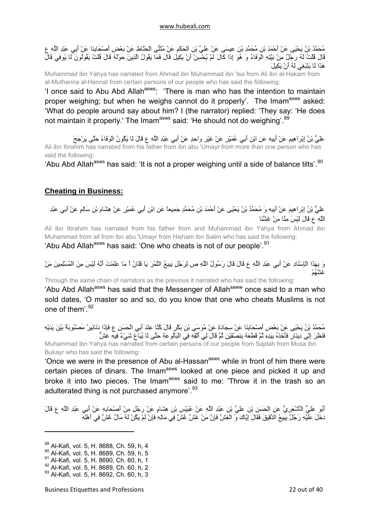<span id="page-21-0"></span>مُحَمَّدُ بْنُ يَحْيَى عَنْ أَحْمَدَ بْنِ مُحَمَّدِ بْنِ عِيسَى عَنْ عَلِيِّ بْنِ الْحَكَمِ عَنْ مُثَنًّى الْحَنَّاطِ عَنْ بَعْضِ أَصْحَابِنَا عَنْ أَبِي عَبْدِ اللَّهِ ع مَعْمَد بن يَحْسِنَ مَنْ جَمَعَتْ بن حَسَبَ بن سِيسى مَنْ سِي بن آنْ يَكِيلَ قَالَ فَمَا يَقُولُ الَّذِينَ حَوْلَهُ قَالَ قُلْتُ يَقُولُونَ لَا يُوفِي قَالَ<br>قَالَ قُلْتُ لَهُ رَجُلٌ مِنْ نِيَّتِهِ الْوَفَاءُ وَ هُوَ إِذَا هَذَا لَا يَنْبَغِي لَهُ أَنْ يَكِيلَ

Muhammad ibn Yahya has narrated from Ahmad ibn Muhammad ibn 'lsa from Ali ibn al-Hakam from al-Muthanna al-Hannat from certain persons of our people who has said the following:

'I once said to Abu Abd Allah<sup>asws</sup>: 'There is man who has the intention to maintain proper weighing; but when he weighs cannot do it properly'. The Imam<sup>asws</sup> asked: 'What do people around say about him? I (the narrator) replied: 'They say: 'He does not maintain it properly.' The Imam<sup>asws</sup> said: 'He should not do weighing'.<sup>[89](#page-21-1)</sup>

عَلِيُّ بْنُ إِبْرَاهِيمَ عَنْ أَبِيهِ عَنِ ابْنِ أَبِي عُمَيْرٍ عَنْ غَيْرِ وَاحِدٍ عَنْ أَبِي عَبْدِ اللَّهِ ع قَالَ لَا يَكُونُ الْوَفَاءُ حَتَّى يَرْجَحَ Ali ibn Ibrahim has narrated from his father from ibn abu 'Umayr from more than one person who has said the following:

'Abu Abd Allah<sup>asws</sup> has said: 'It is not a proper weighing until a side of balance tilts'.<sup>[90](#page-21-2)</sup>

## **Cheating in Business:**

عَلِيُّ بْنُ إِبْرَاهِيمَ عَنْ أَبِيهِ وَ مُحَمَّدُ بْنُ يَحْيَى عَنْ أَحْمَدَ بْنِ مُحَمَّدٍ جَمِيعاً عَنِ ابْنِ أَبِي عُمَيْرٍ عَنْ هِشَامِ بْنِ سَالِمٍ عَنْ أَبِي عَبْدِ اللَّهِ ع قَالَ لَيْسَ مِنَّا مَنْ غَشَّنَا

Ali ibn Ibrahim has narrated from his father from and Muhammad ibn Yahya from Ahmad ibn Muhammad from all from ibn abu 'Umayr from Hisham ibn Salim who has said the following:

'Abu Abd Allah<sup>asws</sup> has said: 'One who cheats is not of our people'.<sup>[91](#page-21-3)</sup>

وَ بِهَذَا الْإِسْنَادِ عَنْ أَبِي عَبْدِ اللَّهِ ع قَالَ قَالَ رَسُولُ اللَّهِ ص لِرَجُلٍ يَبِيعُ التَّمْرَ يَا فُلَانُ أَ مَا عَلِمْتَ أَنَّهُ لَيْسَ مِنَ الْمُسْلِمِينَ مَنْ غَشَّهُمْ

Through the same chain of narrators as the previous it narrated who has said the following:

'Abu Abd Allah<sup>asws</sup> has said that the Messenger of Allah<sup>saww</sup> once said to a man who sold dates, 'O master so and so, do you know that one who cheats Muslims is not one of them'.[92](#page-21-4)

مُحَمَّدُ بْنُ يَحْيَى عَنْ بَعْضِ أَصْحَابِنَا عَنْ سِجَادَةَ عَنْ مُوسَى بْنِ بَكْرٍ قَالَ آُنَّا عِنْدَ أَبِي الْحَسَنِ ع فَإِذَا دَنَانِيرُ مَصْبُوبَةٌ بَيْنَ يَدَيْهِ فَنَظَرَ إِلَى دِينَارٍ فَأَخَذَهُ بِيَدِهِ ثُمَّ قَطَعَهُ بِنِصْفَيْنِ ثُمَّ قَالَ لِي أَلْقِهِ فِي الْبَالُوعَةِ حَتَّى لَا يُبَاعَ شَيْءٌ فِيهِ غِشٌّ Muhammad ibn Yahya has narrated from certain persons of our people from Sajdah from Musa ibn Bukayr who has said the following:

'Once we were in the presence of Abu al-Hassan<sup>asws</sup> while in front of him there were certain pieces of dinars. The Imam<sup>asws</sup> looked at one piece and picked it up and broke it into two pieces. The Imam<sup>asws</sup> said to me: 'Throw it in the trash so an adulterated thing is not purchased anymore'.<sup>[93](#page-21-5)</sup>

أَبُو عَلِيٍّ الْأَشْعَرِيُّ عَنِ الْحَسَنِ بْنِ عَلِيِّ بْنِ عَبْدِ اللَّهِ عَنْ عُبَيْسِ بْنِ هِشَامٍ عَنْ رَجُلٍ مِنْ أَصْحَابِهِ عَنْ أَبِي عَبْدِ اللَّهِ ع قَالَ دَخَلَ عَلَيْهِ رَجُلٌ يَبِيعُ الدَّقِيقَ فَقَالَ إِيَّاكَ وَ الْغِشَّ فَإِنَّ مَنْ غَشَّ غُشَّ فِي مَالِهِ فَإِنْ لَمْ يَكُنْ لَهُ مَالٌ غُشَّ فِي أَهْلِهِ

<span id="page-21-1"></span><sup>89</sup> Al-Kafi, vol. 5, H. 8688, Ch. 59, h, 4

<span id="page-21-2"></span><sup>90</sup> Al-Kafi, vol. 5, H. 8689, Ch. 59, h, 5

<span id="page-21-3"></span><sup>&</sup>lt;sup>91</sup> Al-Kafi, vol. 5, H. 8690, Ch. 60, h, 1

<span id="page-21-4"></span><sup>92</sup> Al-Kafi, vol. 5, H. 8689, Ch. 60, h, 2

<span id="page-21-5"></span><sup>93</sup> Al-Kafi, vol. 5, H. 8692, Ch. 60, h, 3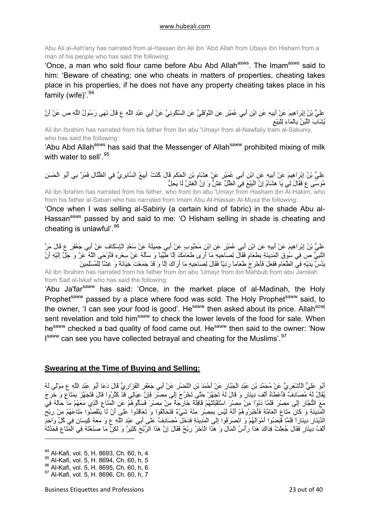<span id="page-22-0"></span>Abu Ali al-Ash'ariy has narrated from al-Hassan ibn Ali ibn 'Abd Allah from Ubays ibn Hisham from a man of his people who has said the following:

'Once, a man who sold flour came before Abu Abd Allah<sup>asws</sup>. The Imam<sup>asws</sup> said to him: 'Beware of cheating; one who cheats in matters of properties, cheating takes place in his properties, if he does not have any property cheating takes place in his family (wife)<sup>'.[94](#page-22-1)</sup>

عَلِيُّ بْنُ إِبْرَاهِيمَ عَنْ أَبِيهِ عَنِ ابْنِ أَبِي عُمَيْرٍ عَنِ النَّوْفَلِيِّ عَنِ السَّكُونِيِّ عَنْ أَبِي عَبْدِ اللَّهِ ع قَالَ نَهَى رَسُولُ اللَّهِ ص عَنْ أَنْ يُشَابَ اللَّبَنُ بِالْمَاءِ لِلْبَيْعِ

Ali ibn Ibrahim has narrated from his father from ibn abu 'Umayr from al-Nawfaliy tram al-Sakuniy, who has said the following:

'Abu Abd Allah<sup>asws</sup> has said that the Messenger of Allah<sup>saww</sup> prohibited mixing of milk with water to sell'.<sup>[95](#page-22-2)</sup>

عَلِيُّ بْنُ إِبْرَاهِيمَ عَنْ أَبِيهِ عَنِ ابْنِ أَبِي عُمَيْرٍ عَنْ هِشَامِ بْنِ الْحَكَمِ قَالَ آُنْتُ أَبِيعُ السَّابِرِيَّ فِي الظِّلَالِ فَمَرَّ بِي أَبُو الْحَسَنِ مُوسَى ع فَقَالَ لِي يَا هِشَامُ إِنَّ الْبَيْعَ فِي الظِّلِّ غِشٌّ وَ إِنَّ الْغِشَّ لَا يَحِلُّ

Ali ibn lbrahim has narrated from his father, who from ibn abu 'Umayr from Hasham ibn Al-Hakim, who from his father al-Sabari who has narrated from Imam Abu Al-Hassan Al-Musa the following:

'Once when I was selling al-Sabiriy (a certain kind of fabric) in the shade Abu al-Hassan<sup>asws</sup> passed by and said to me: 'O Hisham selling in shade is cheating and cheating is unlawful<sup>'[96](#page-22-3)</sup>

عَلِيُّ بْنُ إِبْرَاهِيمَ عَنْ أَبِيهِ عَنِ ابْنِ أَبِي عُمَيْرٍ عَنِ ابْنِ مَحْبُوبٍ عَنْ أَبِي جَمِيلَةَ عَنْ سَعْدٍ الْإِسْكَافِ عَنْ أَبِي جَعْفَرٍ ع قَالَ مَرَّ النَّبِيُّ ص فِي سُوقِ الْمَدِينَةِ بِطَعَامٍ فَقَالَ لِصَاحِبِهِ مَا أَرَى طَعَامَكَ إِلَّا طَيِّباً وَ سَأَلَهُ عَنْ سِعْرِهِ فَأَوْحَى اللَّهُ عَزَّ وَ جَلَّ إِلَيْهِ أَنْ يَدُسَّ يَدَيْهِ فِي الطَّعَامِ فَفَعَلَ فَأَخْرَجَ طَعَاماً رَدِيّاً فَقَالَ لِصَاحِبِهِ مَا أَرَاكَ إِلَّا وَ قَدْ جَمَعْتَ خِيَانَةً وَ غِشّاً لِلْمُسْلِمِينَ

Ali ibn Ibrahim has narrated from his father from ibn abu 'Umayr from ibn Mahbub from abu Jarnilah from Sad al-Iskaf who has said the following:

'Abu Ja'far<sup>saww</sup> has said: 'Once, in the market place of al-Madinah, the Holy Prophet<sup>saww</sup> passed by a place where food was sold. The Holy Prophet<sup>saww</sup> said, to the owner, 'I can see your food is good'. He<sup>saww</sup> then asked about its price. Allah<sup>azwj</sup> sent revelation and told him<sup>saww</sup> to check the lower levels of the food for sale. When he<sup>saww</sup> checked a bad quality of food came out. He<sup>saww</sup> then said to the owner: 'Now I<sup>saww</sup> can see you have collected betrayal and cheating for the Muslims'.<sup>[97](#page-22-4)</sup>

## **Swearing at the Time of Buying and Selling:**

أَبُو عَلِيٍّ الْأَشْعَرِيُّ عَنْ مُحَمَّدِ بْنِ عَبْدِ الْجَبَّارِ عَنْ أَحْمَدَ بْنِ النَّضْرِ عَنْ أَبِي جَعْفَرٍ الْفَزَارِيِّ قَالَ دَعَا أَبُو عَبْدِ اللَّهِ ع مَوْلًى لَهُ يُقَالُ لَهُ مُصَادِفٌ فَأَعْطَاهُ أَلْفَ دِينَارٍ وَ قَالَ لَهُ تَجَهَّزْ حَتَّى تَخْرُجَ إِلَى مِصْرَ فَإِنَّ عِيَالِي قَدْ آَثُرُوا قَالَ فَتَجَهَّزَ بِمَتَاعٍ وَ خَرَجَ مَعَ التُّجَّارِ إِلَى مِصْرَ فَلَمَّا دَنَوْا مِنْ مِصْرَ اسْتَقْبَلَتْهُمْ قَافِلَةٌ خَارِجَةٌ مِنْ مِصْرَ فَسَأَلُوهُمْ عَنِ الْمَتَاعِ الَّذِي مَعَهُمْ مَا حَالُهُ فِي الْمَدِينَةِ وَ آَانَ مَتَاعَ الْعَامَّةِ فَأَخْبَرُوهُمْ أَنَّهُ لَيْسَ بِمِصْرَ مِنْهُ شَيْءٌ فَتَحَالَفُوا وَ تَعَاقَدُوا عَلَى أَنْ لَا يَنْقُصُوا مَتَاعَهُمْ مِنْ رِبْحِ الدِّينَارِ دِينَاراً فَلَمَّا قَبَضُوا أَمْوَالَهُمْ وَ انْصَرَفُوا إِلَى الْمَدِينَةِ فَدَخَلَ مُصَادِفٌ عَلَى أَبِي عَبْدِ اللَّهِ ع وَ مَعَهُ آِيسَانِ فِي آُلِّ وَاحِدٍ أَلْفُ دِينَارٍ فَقَالَ جُعِلْتُ فِدَاكَ هَذَا رَأْسُ الْمَالِ وَ هَذَا الْآخَرُ رِبْحٌ فَقَالَ إِنَّ هَذَا الرِّبْحَ آَثِيرٌ وَ لَكِنْ مَا صَنَعْتَهُ فِي الْمَتَاعِ فَحَدَّثَهُ

<sup>94</sup> Al-Kafi, vol. 5, H. 8693, Ch. 60, h, 4

<span id="page-22-2"></span><span id="page-22-1"></span><sup>95</sup> Al-Kafi, vol. 5, H. 8694, Ch. 60, h, 5

<span id="page-22-3"></span><sup>96</sup> Al-Kafi, vol. 5, H. 8695, Ch. 60, h, 6

<span id="page-22-4"></span><sup>97</sup> Al-Kafi, vol. 5, H. 8696, Ch. 60, h, 7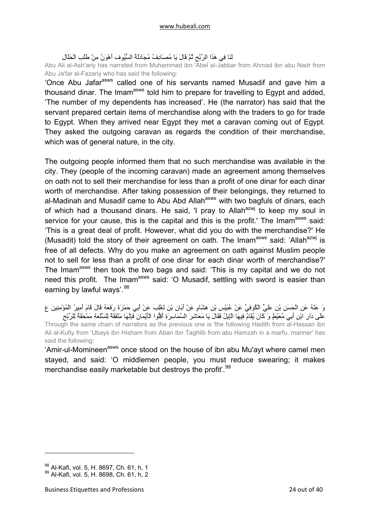## لَنَا فِي هَذَا الرِّبْحِ ثُمَّ قَالَ يَا مُصَادِفُ مُجَادَلَةُ السُّيُوفِ أَهْوَنُ مِنْ طَلَبِ الْحَلَالِ

Abu Ali al-Ash'ariy has narrated from Muhammad ibn 'Abel al-Jabbar from Ahmad ibn abu Nadr from Abu Ja'far al-Fazariy who has said the following:

'Once Abu Jafar<sup>asws</sup> called one of his servants named Musadif and gave him a thousand dinar. The Imam<sup>asws</sup> told him to prepare for travelling to Egypt and added, 'The number of my dependents has increased'. He (the narrator) has said that the servant prepared certain items of merchandise along with the traders to go for trade to Egypt. When they arrived near Egypt they met a caravan coming out of Egypt. They asked the outgoing caravan as regards the condition of their merchandise, which was of general nature, in the city.

The outgoing people informed them that no such merchandise was available in the city. They (people of the incoming caravan) made an agreement among themselves on oath not to sell their merchandise for less than a profit of one dinar for each dinar worth of merchandise. After taking possession of their belongings, they returned to al-Madinah and Musadif came to Abu Abd Allah<sup>asws</sup> with two bagfuls of dinars, each of which had a thousand dinars. He said, 'I pray to Allah $a^{2}$  to keep my soul in service for your cause, this is the capital and this is the profit.' The Imam<sup>asws</sup> said: 'This is a great deal of profit. However, what did you do with the merchandise?' He (Musadit) told the story of their agreement on oath. The Imam<sup>asws</sup> said: 'Allah<sup>azwj</sup> is free of all defects. Why do you make an agreement on oath against Muslim people not to sell for less than a profit of one dinar for each dinar worth of merchandise?' The Imam<sup>asws</sup> then took the two bags and said: 'This is my capital and we do not need this profit. The Imam<sup>asws</sup> said: 'O Musadif, settling with sword is easier than earning by lawful ways'.<sup>[98](#page-23-0)</sup>

وَ عَنْهُ عَنِ الْحَسَنِ بْنِ عَلِيٍّ الْكُوفِيِّ عَنْ عُبَيْسِ بْنِ هِشَامٍ عَنْ أَبَانِ بْنِ تَغْلِبَ عَنْ أَبِي حَمْزَةَ رَفَعَهُ قَالَ قَامَ أَمِيرُ الْمُؤْمِنِينَ ع عَلَى دَارِ ابْنِ أَبِي مُعَيْطٍ وَ آَانَ يُقَامُ فِيهَا الْإِبِلُ فَقَالَ يَا مَعَاشِرَ السَّمَاسِرَةِ أَقِلُّوا الْأَيْمَانَ فَإِنَّهَا مَنْفَقَةٌ لِلسِّلْعَةِ مَمْحَقَةٌ لِلرِّبْحِ Through the same chain of narrators as the previous one is 'the following Hadith from al-Hassan ibn Ali al-Kufiy from 'Ubays ibn Hisham from Aban ibn Taghlib from abu Hamzah in a marfu. manner' has said the following:

'Amir-ul-Momineen<sup>asws</sup> once stood on the house of ibn abu Mu'ayt where camel men stayed, and said: 'O middlemen people, you must reduce swearing; it makes merchandise easily marketable but destroys the profit<sup>".[99](#page-23-1)</sup>

<span id="page-23-1"></span><span id="page-23-0"></span><sup>98</sup> Al-Kafi, vol. 5, H. 8697, Ch. 61, h, 1 99 Al-Kafi, vol. 5, H. 8698, Ch. 61, h, 2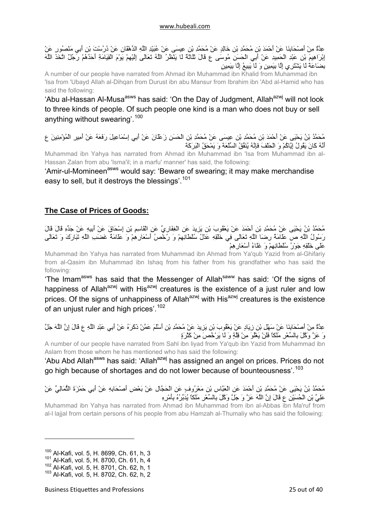<span id="page-24-0"></span>عِدَّةٌ مِنْ أَصْحَابِنَا عَنْ أَحْمَدَ بْنِ مُحَمَّدِ بْنِ خَالِدٍ عَنْ مُحَمَّدِ بْنِ عِيسَى عَنْ عُبَيْدِ اللَّهِ الدِّهْقَانِ عَنْ دُرُسْتَ بْنِ أَبِي مَنْصُورٍ عَنْ إِبْرَاهِيمَ بْنِ عَبْدِ الْحَمِيدِ عَنْ أَبِي الْحَسَنِ مُوسَى ع قَالَ ثَلَاثَةٌ لَا يَنْظُرُ اللَّهُ تَعَالَى إِلَيْهِمْ يَوْمَ الْقِيَامَةِ أَحَدُهُمْ رَجُلٌ اتَّخَذَ اللَّهَ بِضَاعَةً لَا يَشْتَرِي إِلَّا بِيَمِينٍ وَ لَا يَبِيعُ إِلَّا بِيَمِينٍ

A number of our people have narrated from Ahmad ibn Muhammad ibn Khalid from Muhammad ibn 'Isa from 'Ubayd Allah al-Dihqan from Durust ibn abu Mansur from Ibrahim ibn 'Abd al-Hamid who has said the following:

'Abu al-Hassan Al-Musa<sup>asws</sup> has said: 'On the Day of Judgment, Allah<sup>azwj</sup> will not look to three kinds of people. Of such people one kind is a man who does not buy or sell anything without swearing'.<sup>[100](#page-24-1)</sup>

مُحَمَّدُ بْنُ يَحْيَى عَنْ أَحْمَدَ بْنِ مُحَمَّدِ بْنِ عِيسَى عَنْ مُحَمَّدِ بْنِ الْحَسَنِ زَعْلَانَ عَنْ أَبِي إِسْمَاعِيلَ رَفَعَهُ عَنْ أَمِيرِ الْمُؤْمِنِينَ ع أَنَّهُ آَانَ يَقُولُ إِيَّاآُمْ وَ الْحَلْفَ فَإِنَّهُ يُنَفِّقُ السِّلْعَةَ وَ يَمْحَقُ الْبَرَآَةَ

Muhammad ibn Yahya has narrated from Ahmad ibn Muhammad ibn 'Isa from Muhammad ibn al-Hassan Zalan from abu 'Isma'il; in a marfu' manner' has said, the following:

'Amir-ul-Momineen<sup>asws</sup> would say: 'Beware of swearing; it may make merchandise easy to sell, but it destroys the blessings'.<sup>[101](#page-24-2)</sup>

## **The Case of Prices of Goods:**

مُحَمَّدُ بْنُ يَحْيَى عَنْ مُحَمَّدِ بْنِ أَحْمَدَ عَنْ يَعْقُوبَ بْنِ يَزِيدَ عَنِ الْغِفَارِيِّ عَنِ الْقَاسِمِ بْنِ إِسْحَاقَ عَنْ أَبِيهِ عَنْ جَدِّهِ قَالَ قَالَ رَسُولُ اللَّهِ ص عَلَامَةُ رِضَا اللَّهِ تَعَالَى فِي خَلْقِهِ عَدْلُ سُلْطَانِهِمْ وَ رُخْصُ أَسْعَارِهِمْ وَ عَلَامَةُ غَضَبِ اللَّهِ تَبَارَكَ وَ تَعَالَى عَلَى خَلْقِهِ جَوْرُ سُلْطَانِهِمْ وَ غَلَاءُ أَسْعَارِهِمْ

Muhammad ibn Yahya has narrated from Muhammad ibn Ahmad from Ya'qub Yazid from al-Ghifariy from al-Qasim ibn Muhammad ibn Ishaq from his father from his grandfather who has said the following:

'The Imam<sup>asws</sup> has said that the Messenger of Allah<sup>saww</sup> has said: 'Of the signs of happiness of Allah<sup>azwj</sup> with His<sup>azwj</sup> creatures is the existence of a just ruler and low prices. Of the signs of unhappiness of Allah<sup>azwj</sup> with His<sup>azwj</sup> creatures is the existence of an unjust ruler and high prices'.<sup>[102](#page-24-3)</sup>

عِدَّةٌ مِنْ أَصْحَابِنَا عَنْ سَهْلِ بْنِ زِيَادٍ عَنْ يَعْقُوبَ بْنِ يَزِيدَ عَنْ مُحَمَّدِ بْنِ أَسْلَمَ عَمَّنْ ذَآَرَهُ عَنْ أَبِي عَبْدِ اللَّهِ ع قَالَ إِنَّ اللَّهَ جَلَّ وَ عَزَّ وَآَّلَ بِالسِّعْرِ مَلَكاً فَلَنْ يَغْلُوَ مِنْ قِلَّةٍ وَ لَا يَرْخُصَ مِنْ آَثْرَةٍ

A number of our people have narrated from Sahl ibn liyad from Ya'qub ibn Yazid from Muhammad ibn Aslam from those whom he has mentioned who has said the following:

'Abu Abd Allah<sup>asws</sup> has said: 'Allah<sup>azwj</sup> has assigned an angel on prices. Prices do not go high because of shortages and do not lower because of bounteousness'.<sup>[103](#page-24-4)</sup>

مُحَمَّدُ بْنُ يَحْيَى عَنْ مُحَمَّدِ بْنِ أَحْمَدَ عَنِ الْعَبَّاسِ بْنِ مَعْرُوفٍ عَنِ الْحَجَّالِ عَنْ بَعْضِ أَصْحَابِهِ عَنْ أَبِي حَمْزَةَ الثُّمَالِيِّ عَنْ عَلِيِّ بْنِ الْحُسَيْنِ ع قَالَ إِنَّ اللَّهَ عَزَّ وَ جَلَّ وَآَّلَ بِالسِّعْرِ مَلَكاً يُدَبِّرُهُ بِأَمْرِهِ

Muhammad ibn Yahya has narrated from Ahmad ibn Muhammad from ibn al-Abbas ibn Ma'ruf from al-l lajjal from certain persons of his people from abu Hamzah al-Thumaliy who has said the following:

<span id="page-24-1"></span><sup>100</sup> Al-Kafi, vol. 5, H. 8699, Ch. 61, h, 3

<span id="page-24-2"></span><sup>101</sup> Al-Kafi, vol. 5, H. 8700, Ch. 61, h, 4

<span id="page-24-3"></span><sup>102</sup> Al-Kafi, vol. 5, H. 8701, Ch. 62, h, 1

<span id="page-24-4"></span><sup>103</sup> Al-Kafi, vol. 5, H. 8702, Ch. 62, h, 2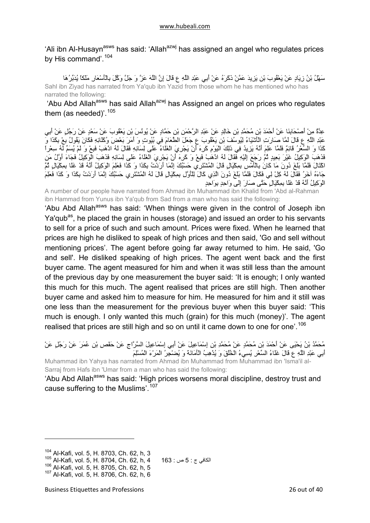'Ali ibn Al-Husayn<sup>asws</sup> has said: 'Allah<sup>azwj</sup> has assigned an angel who regulates prices by His command'.[104](#page-25-0)

سَهْلُ بْنُ زِيَادٍ عَنْ يَعْقُوبَ بْنِ يَزِيدَ عَمَّنْ ذَآَرَهُ عَنْ أَبِي عَبْدِ اللَّهِ ع قَالَ إِنَّ اللَّهَ عَزَّ وَ جَلَّ وَآَّلَ بِالْأَسْعَارِ مَلَكاً يُدَبِّرُهَا Sahl ibn Ziyad has narrated from Ya'qub ibn Yazid from those whom he has mentioned who has narrated the following:

'Abu Abd Allah<sup>asws</sup> has said Allah<sup>azwj</sup> has Assigned an angel on prices who regulates them (as needed)'.  $105$ 

عِدَّةٌ مِنْ أَصْحَابِنَا عَنْ أَحْمَدَ بْنِ مُحَمَّدِ بْنِ خَالِدٍ عَنْ عَبْدِ الرَّحْمَنِ بْنِ حَمَّادٍ عَنْ يُونُسَ بْنِ يَعْقُوبَ عَنْ سَعْدٍ عَنْ رَجُلٍ عَنْ أَبِي عَبْدِ اللَّهِ ع قَالَ لَمَّا صَارَتِ الْأَشْيَاءُ لِيُوسُفَ بْنِ يَعْقُوبَ ع جَعَلَ الطَّعَامَ فِي بُيُوتٍ وَ أَمَرَ بَعْضَ وُآَلَائِهِ فَكَانَ يَقُولُ بِعْ بِكَذَا وَ آَذَا وَ السِّعْرُ قَائِمٌ فَلَمَّا عَلِمَ أَنَّهُ يَزِيدُ فِي ذَلِكَ الْيَوْمِ آَرِهَ أَنْ يَجْرِيَ الْغَلَاءُ عَلَى لِسَانِهِ فَقَالَ لَهُ اذْهَبْ فَبِعْ وَ لَمْ يُسَمِّ لَهُ سِعْراً فَذَهَبَ الْوَكِيلُ غَيْرَ بَعِيدٍ ثُمَّ رَجَعَ إِلَيْهِ فَقَالَ لَهُ اذْهَبْ فَبِعْ وَ كَرِهَ أَنْ يَجْرِيَ الْغَلَاءُ عَلَى لِسَانِهِ فَذَهَبَ الْوَكِيلُ فَجَاءَ أَوَّلُ مَن .<br>اكْتَالَ فَلَمَّا بَلَغَ دُونَ مَا كَانُ بِالْأَمْسِ بِمِكْيَالٍ قَالَ الْمُشْتَرِي حَسْبُكَ إِنَّمَا أَرَدْتُ بِكَذَا وَ كَذَا فَعَلِمَ الْوَكِيلُ أَنَّهُ قَدْ غَلَا بِمِكْيَالٍ ثُمَّ جَاءَهُ آخَرُ فَقَالَ لَهُ كِلْ لِي فَكَالَ فَلَمَّا بَلَغَ دُونَ الَّذِي كَالَ لِلْأَوَّلِ بِمِكْيَالٍ قَالَ لَهُ الْمُشْتَرِي حَسْبُكَ إِنَّمَا أَرَدْتُ بِكَذَا وَ كَذَا فَعَلِمَ الْوَآِيلُ أَنَّهُ قَدْ غَلَا بِمِكْيَالٍ حَتَّى صَارَ إِلَى وَاحِدٍ بِوَاحِدٍ

A number of our people have narrated from Ahmad ibn Muhammad ibn Khalid from 'Abd al-Rahman ibn Hammad from Yunus ibn Ya'qub from Sad from a man who has said the following:

'Abu Abd Allah<sup>asws</sup> has said: 'When things were given in the control of Joseph ibn Ya'qub<sup>as</sup>, he placed the grain in houses (storage) and issued an order to his servants to sell for a price of such and such amount. Prices were fixed. When he learned that prices are high he disliked to speak of high prices and then said, 'Go and sell without mentioning prices'. The agent before going far away returned to him. He said, 'Go and sell'. He disliked speaking of high prices. The agent went back and the first buyer came. The agent measured for him and when it was still less than the amount of the previous day by one measurement the buyer said: 'It is enough; I only wanted this much for this much. The agent realised that prices are still high. Then another buyer came and asked him to measure for him. He measured for him and it still was one less than the measurement for the previous buyer when this buyer said: 'This much is enough. I only wanted this much (grain) for this much (money)'. The agent realised that prices are still high and so on until it came down to one for one'.<sup>[106](#page-25-2)</sup>

مُحَمَّدُ بْنُ يَحْيَى عَنْ أَحْمَدَ بْنِ مُحَمَّدٍ عَنْ مُحَمَّدِ بْنِ إِسْمَاعِيلَ عَنْ أَبِي إِسْمَاعِيلَ السَّرَّاجِ عَنْ حَفْصِ بْنِ عُمَرَ عَنْ رَجُلٍ عَنْ أَبِي عَبْدِ اللَّهِ ع قَالَ غَلَاءُ السِّعْرِ يُسِيءُ الْخُلُقَ وَ يُذْهِبُ الْأَمَانَةَ وَ يُضْجِرُ الْمَرْءَ الْمُسْلِمَ

Muhammad ibn Yahya has narrated from Ahmad ibn Muhammad from Muhammad ibn 'Isma'il al-Sarraj from Hafs ibn 'Umar from a man who has said the following:

'Abu Abd Allah<sup>asws</sup> has said: 'High prices worsens moral discipline, destroy trust and cause suffering to the Muslims'.<sup>[107](#page-25-3)</sup>

<span id="page-25-0"></span> $104$  Al-Kafi, vol. 5, H. 8703, Ch. 62, h, 3<br> $105$  Al-Kafi, vol. 5, H. 8704, Ch. 62, h, 4

<span id="page-25-1"></span> $^{105}$  Al-Kafi, vol. 5, H. 8704, Ch. 62, h, 4  $\,$  163 : ص 5 : ج  $^{106}$  Al-Kafi. vol. 5, H. 8705, Ch. 62, h, 5

<span id="page-25-3"></span><span id="page-25-2"></span><sup>107</sup> Al-Kafi, vol. 5, H. 8706, Ch. 62, h, 6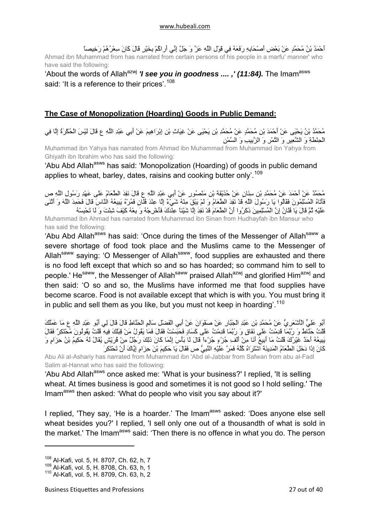<span id="page-26-0"></span>أَحْمَدُ بْنُ مُحَمَّدٍ عَنْ بَعْضِ أَصْحَابِهِ رَفَعَهُ فِي قَوْلِ اللَّهِ عَزَّ وَ جَلَّ إِنِّي أَراكُمْ بِخَيْرٍ قَالَ كَانَ سِعْرُهُمْ رَخِيصاً Ahmad ibn Muhammad from has narrated from certain persons of his people in a marfu' manner' who have said the following:

## 'About the words of Allah<sup>azwj</sup> *'I see you in goodness ....*,' (11:84). The Imam<sup>asws</sup> said: 'It is a reference to their prices'.<sup>[108](#page-26-1)</sup>

## **The Case of Monopolization (Hoarding) Goods in Public Demand:**

مُحَمَّدُ بْنُ يَحْيَى عَنْ أَحْمَدَ بْنِ مُحَمَّدٍ عَنْ مُحَمَّدِ بْنِ يَحْيَى عَنْ غِيَاثِ بْنِ إِبْرَاهِيمَ عَنْ أَبِي عَبْدِ اللَّهِ ع قَالَ لَيْسَ الْحُكْرَةُ إِلَّا فِي الْحِنْطَةِ وَ الشَّعِيرِ وَ التَّمْرِ وَ الزَّبِيبِ وَ السَّمْنِ

Muhammad ibn Yahya has narrated from Ahmad ibn Muhammad from Muhammad ibn Yahya from Ghiyath ibn Ibrahim who has said the following:

'Abu Abd Allah<sup>asws</sup> has said: 'Monopolization (Hoarding) of goods in public demand applies to wheat, barley, dates, raisins and cooking butter only'.<sup>[109](#page-26-2)</sup>

مُحَمَّدٌ عَنْ أَحْمَدَ عَنْ مُحَمَّدِ بْنِ سِنَانٍ عَنْ حُذَيْفَةَ بْنِ مَنْصُورٍ عَنْ أَبِي عَبْدِ اللَّهِ ع قَالَ نَفِدَ الطَّعَامُ عَلَى عَهْدِ رَسُولِ اللَّهِ ص فَأَتَاهُ الْمُسْلِمُونَ فَقَالُوا يَا رَسُولَ اللَّهِ قَدْ نَفِدَ الطَّعَامُ وَ لَمْ يَبْقَ مِنْهُ شَيْءٌ إِلَّا عِنْدَ فُلَانٍ فَمُرْهُ يَبِيعُهُ النَّاسَ قَالَ فَحَمِدَ اللَّهَ وَ أَثْنَى عَلَيْهِ ثُمَّ قَالَ يَا فُلْانُ إِنَّ الْمُسْلِمِينَ ذَكَرُوا أَنَّ الطَّعَامَ قَدْ نَفِدَ إِلَّا شَيْئاً عِنْدَكَ فَأَخْرِجْهُ وَ بِعْهُ كَيْفَ شِئْتَ وَ لَا تَحْبِسْهُ Muhammad ibn Ahmad has narrated from Muhammad ibn Sinan from Hudhayfah ibn Mansur who has said the following:

'Abu Abd Allah<sup>asws</sup> has said: 'Once during the times of the Messenger of Allah<sup>saww</sup> a severe shortage of food took place and the Muslims came to the Messenger of Allah<sup>saww</sup> saying: 'O Messenger of Allah<sup>saww</sup>, food supplies are exhausted and there is no food left except that which so and so has hoarded; so command him to sell to people.' He<sup>saww</sup>, the Messenger of Allah<sup>saww</sup> praised Allah<sup>azwj</sup> and glorified Him<sup>azwj</sup> and then said: 'O so and so, the Muslims have informed me that food supplies have become scarce. Food is not available except that which is with you. You must bring it in public and sell them as you like, but you must not keep in hoarding'.<sup>[110](#page-26-3)</sup>

أَبُو عَلِيٍّ الْأَشْعَرِيُّ عَنْ مُحَمَّدِ بْنِ عَبْدِ الْجَبَّارِ عَنْ صَفْوَانَ عَنْ أَبِي الْفَضْلِ سَالِمٍ الْحَنَّاطِ قَالَ قَالَ لِي أَبُو عَبْدِ اللَّهِ ع مَا عَمَلُكَ قُلْتُ حَنَّاطٌ وَ رُبَّمَا قَدِمْتُ عَلَى نَفَاقٍ وَ رُبَّمَا قَدِمْتُ عَلَى آَسَادٍ فَحَبَسْتُ فَقَالَ فَمَا يَقُولُ مَنْ قِبَلَكَ فِيهِ قُلْتُ يَقُولُونَ مُحْتَكِرٌ فَقَالَ يَبِيعُهُ أَحَدٌ غَيْرُكَ قُلْتُ مَا أَبِيعُ أَنَا مِنْ أَلْفِ جُزْءٍ جُزْءاً قَالَ لَا بَأْسَ إِنَّمَا آَانَ ذَلِكَ رَجُلٌ مِنْ قُرَيْشٍ يُقَالُ لَهُ حَكِيمُ بْنُ حِزَامٍ وَ آَانَ إِذَا دَخَلَ الطَّعَامُ الْمَدِينَةَ اشْتَرَاهُ آُلَّهُ فَمَرَّ عَلَيْهِ النَّبِيُّ ص فَقَالَ يَا حَكِيمَ بْنَ حِزَامٍ إِيَّاكَ أَنْ تَحْتَكِرَ

Abu Ali al-Ashariy has narrated from Muhammad ibn 'Abd al-Jabbar from Safwan from abu al-Fadl Salim al-Hannat who has said the following:

'Abu Abd Allah<sup>asws</sup> once asked me: 'What is your business?' I replied, 'It is selling wheat. At times business is good and sometimes it is not good so I hold selling.' The Imam<sup>asws</sup> then asked: 'What do people who visit you say about it?'

I replied, 'They say, 'He is a hoarder.' The Imam<sup>asws</sup> asked: 'Does anyone else sell wheat besides you?' I replied, 'I sell only one out of a thousandth of what is sold in the market.' The Imam<sup>asws</sup> said: 'Then there is no offence in what you do. The person

<span id="page-26-1"></span><sup>108</sup> Al-Kafi, vol. 5, H. 8707, Ch. 62, h, 7

<span id="page-26-2"></span><sup>109</sup> Al-Kafi, vol. 5, H. 8708, Ch. 63, h, 1

<span id="page-26-3"></span><sup>110</sup> Al-Kafi, vol. 5, H. 8709, Ch. 63, h, 2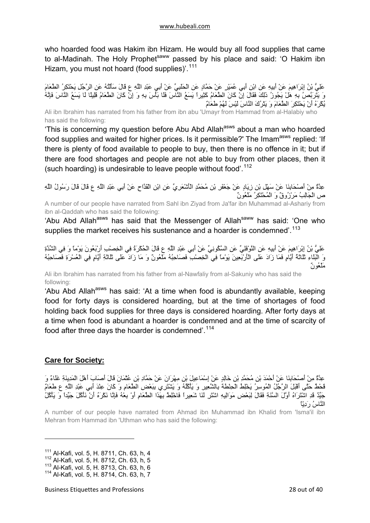<span id="page-27-0"></span>who hoarded food was Hakim ibn Hizam. He would buy all food supplies that came to al-Madinah. The Holy Prophet<sup>saww</sup> passed by his place and said: 'O Hakim ibn Hizam, you must not hoard (food supplies)<sup>'.[111](#page-27-1)</sup>

عَلِيُّ بْنُ إِبْرَاهِيمَ عَنْ أَبِيهِ عَنِ ابْنِ أَبِي عُمَيْرٍ عَنْ حَمَّادٍ عَنِ الْحَلَبِيِّ عَنْ أَبِي عَبْدِ اللَّهِ ع قَالَ سَأَلْتُهُ عَنِ الرَّجُلِ يَحْتَكِرُ الطَّعَامَ وَ يَتَرَبَّصُ بِهِ هَلْ يَجُوزُ ذَلِكَ فَقَالَ إِنْ كَانَ الطَّعَامُ كَثِيراً يَسَعُ النَّاسَ فَلَا بَأْسَ بِهِ وَ إِنْ كَانَ الطَّعَامُ قَلِيلًا لَا يَسَعُ النَّاسَ فَإِنَّهُ يُكْرَهُ أَنْ يَحْتَكِرَ الطَّعَامَ وَ يَتْرُكَ النَّاسَ لَيْسَ لَهُمْ طَعَامٌ

Ali ibn Ibrahim has narrated from his father from ibn abu 'Umayr from Hammad from al-Halabiy who has said the following:

'This is concerning my question before Abu Abd Allah<sup>asws</sup> about a man who hoarded food supplies and waited for higher prices. Is it permissible?' The Imam<sup>asws</sup> replied: 'If there is plenty of food available to people to buy, then there is no offence in it; but if there are food shortages and people are not able to buy from other places, then it (such hoarding) is undesirable to leave people without food'.<sup>[112](#page-27-2)</sup>

عِدَّةٌ مِنْ أَصْحَابِنَا عَنْ سَهْلِ بْنِ زِيَادٍ عَنْ جَعْفَرِ بْنِ مُحَمَّدٍ الْأَشْعَرِيِّ عَنِ ابْنِ الْقَدَّاحِ عَنْ أَبِي عَبْدِ اللَّهِ ع قَالَ قَالَ رَسُولُ اللَّهِ ص الْجَالِبُ مَرْزُوقٌ وَ الْمُحْتَكِرُ مَلْعُونٌ

A number of our people have narrated from Sahl ibn Ziyad from Ja'far ibn Muhammad al-Ashariy from ibn al-Qaddah who has said the following:

'Abu Abd Allah<sup>asws</sup> has said that the Messenger of Allah<sup>saww</sup> has said: 'One who supplies the market receives his sustenance and a hoarder is condemned'.<sup>[113](#page-27-3)</sup>

عَلِيُّ بْنُ إِبْرَاهِيمَ عَنْ أَبِيهِ عَنِ النَّوْفَلِيِّ عَنِ السَّكُونِيِّ عَنْ أَبِي عَبْدِ اللَّهِ ع قَالَ الْحُكْرَةُ فِي الْخِصْبِ أَرْبَعُونَ يَوْماً وَ فِي الشِّدَّةِ وَ الْبَلَاءِ ثَلَاثَةُ أَيَّامٍ فَمَا زَادَ عَلَى الْأَرْبَعِينَ يَوْماً فِي الْخِصْبِ فَصَاحِبُهُ مَلْعُونٌ وَ مَا زَادَ عَلَى ثَلَاثَةِ أَيَّامٍ فِي الْعُسْرَةِ فَصَاحِبُهُ مَلْعُونٌ

Ali ibn Ibrahim has narrated from his father from al-Nawfaliy from al-Sakuniy who has said the following:

'Abu Abd Allah<sup>asws</sup> has said: 'At a time when food is abundantly available, keeping food for forty days is considered hoarding, but at the time of shortages of food holding back food supplies for three days is considered hoarding. After forty days at a time when food is abundant a hoarder is condemned and at the time of scarcity of food after three days the hoarder is condemned'.<sup>[114](#page-27-4)</sup>

## **Care for Society:**

عِدَّةٌ مِنْ أَصْحَابِنَا عَنْ أَحْمَدَ بْنِ مُحَمَّدِ بْنِ خَالِدٍ عَنْ إِسْمَاعِيلَ بْنِ مِهْرَانَ عَنْ حَمَّادِ بْنِ عُثْمَانَ قَالَ أَصَابَ أَهْلَ الْمَدِينَةِ غَلَاءٌ وَ قَحْطٌ حَتَّى أَقْبَلَ الرَّجُلُ الْمُوسِرُ يَخْلِطُ الْحِنْطَةَ بِالشَّعِيرِ وَ يَأْآُلُهُ وَ يَشْتَرِي بِبَعْضِ الطَّعَامِ وَ آَانَ عِنْدَ أَبِي عَبْدِ اللَّهِ ع طَعَامٌ جَيِّدٌ قَدِ اشْتَرَاهُ أَوَّلَ السَّنَةِ فَقَالَ لِبَعْضِ مَوَالِيهِ اشْتَرِ لَنَا شَعِيراً فَاخْلِطْ بِهَذَا الطَّعَامِ أَوْ بِعْهُ فَإِنَّا نَكْرَهُ أَنْ نَأْآُلَ جَيِّداً وَ يَأْآُلُ النَّاسُ رَدِيّاً

A number of our people have narrated from Ahmad ibn Muhammad ibn Khalid from 'Isma'il ibn Mehran from Hammad ibn 'Uthman who has said the following:

<span id="page-27-1"></span><sup>111</sup> Al-Kafi, vol. 5, H. 8711, Ch. 63, h, 4

<span id="page-27-2"></span><sup>112</sup> Al-Kafi, vol. 5, H. 8712, Ch. 63, h, 5

<span id="page-27-3"></span><sup>113</sup> Al-Kafi, vol. 5, H. 8713, Ch. 63, h, 6

<span id="page-27-4"></span><sup>114</sup> Al-Kafi, vol. 5, H. 8714, Ch. 63, h, 7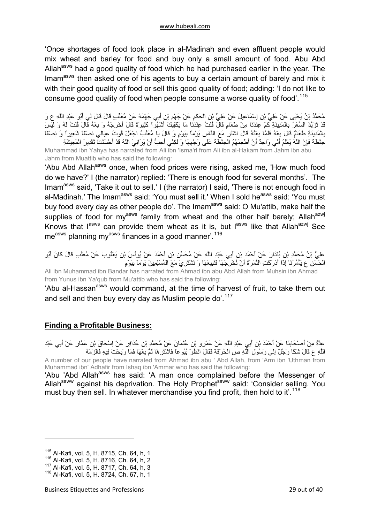<span id="page-28-0"></span>'Once shortages of food took place in al-Madinah and even affluent people would mix wheat and barley for food and buy only a small amount of food. Abu Abd Allah<sup>asws</sup> had a good quality of food which he had purchased earlier in the year. The Imam<sup>asws</sup> then asked one of his agents to buy a certain amount of barely and mix it with their good quality of food or sell this good quality of food; adding: 'I do not like to consume good quality of food when people consume a worse quality of food'.<sup>[115](#page-28-1)</sup>

مُحَمَّدُ بْنُ يَحْيَى عَنْ عَلِيِّ بْنِ إِسْمَاعِيلَ عَنْ عَلِيِّ بْنِ الْحَكَمِ عَنْ جَهْمِ بْنِ أَبِي جَهْمَةَ عَنْ مُعَتِّبٍ قَالَ قَالَ لِي أَبُو عَبْدِ اللَّهِ ع وَ قَدْ تَزَيَّدَ السِّعْرُ بِالْمَدِينَةِ آَمْ عِنْدَنَا مِنْ طَعَامٍ قَالَ قُلْتُ عِنْدَنَا مَا يَكْفِيكَ أَشْهُراً آَثِيرَةً قَالَ أَخْرِجْهُ وَ بِعْهُ قَالَ قُلْتُ لَهُ وَ لَيْسَ بِالْمَدِينَةِ طَعَامٌ قَالَ بِعْهُ فَلَمَّا بِعْتُهُ قَالَ اشْتَرِ مَعَ النَّاسِ يَوْماً بِيَوْمٍ وَ قَالَ يَا مُعَتِّبُ اجْعَلْ قُوتَ عِيَالِي نِصْفاً شَعِيراً وَ نِصْفاً حِنْطَةً فَإِنَّ اللَّهَ يَعْلَمُ أَنِّي وَاجِدٌ أَنْ أُطْعِمَهُمُ الْحِنْطَةَ عَلَى وَجْهِهَا وَ لَكِنِّي أُحِبُّ أَنْ يَرَانِيَ اللَّهُ قَدْ أَحْسَنْتُ تَقْدِيرَ الْمَعِيشَةِ Muhammad ibn Yahya has narrated from Ali ibn 'Isma'rl from Ali ibn al-Hakam from Jahm ibn abu

Jahm from Muattib who has said the following: 'Abu Abd Allah<sup>asws</sup> once, when food prices were rising, asked me, 'How much food do we have?' I (the narrator) replied: 'There is enough food for several months'. The Imam<sup>asws</sup> said, 'Take it out to sell.' I (the narrator) I said, 'There is not enough food in al-Madinah.' The Imam<sup>asws</sup> said: 'You must sell it.' When I sold he<sup>asws</sup> said: 'You must buy food every day as other people do'. The Imam<sup>asws</sup> said: O Mu'attib, make half the supplies of food for my<sup>asws</sup> family from wheat and the other half barely; Allah<sup>azwj</sup> Knows that  $I^{assws}$  can provide them wheat as it is, but  $I^{assws}$  like that Allah<sup>azwj</sup> See measws planning myasws finances in a good manner'.<sup>[116](#page-28-2)</sup>

عَلِيُّ بْنُ مُحَمَّدِ بْنِ بُنْدَارَ عَنْ أَحْمَدَ بْنِ أَبِي عَبْدِ اللَّهِ عَنْ مُحَسِّنِ بْنِ أَحْمَدَ عَنْ يُونُسَ بْنِ يَعْقُوبَ عَنْ مُعَتِّبٍ قَالَ آَانَ أَبُو الْحَسَنِ ع يَأْمُرُنَا إِذَا أَدْرَآَتِ الثَّمَرَةُ أَنْ نُخْرِجَهَا فَنَبِيعَهَا وَ نَشْتَرِيَ مَعَ الْمُسْلِمِينَ يَوْماً بِيَوْمٍ

Ali ibn Muhammad ibn Bandar has narrated from Ahmad ibn abu Abd Allah from Muhsin ibn Ahmad from Yunus ibn Ya'qub from Mu'attib who has said the following:

'Abu al-Hassan<sup>asws</sup> would command, at the time of harvest of fruit, to take them out and sell and then buy every day as Muslim people do'.<sup>[117](#page-28-3)</sup>

## **Finding a Profitable Business:**

عِدَّةٌ مِنْ أَصْحَابِنَا عَنْ أَحْمَدَ بْنِ أَبِي عَبْدِ اللَّهِ عَنْ عَمْرِو بْنِ عُثْمَانَ عَنْ مُحَمَّدِ بْنِ عُذَافِرٍ عَنْ إِسْحَاقَ بْنِ عَمَّارٍ عَنْ أَبِي عَبْدِ اللَّهِ ع قَالَ شَكَا رَجُلٌ إِلَى رَسُولِ اللَّهِ ص الْحُرْفَةَ فَقَالَ انْظُرْ بُيُوعاً فَاشْتَرِهَا ثُمَّ بِعْهَا فَمَا رَبِحْتَ فِيهِ فَالْزَمْهُ A number of our people have narrated from Ahmad ibn abu ' Abd Allah, from 'Arm ibn 'Uthman from

Muhammad ibn' Adhafir from Ishaq ibn 'Ammar who has said the following: 'Abu 'Abd Allah<sup>asws</sup> has said: 'A man once complained before the Messenger of Allah<sup>saww</sup> against his deprivation. The Holy Prophet<sup>saww</sup> said: 'Consider selling. You must buy then sell. In whatever merchandise you find profit, then hold to it'.<sup>[118](#page-28-4)</sup>

<span id="page-28-1"></span><sup>115</sup> Al-Kafi, vol. 5, H. 8715, Ch. 64, h, 1

<span id="page-28-2"></span><sup>116</sup> Al-Kafi, vol. 5, H. 8716, Ch. 64, h, 2

<span id="page-28-3"></span><sup>117</sup> Al-Kafi, vol. 5, H. 8717, Ch. 64, h, 3

<span id="page-28-4"></span><sup>118</sup> Al-Kafi, vol. 5, H. 8724, Ch. 67, h, 1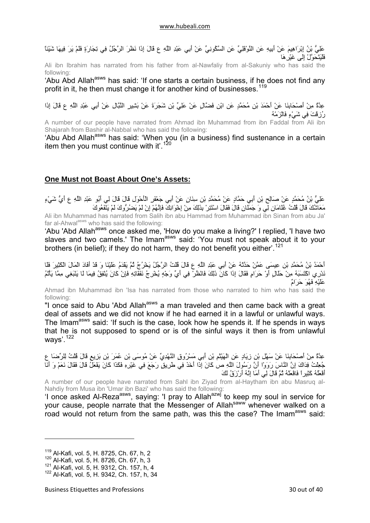<span id="page-29-0"></span>عَلِيُّ بْنُ إِبْرَاهِيمَ عَنْ أَبِيهِ عَنِ النَّوْفَلِيِّ عَنِ السَّكُونِيِّ عَنْ أَبِي عَبْدِ اللَّهِ ع قَالَ إِذَا نَظَرَ الرَّجُلُ فِي تِجَارَةٍ فَلَمْ يَرَ فِيهَا شَيْئاً فَلْيَتَحَوَّلْ إِلَى غَيْرِهَا

Ali ibn Ibrahim has narrated from his father from al-Nawfaliy from al-Sakuniy who has said the following:

'Abu Abd Allah<sup>asws</sup> has said: 'If one starts a certain business, if he does not find any profit in it, he then must change it for another kind of businesses.<sup>[119](#page-29-1)</sup>

عِدَّةٌ مِنْ أَصْحَابِنَا عَنْ أَحْمَدَ بْنِ مُحَمَّدٍ عَنِ ابْنِ فَضَّالٍ عَنْ عَلِيِّ بْنِ شَجَرَةَ عَنْ بَشِيرٍ النَّبَّالِ عَنْ أَبِي عَبْدِ اللَّهِ ع قَالَ إِذَا رُزِقْتَ فِي شَيْءٍ فَالْزَمْهُ

A number of our people have narrated from Ahmad ibn Muhammad from ibn Faddal from Ali ibn Shajarah from Bashir al-Nabbal who has said the following:

'Abu Abd Allah<sup>asws</sup> has said: 'When you (in a business) find sustenance in a certain item then you must continue with it'.<sup>[120](#page-29-2)</sup>

## **One Must not Boast About One's Assets:**

عَلِيُّ بْنُ مُحَمَّدٍ عَنْ صَالِحِ بْنِ أَبِي حَمَّادٍ عَنْ مُحَمَّدِ بْنِ سِنَانٍ عَنْ أَبِي جَعْفَرٍ الْأَحْوَلِ قَالَ قَالَ لِي أَبُو عَبْدِ اللَّهِ ع أَيُّ شَيْءٍ مَعَاشُكَ قَالَ قُلْتُ غُلَامَانِ لِي وَ جَمَلَانِ قَالَ فَقَالَ اسْتَتِرْ بِذَلِكَ مِنْ إِخْوَانِكَ فَإِنَّهُمْ إِنْ لَمْ يَضُرُّوكَ لَمْ يَنْفَعُوكَ Ali ibn Muhammad has narrated from Salih ibn abu Hammad from Muhammad ibn Sinan from abu Ja' far al-Ahwal<sup>asws</sup> who has said the following:

'Abu 'Abd Allah<sup>asws</sup> once asked me, 'How do you make a living?' I replied, 'I have two slaves and two camels.' The Imam<sup>asws</sup> said: 'You must not speak about it to your brothers (in belief); if they do not harm, they do not benefit you either'.<sup>[121](#page-29-3)</sup>

أَحْمَدُ بْنُ مُحَمَّدِ بْنِ عِيسَى عَمَّنْ حَدَّثَهُ عَنْ أَبِي عَبْدِ اللَّهِ ع قَالَ قُلْتُ الرَّجُلُ يَخْرُجُ ثُمَّ يَقْدَمُ عَلَيْنَا وَ قَدْ فَادَأَ الْمَالَ الْكَثِيرَ فَلَا نَدْرِي اآْتَسَبَهُ مِنْ حَلَالٍ أَوْ حَرَامٍ فَقَالَ إِذَا آَانَ ذَلِكَ فَانْظُرْ فِي أَيِّ وَجْهٍ يُخْرِجُ نَفَقَاتِهِ فَإِنْ آَانَ يُنْفِقُ فِيمَا لَا يَنْبَغِي مِمَّا يَأْثَمُ عَلَيْهِ فَهُوَ حَرَامٌ

Ahmad ibn Muhammad ibn 'Isa has narrated from those who narrated to him who has said the following:

"I once said to Abu 'Abd Allah<sup>asws</sup> a man traveled and then came back with a great deal of assets and we did not know if he had earned it in a lawful or unlawful ways. The Imam<sup>asws</sup> said: 'If such is the case, look how he spends it. If he spends in ways that he is not supposed to spend or is of the sinful ways it then is from unlawful ways'.<sup>[122](#page-29-4)</sup>

عِدَّةٌ مِنْ أَصْحَابِنَا عَنْ سَهْلِ بْنِ زِيَادٍ عَنِ الْهَيْثَمِ بْنِ أَبِي مَسْرُوقٍ النَّهْدِيِّ عَنْ مُوسَى بْنِ عُمَرَ بْنِ بَزِيعٍ قَالَ قُلْتُ لِلرِّضَا ع جُعِلْتُ فِدَاكَ إِنَّ النَّاسَ رَوَوْا أَنَّ رَسُولَ اللَّهِ ص آَانَ إِذَا أَخَذَ فِي طَرِيقٍ رَجَعَ فِي غَيْرِهِ فَكَذَا آَانَ يَفْعَلُ قَالَ فَقَالَ نَعَمْ وَ أَنَا أَفْعَلُهُ آَثِيراً فَافْعَلْهُ ثُمَّ قَالَ لِي أَمَا إِنَّهُ أَرْزَقُ لَكَ

A number of our people have narrated from Sahl ibn Ziyad from al-Haytham ibn abu Masruq al-Nahdiy from Musa ibn 'Umar ibn Bazi' who has said the following:

'I once asked Al-Reza<sup>asws</sup>, saying: 'I pray to Allah<sup>azwj</sup> to keep my soul in service for your cause, people narrate that the Messenger of Allah<sup>saww</sup> whenever walked on a road would not return from the same path, was this the case? The Imam<sup>asws</sup> said:

<span id="page-29-1"></span><sup>119</sup> Al-Kafi, vol. 5, H. 8725, Ch. 67, h, 2

<span id="page-29-2"></span><sup>120</sup> Al-Kafi, vol. 5, H. 8726, Ch. 67, h, 3

<span id="page-29-3"></span><sup>121</sup> Al-Kafi, vol. 5, H. 9312, Ch. 157, h, 4

<span id="page-29-4"></span><sup>122</sup> Al-Kafi, vol. 5, H. 9342, Ch. 157, h, 34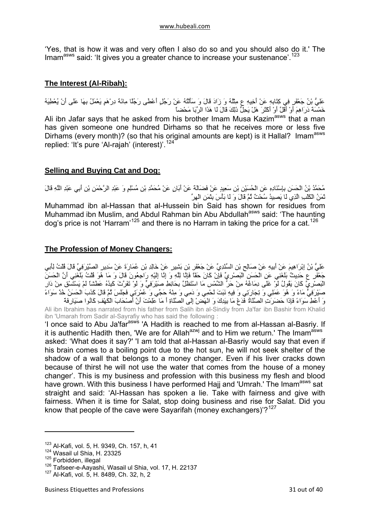<span id="page-30-0"></span>'Yes, that is how it was and very often I also do so and you should also do it.' The Imam<sup>asws</sup> said: 'It gives you a greater chance to increase your sustenance'.<sup>[123](#page-30-1)</sup>

## **The Interest (Al-Ribah):**

عَلِيُّ بْنُ جَعْفَرٍ فِي كِتَابِهِ عَنْ أَخِيهِ ع مِثْلَهُ وَ زَادَ قَالَ وَ سَأَلْتُهُ عَنْ رَجُلٍ أَعْطَى رَجُلًا مِائَةَ دِرْهَمٍ يَعْمَلُ بِهَا عَلَى أَنْ يُعْطِيَهُ خَمْسَةَ دَرَاهِمَ أَوْ أَقَلَّ أَوْ أَآْثَرَ هَلْ يَحِلُّ ذَلِكَ قَالَ لَا هَذَا الرِّبَا مَحْضاً Ali ibn Jafar says that he asked from his brother Imam Musa Kazim<sup>asws</sup> that a man has given someone one hundred Dirhams so that he receives more or less five Dirhams (every month)? (so that his original amounts are kept) is it Hallal? Imam<sup>asws</sup> replied: 'It's pure 'Al-rajah' (interest)'.[124](#page-30-2)

## **Selling and Buying Cat and Dog:**

مُحَمَّدُ بْنُ الْحَسَنِ بِإِسْنَادِهِ عَنِ الْحُسَيْنِ بْنِ سَعِيدٍ عَنْ فَضَالَةَ عَنْ أَبَانٍ عَنْ مُحَمَّدِ بْنِ مُسْلِمٍ وَ عَبْدِ الرَّحْمَنِ بْنِ أَبِي عَبْدِ اللَّهِ قَالَ ثَمَنُ الْكَلْبِ الَّذِي لَا يَصِيدُ سُحْتٌ ثُمَّ قَالَ وَ لَا بَأْسَ بِثَمَنِ الْهِرِّ Muhammad ibn al-Hassan that al-Hussein bin Said has shown for residues from

Muhammad ibn Muslim, and Abdul Rahman bin Abu Abdullah<sup>asws</sup> said: 'The haunting dog's price is not 'Harram'<sup>[125](#page-30-3)</sup> and there is no Harram in taking the price for a cat.<sup>[126](#page-30-4)</sup>

## **The Profession of Money Changers:**

عَلِيُّ بْنُ إِبْرَاهِيمَ عَنْ أَبِيهِ عَنْ صَالِحٍ بْنِ السِّنْدِيِّ عَنْ جَعْفَرِ بْنِ بَشِيرٍ عَنْ خَالِدِ بْنِ عُمَارَةَ عَنْ سَدِيرٍ الصَّيْرِ فِيِّ قَالَ قُلْتُ لِأَبِي جَعْفَرِ ع حَدِيثٌ بَلَغَنِي عَنِ الْحَسَنِ الْبَصْرِيِّ فَإِنْ كَانَ حَقّاً فَإِنَّا إِلَيْهِ إِلَيْهِ رَاجِعُونَ قَالَ وَ مَا هُوَ قُلْتُ بَلْغَنِي أَنَّ الْحَسَنَ الْبَصْرِيِّ كَانَ يَقُولُ لَوْ غَلَى دِمَاغُهُ مِنْ حَرٍّ الشَّمْسِ مَا اسْتَظْلَّ بِحَائِطِ صَيْرَفِيٍّ وَ لَوْ تَفَرَّتْ كَبِدُهُ عَطْشاً لَمْ يَسْتَسْقِ مِنْ دَارِ صَيْرَفِيٍّ مَاءً وَ هُوَ عَمَلِي وَ تِجَارَتِي وَ فِيهِ نَبَتَ لَحْمِي وَ دَمِي وَ مِنْهُ حَجِّي وَ عُمْرَتِي فَجَلسَ ثُمَّ قَالَ كَذَبَ الْحَسَنُ خُذْ سَوَاءً وَ أَعْطِ سَوَاءً فَإِذَا حَضَرَتِ الصَّلَاةُ فَدَعْ مَا بِيَدِكَ وَ انْهَضْ إِلَى الصَّلَاةِ أَ مَا عَلِمْتَ أَنَّ أَصْحَابَ الْكَهْفِ آَانُوا صَيَارِفَةً

Ali ibn Ibrahim has narrated from his father from Salih ibn al-Sindiy from Ja'far ibn Bashir from Khalid ibn 'Umarah from Sadir al-Sayrafiy who has said the following :

'I once said to Abu Ja'far<sup>asws</sup> 'A Hadith is reached to me from al-Hassan al-Basriy. If it is authentic Hadith then, 'We are for Allah $a^{2}$ <sub>N</sub> and to Him we return.' The Imam<sup>asws</sup> asked: 'What does it say?' 'I am told that al-Hassan al-Basriy would say that even if his brain comes to a boiling point due to the hot sun, he will not seek shelter of the shadow of a wall that belongs to a money changer. Even if his liver cracks down because of thirst he will not use the water that comes from the house of a money changer'. This is my business and profession with this business my flesh and blood have grown. With this business I have performed Hajj and 'Umrah.' The Imam<sup>asws</sup> sat straight and said: 'Al-Hassan has spoken a lie. Take with fairness and give with fairness. When it is time for Salat, stop doing business and rise for Salat. Did you know that people of the cave were Sayarifah (money exchangers)'? $127$ 

<span id="page-30-1"></span><sup>&</sup>lt;sup>123</sup> Al-Kafi, vol. 5, H, 9349, Ch, 157, h, 41

<span id="page-30-2"></span> $124$  Wasail ul Shia, H. 23325<br> $125$  Forbidden, illegal

<span id="page-30-4"></span><span id="page-30-3"></span><sup>&</sup>lt;sup>126</sup> Tafseer-e-Aayashi, Wasail ul Shia, vol. 17, H. 22137<br><sup>127</sup> Al-Kafi, vol. 5, H. 8489, Ch. 32, h, 2

<span id="page-30-5"></span>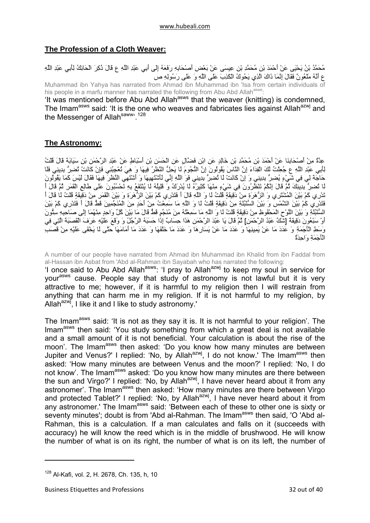## <span id="page-31-0"></span>**The Profession of a Cloth Weaver:**

مُحَمَّدُ بْنُ يَحْيَى عَنْ أَحْمَدَ بْنِ مُحَمَّدِ بْنِ عِيسَى عَنْ بَعْضِ أَصْحَابِهِ رَفَعَهُ إِلَى أَبِي عَبْدِ اللَّهِ ع قَالَ ذُآِرَ الْحَائِكُ لِأَبِي عَبْدِ اللَّهِ ع أَنَّهُ مَلْعُونٌ فَقَالَ إِنَّمَا ذَاكَ الَّذِي يَحُوكُ الْكَذِبَ عَلَى اللَّهِ وَ عَلَى رَسُولِهِ ص Muhammad ibn Yahya has narrated from Ahmad ibn Muhammad ibn 'Isa from certain individuals of

his people in a marfu manner has narrated the following from Abu Abd Allah<sup>asws</sup>:

'It was mentioned before Abu Abd Allah<sup>asws</sup> that the weaver (knitting) is condemned, The Imam<sup>asws</sup> said: 'It is the one who weaves and fabricates lies against Allah<sup>azwj</sup> and the Messenger of Allah<sup>saww, [128](#page-31-1)</sup>

## **The Astronomy:**

عِدَّةٌ مِنْ أَصْحَابِنَا عَنْ أَحْمَدَ بْنِ مُحَمَّدِ بْنِ خَالِدٍ عَنِ ابْنِ فَضَّالٍ عَنِ الْحَسَنِ بْنِ أَسْبَاطٍ عَنْ عَبْدِ الرَّحْمَنِ بْنِ سَيَابَةَ قَالَ قُلْتُ لِأَبِي عَبْدِ اللَّهِ ع جُعِلْتُ لَكَ الْفِدَاءَ إِنَّ النَّاسَ يَقُولُونَ إِنَّ النُّجُومَ لَا يَحِلُّ النَّظَرُ فِيهَا وَ هِيَ تُعْجِبُنِي فَإِنْ آَانَتْ تُضِرُّ بِدِينِي فَلَا حَاجَةَ لِي فِي شَيْءٍ يُضِرُّ بِدِينِي وَ إِنْ كَانَتْ لَا تُضِرُّ بِدِينِي فَوَ اللَّهِ إِنِّي لَأَسْتَهِيهَا وَ أَسْتَهِي النَّسْرَ فِيهَا فَقَالَ لَيْسَ كَمَا يَقُولُونَ لَا تُضِرُّ بِدِينِكَ ثُمَّ قَالَ إِنَّكُمْ تَنْظُرُونَ فِي شَيْءٍ مِنْهَا كَثِيرُهُ لَا يُدْرِكُ وَ قَلِيلُهُ لَا يُنْتَفَعُ بِهِ تَحْسُبُونَ عَلَى طَالِعِ الْقَمَرِ. ثُمَّ قَالَ أ تَدْرِي آَمْ بَيْنَ الْمُشْتَرِي وَ الزُّهَرَةِ مِنْ دَقِيقَةٍ قُلْتُ لَا وَ اللَّهِ قَالَ أَ فَتَدْرِي آَمْ بَيْنَ الزُّهَرَةِ وَ بَيْنَ الْقَمَرِ مِنْ دَقِيقَةٍ قُلْتُ لَا قَالَ أَ فَتَدْرِي آَمْ بَيْنَ الشَّمْسِ وَ بَيْنَ السُّنْبُلَةِ مِنْ دَقِيقَةٍ قُلْتُ لَا وَ اللَّهِ مَا سَمِعْتُ مِنْ أَحَدٍ مِنَ الْمُنَجِّمِينَ قَطُّ قَالَ أَ فَتَدْرِي آَمْ بَيْنَ السُّنْبُلَةِ وَ بَيْنَ اللَّوْحِ الْمَحْفُوظِ مِنْ دَقِيقَةٍ قُلْتُ لَا وَ اللَّهِ مَا سَمِعْتُهُ مِنَ مُنَجِّمٍ قَطُّ قَالَ مَا بَيْنَ آُلِّ وَاحِدٍ مِنْهُمَا إِلَى صَاحِبِهِ سِتُّونَ .<br>أَوْ سَبْعُونَ دَقِيقَةً [شَكَّ عَبْدُ الرَّحْمَرَ،] ثُمَّ قَالَ يَا عَبْدَ الرَّحْمَنِ هَذَا حِسَابٌ إِذَا حَسَبَهُ الرَّجُلُ وَ وَقَعَ عَلَيْهِ عَرَفَ الْقَصَبَةَ الَّتِي فِي وَسَطِ الْأَجَمَةِ وَ عَدَدَ مَا عَنْ يَمِينِهَا وَ عَدَدَ مَا عَنْ يَسَارِهَا وَ عَدَدَ مَا خَلْفَهَا وَ عَدَدَ مَا أَمَامَهَا حَتَّى لَا يَخْفَى عَلَيْهِ مِنْ قَصَبِ الْأَجَمَةِ وَاحِدَةٌ

A number of our people have narrated from Ahmad ibn Muhammad ibn Khalid from ibn Faddal from al-Hassan ibn Asbat from 'Abd al-Rahman ibn Sayabah who has narrated the following:

'I once said to Abu Abd Allah<sup>asws</sup>: 'I pray to Allah<sup>azwj</sup> to keep my soul in service for your<sup>asws</sup> cause. People say that study of astronomy is not lawful but it is very attractive to me; however, if it is harmful to my religion then I will restrain from anything that can harm me in my religion. If it is not harmful to my religion, by Allah $a^{2x}$ , I like it and I like to study astronomy.'

The Imam<sup>asws</sup> said: 'It is not as they say it is. It is not harmful to your religion'. The Imam<sup>asws</sup> then said: 'You study something from which a great deal is not available and a small amount of it is not beneficial. Your calculation is about the rise of the moon'. The Imam<sup>asws</sup> then asked: 'Do you know how many minutes are between Jupiter and Venus?' I replied: 'No, by Allah<sup>azwj</sup>, I do not know.' The Imam<sup>asws</sup> then asked: 'How many minutes are between Venus and the moon?' I replied: 'No, I do not know'. The Imam<sup>asws</sup> asked: 'Do you know how many minutes are there between the sun and Virgo?' I replied: 'No, by Allah<sup>azwj</sup>, I have never heard about it from any astronomer'. The Imam<sup>asws</sup> then asked: 'How many minutes are there between Virgo and protected Tablet?' I replied: 'No, by Allah<sup>azwj'</sup>, I have never heard about it from any astronomer.' The Imam<sup>asws</sup> said: 'Between each of these to other one is sixty or seventy minutes'; doubt is from 'Abd al-Rahman. The Imam<sup>asws</sup> then said, 'O 'Abd al-Rahman, this is a calculation. If a man calculates and falls on it (succeeds with accuracy) he will know the reed which is in the middle of brushwood. He will know the number of what is on its right, the number of what is on its left, the number of

<span id="page-31-1"></span><sup>&</sup>lt;sup>128</sup> Al-Kafi, vol. 2, H. 2678, Ch. 135, h, 10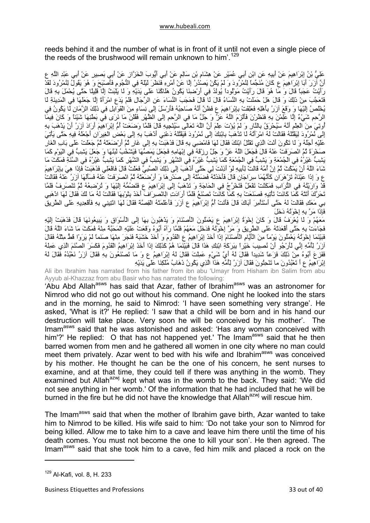reeds behind it and the number of what is in front of it until not even a single piece of the reeds of the brushwood will remain unknown to him'.<sup>[129](#page-32-0)</sup>

عَلِيُّ بْنُ إِبْرَاهِيمَ عَنْ أَبِيهِ عَنِ ابْنِ أَبِي عُمَيْرٍ عَنْ هِشَامِ بْنِ سَالِمٍ عَنْ أَبِي أَيُّوبَ الْخَزَّازِ عَنْ أَبِي بَصِيرٍ عَنْ أَبِي عَبْدِ اللَّهِ ع أَنَّ آزَرَ أَبَا إِبْرَاهِيمَ ع آَانَ مُنَجِّماً لِنُمْرُودَ وَ لَمْ يَكُنْ يَصْدُرُ إِلَّا عَنْ أَمْرِهِ فَنَظَرَ لَيْلَةً فِي النُّجُومِ فَأَصْبَحَ وَ هُوَ يَقُولُ لِنُمْرُودَ لَقَدْ رَأَيْتُ عَجَباً قَالَ وَ مَا هُوَ قَالَ رَأَيْتُ مَوْلُوداً يُولَدُ فِي أَرْضِنَا يَكُونُ هَلَاآُنَا عَلَى يَدَيْهِ وَ لَا يَلْبَثُ إِلَّا قَلِيلًا حَتَّى يُحْمَلَ بِهِ قَالَ فَتَعَجَّبَ مِنْ ذَلِكَ وَ قَالَ هَلْ حَمَلَتْ بِهِ النِّسَاءُ قَالَ لَا قَالَ فَحَجَبَ النِّسَاءَ عَنِ الرِّجَالِ فَلَمْ يَدَعِ امْرَأَةً إِلَّا جَعَلَهَا فِي الْمَدِينَةِ لَا يُخْلَصُ إِلَيْهَا وَ وَقَعَ آزَرُ بِأَهْلِهِ فَعَلِقَتْ بِإِبْرَاهِيمَ ع فَظَنَّ أَنَّهُ صَاحِبُهُ فَأَرْسَلَ إِلَى نِسَاءٍ مِنَ الْقَوَابِلِ فِي ذَلِكَ الزَّمَانِ لَا يَكُونُ فِي الرَّحِمِ شَيْءٌ إِلَّا عَلِمْنَ بِهِ فَنَظَرْنَ فَأَلْزَمَ اللَّهُ عَزَّ وَ جَلَّ مَا فِي الرَّحِمِ إِلَى الظَّهْرِ فَقُلْنَ مَا نَرَى فِي بَطْنِهَا شَيْئاً وَ آَانَ فِيمَا أُوتِيَ مِنَ الْعِلْمِ أَنَّهُ سَيُحْرَقُ بِالنَّارِ وَ لَمْ يُؤْتَ عِلْمَ أَنَّ اللَّهَ تَعَالَى سَيُنْجِيهِ قَالَ فَلَمَّا وَضَعَتْ أُمُّ إِبْرَاهِيمَ أَرَادَ آزَرُ أَنْ يَذْهَبَ بِهِ إِلَى نُمْرُودَ لِيَقْتُلَهُ فَقَالَتْ لَهُ امْرَأَتُهُ لَا تَذْهَبْ بِابْنِكَ إِلَى نُمْرُودَ فَيَقْتُلَهُ دَعْنِي أَذْهَبْ بِهِ إِلَى بَعْضِ الْغِيرَانِ أَجْعَلْهُ فِيهِ حَتَّى يَأْتِيَ عَلَيْهِ أَجَلُهُ وَ لَا تَكُونَ أَنْتَ الَّذِي تَقْتُلُ ابْنَكَ فَقَالَ لَهَا فَامْضِي بِهِ قَالَ فَذَهَبَتْ بِهِ إِلَى غَارٍ ثُمَّ أَرْضَعَتْهُ ثُمَّ جَعَلَتْ عَلَى بَابِ الْغَارِ صَخْرَةً ثُمَّ انْصَرَفَتْ عَنْهُ قَالَ فَجَعَلَ اللَّهُ عَزَّ وَ جَلَّ رِزْقَهُ فِي إِبْهَامِهِ فَجَعَلَ يَمَصُّهَا فَيَشْخُبُ لَبَنُهَا وَ جَعَلَ يَشِبُّ فِي الْيَوْمِ آَمَا يَشِبُّ غَيْرُهُ فِي الْجُمْعَةِ وَ يَشِبُّ فِي الْجُمْعَةِ آَمَا يَشِبُّ غَيْرُهُ فِي الشَّهْرِ وَ يَشِبُّ فِي الشَّهْرِ آَمَا يَشِبُّ غَيْرُهُ فِي السَّنَةِ فَمَكَثَ مَا شَاءَ اللَّهُ أَنْ يَمْكُثَ ثُمَّ إِنَّ أُمَّهُ قَالَتْ لِأَبِيهِ لَوْ أَذِنْتَ لِي حَتَّى أَذْهَبَ إِلَى ذَلِكَ الصَّبِيِّ فَعَلْتُ قَالَ فَافْعَلِي فَذَهَبَتْ فَإِذَا هِيَ بِإِبْرَاهِيمَ ع وَ إِذَا عَيْنَاهُ تَزْهَرَانِ آَأَنَّهُمَا سِرَاجَانِ قَالَ فَأَخَذَتْهُ فَضَمَّتْهُ إِلَى صَدْرِهَا وَ أَرْضَعَتْهُ ثُمَّ انْصَرَفَتْ عَنْهُ فَسَأَلَهَا آزَرُ عَنْهُ فَقَالَتْ قَدْ وَارَيْتُهُ فِي التُّرَابِ فَمَكَثَتْ تَفْعَلُ فَتَخْرُجُ فِي الْحَاجَةِ وَ تَذْهَبُ إِلَى إِبْرَاهِيمَ ع فَتَضُمُّهُ إِلَيْهَا وَ تُرْضِعُهُ ثُمَّ تَنْصَرِفُ فَلَمَّا تَحَرَّكَ أَتَتْهُ كَمَا كَانَتْ تَأْتِيهِ فَصَنَعَتْ بِهِ كَمَا كَانَتْ تَصْنَعُ فَلَمَّا أَرَادَتِ الْانْصِرِافَ أَخَذَ بِتُوْبِهَا فَقَالَتْ لَهُ مَا لَكَ فَقَالَ لَهَا اذْهَبِي بِي مَعَكِ فَقَالَتْ لَهُ حَتَّى أَسْتَأْمِرَ أَبَاكَ قَالَ فَأَتَتْ أُمُّ إِبْرَاهِيمَ ع آزَرَ فَأَعْلَمَتْهُ الْقِصَّةَ فَقَالَ لَهَا ائْتِينِي بِهِ فَأَقْعِدِيهِ عَلَى الطَّرِيقِ فَإِذَا مَرَّ بِهِ إِخْوَتُهُ دَخَلَ

مَعَهُمْ وَ لَا يُعْرَفُ قَالَ وَ آَانَ إِخْوَةُ إِبْرَاهِيمَ ع يَعْمَلُونَ الْأَصْنَامَ وَ يَذْهَبُونَ بِهَا إِلَى الْأَسْوَاقِ وَ يَبِيعُونَهَا قَالَ فَذَهَبَتْ إِلَيْهِ فَجَاءَتْ بِهِ حَتَّى أَقْعَدَتْهُ عَلَى الطَّرِيقِ وَ مَرَّ إِخْوَتُهُ فَدَخَلَ مَعَهُمْ فَلَمَّا رَآهُ أَبُوهُ وَقَعَتْ عَلَيْهِ الْمَحَبَّةُ مِنْهُ فَمَكَثَ مَا شَاءَ اللَّهُ قَالَ فَبَيْنَمَا إِخْوَتُهُ يَعْمَلُونَ يَوْماً مِنَ الْأَيَّامِ الْأَصْنَامَ إِذَا أَخَذَ إِبْرَاهِيمُ ع الْقَدُومَ وَ أَخَذَ خَشَبَةً فَنَجَرَ مِنْهَا صَنَماً لَمْ يَرَوْا قَطُّ مِثْلَهُ فَقَالَ .<br>آزَرُرُ لِأُمِّهِ إِنِّي لَأَرْجُو أَنْ نُصِيبَ خَيْراً بِبَرِّكَةِ ابْنِكِ هَذَا قَالَ فَبَيْنَمَا هُمْ كَذَلِكَ إِذَا أَخَذَ إِبْرَاهِيمُ الْقَدُومَ فَكَسَرَ الصَّنَمَ الَّذِي عَمِلَه فَفَزِعَ أَبُوهُ مِنْ ذَلِكَ فَزَعاً شَدِيداً فَقَالَ لَهُ أَيَّ شَيْءٍ عَمِلْتَ فَقَالَ لَهُ إِبْرَاهِيمُ ع وَ مَا تَصْنَعُونَ بِهِ فَقَالَ آزَرُ نَعْبُدُهُ فَقَالَ لَهُ إِبْرَاهِيمُ ع أَ تَعْبُدُونَ ما تَنْحِتُونَ فَقَالَ آزَرُ لِأُمِّهِ هَذَا الَّذِي يَكُونُ ذَهَابُ مُلْكِنَا عَلَى يَدَيْهِ

Ali ibn Ibrahim has narrated from his father from ibn abu 'Umayr from Hisham ibn Salim from abu Ayyub al-Khazzaz from abu Basir who has narrated the following:

'Abu Abd Allah<sup>asws</sup> has said that Azar, father of Ibrahim<sup>asws</sup> was an astronomer for Nimrod who did not go out without his command. One night he looked into the stars and in the morning, he said to Nimrod: 'I have seen something very strange'. He asked, 'What is it?' He replied: 'I saw that a child will be born and in his hand our destruction will take place. Very soon he will be conceived by his mother'. The Imam<sup>asws</sup> said that he was astonished and asked: 'Has any woman conceived with him'?' He replied:  $\circ$  that has not happened vet.' The Imam<sup>asws</sup> said that he then barred women from men and he gathered all women in one city where no man could meet them privately. Azar went to bed with his wife and Ibrahim<sup>asws</sup> was conceived by his mother. He thought he can be the one of his concern, he sent nurses to examine, and at that time, they could tell if there was anything in the womb. They examined but Allah<sup>azwj</sup> kept what was in the womb to the back. They said: 'We did not see anything in her womb.' Of the information that he had included that he will be burned in the fire but he did not have the knowledge that Allah<sup>azwj</sup> will rescue him.

The Imam<sup>asws</sup> said that when the mother of Ibrahim gave birth, Azar wanted to take him to Nimrod to be killed. His wife said to him: 'Do not take your son to Nimrod for being killed. Allow me to take him to a cave and leave him there until the time of his death comes. You must not become the one to kill your son'. He then agreed. The Imam<sup>asws</sup> said that she took him to a cave, fed him milk and placed a rock on the

<span id="page-32-0"></span> $129$  Al-Kafi, vol. 8, H, 233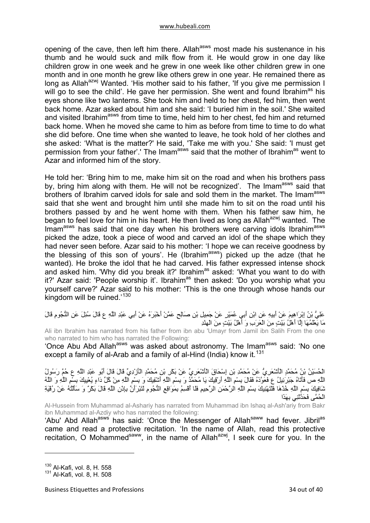opening of the cave, then left him there. Allah<sup>asws</sup> most made his sustenance in his thumb and he would suck and milk flow from it. He would grow in one day like children grow in one week and he grew in one week like other children grew in one month and in one month he grew like others grew in one year. He remained there as long as Allah<sup>azwj</sup> Wanted. 'His mother said to his father, 'If you give me permission I will go to see the child'. He gave her permission. She went and found Ibrahim<sup>as</sup> his eyes shone like two lanterns. She took him and held to her chest, fed him, then went back home. Azar asked about him and she said: 'I buried him in the soil.' She waited and visited Ibrahim<sup>asws</sup> from time to time, held him to her chest, fed him and returned back home. When he moved she came to him as before from time to time to do what she did before. One time when she wanted to leave, he took hold of her clothes and she asked: 'What is the matter?' He said, 'Take me with you.' She said: 'I must get permission from your father'.' The Imam<sup>asws</sup> said that the mother of Ibrahim<sup>as</sup> went to Azar and informed him of the story.

He told her: 'Bring him to me, make him sit on the road and when his brothers pass by, bring him along with them. He will not be recognized'. The Imam<sup>asws</sup> said that brothers of Ibrahim carved idols for sale and sold them in the market. The Imam<sup>asws</sup> said that she went and brought him until she made him to sit on the road until his brothers passed by and he went home with them. When his father saw him, he began to feel love for him in his heart. He then lived as long as Allah<sup>azwj</sup> wanted. The Imam<sup>asws</sup> has said that one day when his brothers were carving idols Ibrahim<sup>asws</sup> picked the adze, took a piece of wood and carved an idol of the shape which they had never seen before. Azar said to his mother: 'I hope we can receive goodness by the blessing of this son of yours'. He (Ibrahim<sup>asws</sup>) picked up the adze (that he wanted). He broke the idol that he had carved. His father expressed intense shock and asked him. 'Why did you break it?' Ibrahim<sup>as</sup> asked: 'What you want to do with it?' Azar said: 'People worship it'. Ibrahim<sup>as</sup> then asked: 'Do you worship what you yourself carve?' Azar said to his mother: 'This is the one through whose hands our kingdom will be ruined.<sup>'[130](#page-33-0)</sup>

عَلِيُّ بْنُ إِبْرَاهِيمَ عَنْ أَبِيهِ عَنِ ابْنِ أَبِي عُمَيْرٍ عَنْ جَمِيلِ بْنِ صَالِحٍ عَمَّنْ أَخْبَرَهُ عَنْ أَبِي عَبْدِ اللَّهِ ع قَالَ سُئِلَ عَنِ النُّجُومِ قَالَ مَا يَعْلَمُهَا إِلَّا أَهْلُ بَيْتٍ مِنَ الْعَرَبِ وَ أَهْلُ بَيْتٍ مِنَ الْهِنْدِ

Ali ibn Ibrahim has narrated from his father from ibn abu 'Umayr from Jamil ibn Salih From the one who narrated to him who has narrated the Following:

'Once Abu Abd Allah<sup>asws</sup> was asked about astronomy. The Imam<sup>asws</sup> said: 'No one except a family of al-Arab and a family of al-Hind (India) know it.  $131$ 

الْحُسَيْنُ بْنُ مُحَمَّدٍ الْأَشْعَرِيُّ عَنْ مُحَمَّدِ بْنِ إِسْحَاقَ الْأَشْعَرِيِّ عَنْ بَكْرِ بْنِ مُحَمَّدٍ الْأَزْدِيِّ قَالَ قَالَ أَبُو عَبْدِ اللَّهِ ع حُمَّ رَسُولُ اللَّهِ ص فَأَتَاهُ جَبْرَئِيلُ ع فَعَوَّذَهُ فَقَالَ بِسْمِ اللَّهِ أَرْقِيكَ يَا مُحَمَّدُ وَ بِسْمِ اللَّهِ أَشْفِيكَ وَ بِسْمِ اللَّهِ مِنْ آُلِّ دَاءٍ يُعْيِيكَ بِسْمِ اللَّهِ وَ اللَّهُ سَرَ مَنْ حَتَّ جَبِرِينِي عَ حَرَّ حَسِ حَسَّمَ حَرَّ رَحَسَـ = --<br>شَافِيكَ بِسْمِ اللَّهِ خُدْهَا فَلْتَهْنِيكَ بِسْمِ اللَّهِ الرَّحْمَنِ الرَّحِيمِ فَلَا أُقْسِمُ بِمَوَاقِعِ النُّجُومِ لَتَبْرَأَنَّ بِإِذْنِ اللَّهِ الْحُمَّى فَحَدَّثَنِي بِهَذَا

Al-Hussein from Muhammad al-Ashariy has narrated from Muhammad ibn Ishaq al-Ash'ariy from Bakr ibn Muhammad al-Azdiy who has narrated the following:

'Abu' Abd Allah<sup>asws'</sup> has said: 'Once the Messenger of Allah<sup>saww</sup> had fever. Jibril<sup>as</sup> came and read a protective recitation. 'In the name of Allah, read this protective recitation, O Mohammed<sup>saww</sup>, in the name of Allah<sup>azwj</sup>, I seek cure for you. In the

<span id="page-33-0"></span><sup>130</sup> Al-Kafi, vol. 8, H. 558

<span id="page-33-1"></span><sup>131</sup> Al-Kafi, vol. 8, H. 508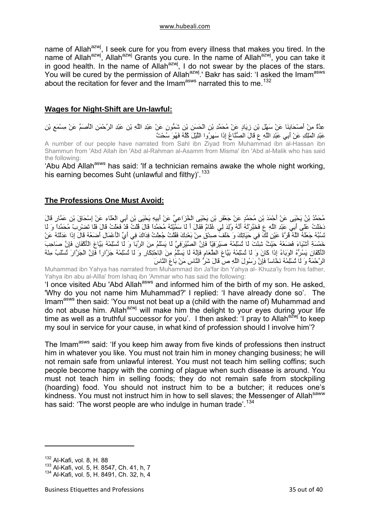<span id="page-34-0"></span>name of Allah<sup>azwj</sup>, I seek cure for you from every illness that makes you tired. In the name of Allah<sup>azwj</sup>, Allah<sup>azwj</sup> Grants you cure. In the name of Allah<sup>azwj</sup>, you can take it in good health. In the name of Allah<sup>azwj</sup>, I do not swear by the places of the stars. You will be cured by the permission of Allah<sup>azwj</sup>.' Bakr has said: 'I asked the Imam<sup>asws</sup> about the recitation for fever and the Imam<sup>asws</sup> narrated this to me.<sup>[132](#page-34-1)</sup>

## **Wages for Night-Shift are Un-lawful:**

عِدَّةٌ مِنْ أَصْحَابِنَا عَنْ سَهْلِ بْنِ زِيَادٍ عَنْ مُحَمَّدِ بْنِ الْحَسَنِ بْنِ شَمُّونٍ عَنْ عَبْدِ اللَّهِ بْنِ عَبْدِ الرَّحْمَنِ الْأَصَمِّ عَنْ مِسْمَعِ بْنِ عَبْدِ الْمَلِكِ عَنْ أَبِي عَبْدِ اللَّهِ ع قَالَ الصُّنَّاعُ إِذَا سَهِرُوا اللَّيْلَ آُلَّهُ فَهُوَ سُحْتٌ A number of our people have narrated from Sahl ibn Ziyad from Muhammad ibn al-Hassan ibn Shammun from 'Abd Allah ibn 'Abd al-Rahman al-Asamm from Misma' ibn 'Abd al-Malik who has said the following:

'Abu Abd Allah<sup>asws</sup> has said: 'If a technician remains awake the whole night working, his earning becomes Suht (unlawful and filthy)<sup>'.[133](#page-34-2)</sup>

## **The Professions One Must Avoid:**

مُحَمَّدُ بْنُ يَحْيَى عَنْ أَحْمَدَ بْنِ مُحَمَّدٍ عَنْ جَعْفَرِ بْنِ يَحْيَى الْخُزَاعِيِّ عَنْ أَبِيهِ يَحْيَى بْنِ أَبِي الْعَلَاءِ عَنْ إِسْحَاقَ بْنِ عَمَّارٍ قَالَ دَخَلْتُ عَلَى أَبِي عَبْدِ اللَّهِ ع فَخَبَّرْتُهُ أَنَّهُ وُلِدَ لِي غُلَامٌ فَقَالَ أَ لَا سَمَّيْتَهُ مُحَمَّداً قَالَ قُلْتُ قَدْ فَعَلْتُ قَالَ فَلَا تَضْرِبْ مُحَمَّداً وَ لَا تَسُبَّهُ جَعَلَهُ اللَّهُ قُرَّةَ عَيْنٍ لَكَ فِي حَيَاتِكَ وَ خَلَفَ صِدْقٍ مِنْ بَعْدِكَ فَقُلْتُ جُعِلْتُ فِدَاكَ فِي أَيِّ الْأَعْمَالِ أَضَعُهُ قَالَ إِذَا عَدَلْتَهُ عَنْ خَمْسَةِ أَشْيَاءَ فَضَعْهُ حَيْثُ ئْتَشِ لَا تُسْلِمْهُ صَيْرَفِيّاً فَإِنَّ الصَّيْرَفِيَّ لَا يَسْلَمُ مِنَ الرِّبَا وَ لَا تُسْلِمْهُ بَيَّاعَ الْأَآْفَانِ فَإِنَّ صَاحِبَ الْأَكْفَانِ يَسُرُّهُ الْوَبَاءُ إِذَا كَانَ وَ لَا تُسْلِمْهُ بَيَّاعَ الطَّعَامِ فَإِنَّهُ لَا يَسْلَمُ مِنَ الِاحْتِكَارِ وَ لَا تُسْلِمْهُ جَزَّاراً فَإِنَّ الْجَزَّارَ تُسْلَبُ مِنْهُ الرَّحْمَةُ وَ لَا تُسْلِمْهُ نَخَّاساً فَإِنَّ رَسُولَ اللَّهِ ص قَالَ شَرُّ النَّاسِ مَنْ بَاعَ النَّاسَ

Muhammad ibn Yahya has narrated from Muhammad ibn Ja'far ibn Yahya al- Khuza'iy from his father, Yahya ibn abu al-Allla' from Ishaq ibn 'Ammar who has said the following:

'I once visited Abu 'Abd Allah<sup>asws</sup> and informed him of the birth of my son. He asked, 'Why do you not name him Muhammad?' I replied: 'I have already done so'. The Imam<sup>asws</sup> then said: 'You must not beat up a (child with the name of) Muhammad and do not abuse him. Allah<sup>azwj</sup> will make him the delight to your eyes during your life time as well as a truthful successor for you'. I then asked: 'I pray to Allah<sup>azwj</sup> to keep my soul in service for your cause, in what kind of profession should I involve him'?

The Imam<sup>asws</sup> said: 'If you keep him away from five kinds of professions then instruct him in whatever you like. You must not train him in money changing business; he will not remain safe from unlawful interest. You must not teach him selling coffins; such people become happy with the coming of plague when such disease is around. You must not teach him in selling foods; they do not remain safe from stockpiling (hoarding) food. You should not instruct him to be a butcher; it reduces one's kindness. You must not instruct him in how to sell slaves; the Messenger of Allah<sup>saww</sup> has said: 'The worst people are who indulge in human trade'.<sup>[134](#page-34-3)</sup>

<span id="page-34-1"></span><sup>132</sup> Al-Kafi, vol. 8, H. 88

<span id="page-34-2"></span><sup>133</sup> Al-Kafi, vol. 5, H. 8547, Ch. 41, h, 7

<span id="page-34-3"></span><sup>134</sup> Al-Kafi, vol. 5, H. 8491, Ch. 32, h, 4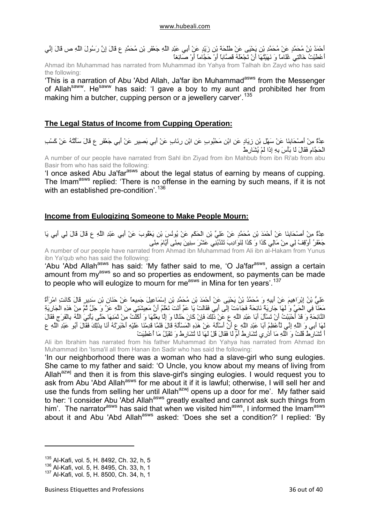<span id="page-35-0"></span>أَحْمَدُ بْنُ مُحَمَّدٍ عَنْ مُحَمَّدِ بْنِ يَحْيَى عَنْ طَلْحَة بْنِ زَيْدٍ عَنْ أَبِي عَبْدِ اللَّهِ جَعْفَرٍ بْنِ مُحَمَّدٍ ع قَالَ إِنَّ رَسُولَ اللَّهِ ص قَالَ إِنِّي أَعْطَيْتُ خَالَتِي غُلَاماً وَ نَهَيْتُهَا أَنْ تَجْعَلَهُ قَصَّاباً أَوْ حَجَّاماً أَوْ صَائِغاً

Ahmad ibn Muhammad has narrated from Muhammad ibn Yahya from Talhah ibn Zayd who has said the following:

'This is a narration of Abu 'Abd Allah, Ja'far ibn Muhammad<sup>asws</sup> from the Messenger of Allah<sup>saww</sup>. He<sup>saww</sup> has said: 'I gave a boy to my aunt and prohibited her from making him a butcher, cupping person or a jewellery carver'.<sup>[135](#page-35-1)</sup>

## **The Legal Status of Income from Cupping Operation:**

عِدَّةٌ مِنْ أَصْحَابِنَا عَنْ سَهْلِ بْنِ زِيَادٍ عَنِ ابْنِ مَحْبُوبٍ عَنِ ابْنِ رِئَابٍ عَنْ أَبِي بَصِيرٍ عَنْ أَبِي جَعْفَرٍ ع قَالَ سَأَلْتُهُ عَنْ كَسْبِ الْحَجَّامِ فَقَالَ لَا بَأْسَ بِهِ إِذَا لَمْ يُشَارِطْ

A number of our people have narrated from Sahl ibn Ziyad from ibn Mahbub from ibn Ri'ab from abu Basir from who has said the following:

'I once asked Abu Ja'far<sup>asws</sup> about the legal status of earning by means of cupping. The Imam<sup>asws</sup> replied: 'There is no offense in the earning by such means, if it is not with an established pre-condition'.<sup>[136](#page-35-2)</sup>

## **Income from Eulogizing Someone to Make People Mourn:**

عِدَّةٌ مِنْ أَصْحَابِنَا عَنْ أَحْمَدَ بْنِ مُحَمَّدٍ عَنْ عَلِيِّ بْنِ الْحَكَمِ عَنْ يُونُسَ بْنِ يَعْقُوبَ عَنْ أَبِي عَبْدِ اللَّهِ ع قَالَ قَالَ لِي أَبِي يَا جَعْفَرُ أَوْقِفْ لِي مِنْ مَالِي آَذَا وَ آَذَا لِنَوَادِبَ تَنْدُبُنِي عَشْرَ سِنِينَ بِمِنًى أَيَّامَ مِنًى

A number of our people have narrated from Ahmad ibn Muhammad from Ali ibn al-Hakam from Yunus ibn Ya'qub who has said the following:

'Abu 'Abd Allah<sup>asws</sup> has said: 'My father said to me, 'O Ja'far<sup>asws</sup>, assign a certain amount from my<sup>asws</sup> so and so properties as endowment, so payments can be made to people who will eulogize to mourn for me<sup>asws</sup> in Mina for ten years'.<sup>[137](#page-35-3)</sup>

عَلِيُّ بْنُ إِبْرَاهِيمَ عَنْ أَبِيهِ وَ مُحَمَّدُ بْنُ يَحْيَى عَنْ أَحْمَدَ بْنِ مُحَمَّدِ بْنِ إِسْمَاعِيلَ جَمِيعاً عَنْ حَذَانِ بْنِ سَدِيرٍ قَالَ كَانَتِ امْرَأَةٌ مَعَنَا فِي الْحَيِّ وَ لَهَا جَارِيَةٌ نَائِحَةٌ فَجَاءَتْ إِلَى أَبِي فَقَالَتْ يَا عَمِّ أَنْتَ تَعْلَمُ أَنَّ مَعِيشَتِي مِنَ اللَّهِ عَزَّ وَ جَلَّ ثُمَّ مِنْ هَذِهِ الْجَارِيَةِ النَّائِحَةِ وَ قَدْ أَحْبَبْتُ أَنْ تَسْأَلَ أَبَا عَبْدِ اللَّهِ عَ عَنْ ذَلِكَ فَإِنْ كَانَ حَلَالًا وَ إِلَّا بِعَثْهَا وَ أَكَلْتُ مِنْ ثَمَنِهَا حَتَّى يَأْتِيَ اللَّهُ بِالْفَرَجِ فَقَالَ ..<br>لَهَا أَبِي وَ اللَّهِ إِنِّي لَأَعْظِمُ أَبَا عَبْدِ اللَّهِ ع أَنْ أَسْأَلَهُ عَنْ هَذِهِ الْمَسْأَلَةِ قَال أَ تُشَارِطُ قُلْتُ وَ اللَّهِ مَا أَدْرِي تُشَارِطُ أَمْ لَا فَقَالَ قُلْ لَهَا لَا تُشَارِطُ وَ تَقْبَلُ مَا أُعْطِيَتْ

Ali ibn Ibrahim has narrated from his father Muhammad ibn Yahya has narrated from Ahmad ibn Muhammad ibn 'Isma'il all from Hanan ibn Sadir who has said the following:

'In our neighborhood there was a woman who had a slave-girl who sung eulogies. She came to my father and said: 'O Uncle, you know about my means of living from Allah<sup>azwj</sup> and then it is from this slave-girl's singing eulogies. I would request you to ask from Abu 'Abd Allah<sup>asws</sup> for me about it if it is lawful; otherwise, I will sell her and use the funds from selling her until Allah<sup>azwj</sup> opens up a door for me'. My father said to her: 'I consider Abu 'Abd Allah<sup>asws</sup> greatly exalted and cannot ask such things from him'. The narrator<sup>asws</sup> has said that when we visited him<sup>asws</sup>, I informed the Imam<sup>asws</sup> about it and Abu 'Abd Allah<sup>asws</sup> asked: 'Does she set a condition?' I replied: 'By

<span id="page-35-1"></span><sup>&</sup>lt;sup>135</sup> Al-Kafi, vol. 5, H. 8492, Ch. 32, h, 5

<span id="page-35-2"></span><sup>136</sup> Al-Kafi, vol. 5, H. 8495, Ch. 33, h, 1

<span id="page-35-3"></span><sup>137</sup> Al-Kafi, vol. 5, H. 8500, Ch. 34, h, 1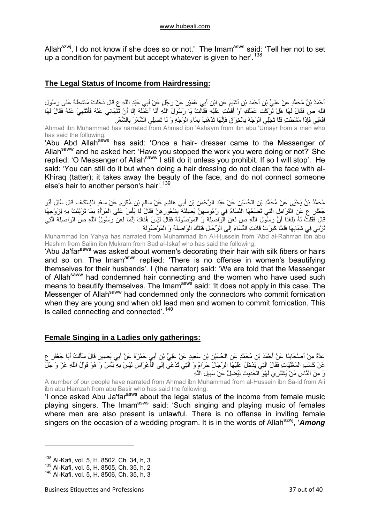<span id="page-36-0"></span>Allah<sup>azwj</sup>, I do not know if she does so or not.' The Imam<sup>asws</sup> said: 'Tell her not to set up a condition for payment but accept whatever is given to her'.<sup>[138](#page-36-1)</sup>

## **The Legal Status of Income from Hairdressing:**

أَحْمَدُ بْنُ مُحَمَّدٍ عَنْ عَلِيِّ بْنِ أَحْمَدَ بْنِ أَشْيَمَ عَنِ ابْنِ أَبِي عُمَيْرٍ عَنْ رَجُلٍ عَنْ أَبِي عَبْدِ اللَّهِ ع قَالَ دَخَلَتْ مَاشِطَةٌ عَلَى رَسُولِ اللَّهِ ص فَقَالَ لَهَا هَلْ تَرَآْتِ عَمَلَكِ أَوْ أَقَمْتِ عَلَيْهِ فَقَالَتْ يَا رَسُولَ اللَّهِ أَنَا أَعْمَلُهُ إِلَّا أَنْ تَنْهَانِي عَنْهُ فَأَنْتَهِيَ عَنْهُ فَقَالَ لَهَا افْعَلِي فَإِذَا مَشَطْتِ فَلَا تَجْلِي الْوَجْهَ بِالْخِرَقِ فَإِنَّهَا تَذْهَبُ بِمَاءِ الْوَجْهِ وَ لَا تَصِلِي الشَّعْرَ بِالشَّعْرِ Ahmad ibn Muhammad has narrated from Ahmad ibn 'Ashaym from ibn abu 'Umayr from a man who has said the following:

'Abu Abd Allahasws has said: 'Once a hair- dresser came to the Messenger of Allah<sup>saww</sup> and he asked her: 'Have you stopped the work you were doing or not?' She replied: 'O Messenger of Allah<sup>saww</sup> I still do it unless you prohibit. If so I will stop'. He said: 'You can still do it but when doing a hair dressing do not clean the face with al-Khiraq (tatter); it takes away the beauty of the face, and do not connect someone else's hair to another person's hair'.<sup>[139](#page-36-2)</sup>

مُحَمَّدُ بْنُ يَحْيَى عَنْ مُحَمَّدِ بْنِ الْحُسَيْنِ عَنْ عَبْدِ الرَّحْمَنِ بْنِ أَبِي هَاشِمٍ عَنْ سَالِمِ بْنِ مُكْرَمٍ عَنْ سَعْدٍ الْإِسْكَافِ قَالَ سُئِلَ أَبُو جَعْفَرٍ ع عَنِ الْقَرَامِلِ الَّتِي تَضَعُهَا النِّسَاءُ فِي رُءُوسِهِنَّ يَصِلْنَهُ بِشُعُورِهِنَّ فَقَالَ لَا بَأْسَ عَلَى الْمَرْأَةِ بِمَا تَزَيَّنَتْ بِهِ لِزَوْجِهَا قَالَ فَقُلْتُ لَهُ بَلَغَنَا أَنَّ رَسُولَ اللَّهِ ص لَعَنَ الْوَاصِلَةَ وَ الْمَوْصُولَةَ فَقَالَ لَيْسَ هُن<br>قَالَ فَقُلْتُ لَهُ بَلَغَنَا أَنَّ رَسُولَ اللَّهِ ص لَعَنَ الْوَاصِلَةَ وَ الْمَوْصُولَةَ فَقَالَ لَيْسَ هُن تَزْنِي فِي شَبَابِهَا فَلَمَّا آَبِرَتْ قَادَتِ النِّسَاءَ إِلَى الرِّجَالِ فَتِلْكَ الْوَاصِلَةُ وَ الْمَوْصُولَةُ

Muhammad ibn Yahya has narrated from Muhammad ibn Al-Hussein from 'Abd al-Rahman ibn abu Hashim from Salim ibn Mukram from Sad al-Iskaf who has said the following:

'Abu Ja'far<sup>asws</sup> was asked about women's decorating their hair with silk fibers or hairs and so on. The Imam<sup>asws</sup> replied: 'There is no offense in women's beautifying themselves for their husbands'. I (the narrator) said: 'We are told that the Messenger of Allah<sup>saww</sup> had condemned hair connecting and the women who have used such means to beautify themselves. The Imam<sup>asws</sup> said: 'It does not apply in this case. The Messenger of Allah<sup>saww</sup> had condemned only the connectors who commit fornication when they are young and when old lead men and women to commit fornication. This is called connecting and connected'.<sup>[140](#page-36-3)</sup>

## **Female Singing in a Ladies only gatherings:**

عِدَّةٌ مِنْ أَصْحَابِنَا عَنْ أَحْمَدَ بْنِ مُحَمَّدٍ عَنِ الْحُسَيْنِ بْنِ سَعِيدٍ عَنْ عَلِيٍّ بْنِ أَبِي حَمْزَةَ عَنْ أَبِي بَصِيرٍ قَالَ سَأَلْتُ أَبَا جَعْفَرٍ ع عَنْ كَسْبِ الْمُغَنَّيَاتِ فَقَالَ الَّتِي يَدْخُلُ عَلَيْهَا الرِّجَالُ حَرَامٌ وَ الَّتِي تُدْعَى إِلَى الْأَعْرَاسِ لَيْسَ بِهِ بَأْسٌ وَ هُوَ قَوْلُ اللَّهِ عَزَّ وَ جَلَّ وَ مِنَ النَّاسِ مَنْ يَشْتَرِي لَهْوَ الْحَدِيثِ لِيُضِلَّ عَنْ سَبِيلِ اللَّهِ

A number of our people have narrated from Ahmad ibn Muhammad from al-Hussein ibn Sa-id from Ali ibn abu Hamzah from abu Basir who has said the following:

'I once asked Abu Ja'far<sup>asws</sup> about the legal status of the income from female music playing singers. The Imamasws said: 'Such singing and playing music of females where men are also present is unlawful. There is no offense in inviting female singers on the occasion of a wedding program. It is in the words of Allah<sup>azwj</sup>, '**Among** 

<span id="page-36-1"></span><sup>&</sup>lt;sup>138</sup> Al-Kafi, vol. 5, H. 8502, Ch. 34, h, 3

<span id="page-36-2"></span><sup>139</sup> Al-Kafi, vol. 5, H. 8505, Ch. 35, h, 2

<span id="page-36-3"></span><sup>140</sup> Al-Kafi, vol. 5, H. 8506, Ch. 35, h, 3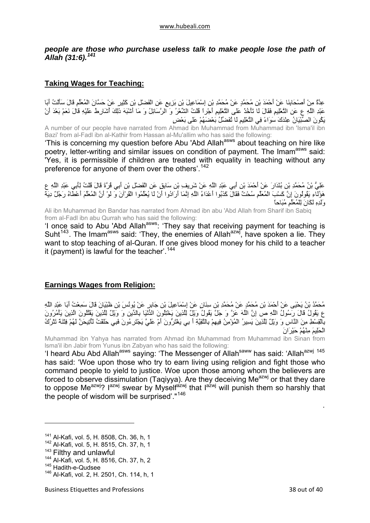## <span id="page-37-0"></span>*people are those who purchase useless talk to make people lose the path of Allah (31:6).[141](#page-37-1)*

## **Taking Wages for Teaching:**

عِدَّةٌ مِنْ أَصْحَابِنَا عَنْ أَحْمَدَ بْنِ مُحَمَّدٍ عَنْ مُحَمَّدِ بْنِ إِسْمَاعِيلَ بْنِ بَزِيعٍ عَنِ الْفَضْلِ بْنِ كَثِيرٍ عَنْ حَسَّانَ الْمُعَلِّمِ قَالَ سَأَلْتُ أَبَا عَبْدِ اللَّهِ ع عَنِ التَّعْلِيمِ فَقَالَ لَا تَأْخُذْ عَلَى التَّعْلِيمِ أَجْراً قُلْتُ الشِّعْرُ وَ الرَّسَائِلُ وَ مَا أَشْبَهَ ذَلِكَ أُشَارِطُ عَلَيْهِ قَالَ نَعَمْ بَعْدَ أَنْ يَكُونَ الصِّبْيَانُ عِنْدَكَ سَوَاءً فِي التَّعْلِيمِ لَا تُفَضِّلُ بَعْضَهُمْ عَلَى بَعْضٍ

A number of our people have narrated from Ahmad ibn Muhammad from Muhammad ibn 'Isma'il ibn Bazi' from al-Fadl ibn al-Kathir from Hassan al-Mu'allim who has said the following:

'This is concerning my question before Abu 'Abd Allahasws about teaching on hire like poetry, letter-writing and similar issues on condition of payment. The Imam<sup>asws</sup> said: 'Yes, it is permissible if children are treated with equality in teaching without any preference for anyone of them over the others'.<sup>[142](#page-37-2)</sup>

عَلِيُّ بْنُ مُحَمَّدِ بْنِ بُنْدَارَ عَنْ أَحْمَدَ بْنِ أَبِي عَبْدِ اللَّهِ عَنْ شَرِيفِ بْنِ سَابِقٍ عَنِ الْفَضْلِ بْنِ أَبِي قُرَّةَ قَالَ قُلْتُ لِأَبِي عَبْدِ اللَّهِ ع هَؤُلَاءِ يَقُولُونَ إِنَّ كَسْبَ الْمُعَلِّمِ سُحْتٌ فَقَالَ كَدْبُوا أَعْدَاءُ اللَّهِ إِنَّمَا أَرَادُوا أَنْ لَا يُعَلِّمُوا الْقُرْآنَ وَ لَوْ أَنَّ الْمُعَلِّمَ أَعْطَاهُ رَجُلٌ دِيَةَ وَلَدِهِ لَكَانَ لِلْمُعَلِّمِ مُبَاحاً

Ali ibn Muhammad ibn Bandar has narrated from Ahmad ibn abu 'Abd Allah from Sharif ibn Sabiq from al-Fadl ibn abu Qurrah who has said the following:

'I once said to Abu 'Abd Allahasws: 'They say that receiving payment for teaching is Suht<sup>[143](#page-37-3)</sup>. The Imam<sup>asws</sup> said: 'They, the enemies of Allah<sup>azwj</sup>, have spoken a lie. They want to stop teaching of al-Quran. If one gives blood money for his child to a teacher it (payment) is lawful for the teacher'.<sup>[144](#page-37-4)</sup>

## **Earnings Wages from Religion:**

مُحَمَّدُ بْنُ يَحْيَى عَنْ أَحْمَدَ بْنِ مُحَمَّدٍ عَنْ مُحَمَّدِ بْنِ سِنَانٍ عَنْ إِسْمَاعِيلَ بْنِ جَابِرٍ عَنْ يُونُسَ بْنِ ظَبْيَانَ قَالَ سَمِعْتُ أَبَا عَبْدِ اللَّهِ ع يَقُولُ قَالَ رَسُولُ اللَّهِ ص إِنَّ اللَّهَ عَزَّ وَ جَلَّ يَقُولُ وَيْلٌ لِلَّذِينَ يَخْتِلُونَ الدُّنْيَا بِالدِّينِ وَ وَيْلٌ لِلَّذِينَ يَقْتُلُونَ الَّذِينَ يَأْمُرُونَ بِالْقِسْطِ مِنَ النَّاسِ وَ وَيْلٌ لِلَّذِينَ يَسِيرُ الْمُؤْمِنُ فِيهِمْ بِالتَّقِيَّةِ أَ بِي يَغْتَرُّونَ أَمْ عَلَيَّ يَجْتَرِءُونَ فَبِي حَلَفْتُ لَأُتِيحَنَّ لَهُمْ فِتْنَةً تَتْرُكُ الْحَلِيمَ مِنْهُمْ حَيْرَانَ

Muhammad ibn Yahya has narrated from Ahmad ibn Muhammad from Muhammad ibn Sinan from lsma'il ibn Jabir from Yunus ibn Zabyan who has said the following:

'I heard Abu Abd Allah<sup>asws</sup> saying: 'The Messenger of Allah<sup>saww</sup> has said: 'Allah<sup>azwj [145](#page-37-5)</sup> has said: 'Woe upon those who try to earn living using religion and fight those who command people to yield to justice. Woe upon those among whom the believers are forced to observe dissimulation (Taqiyya). Are they deceiving Me $a^{2}$  or that they dare to oppose Me<sup>azwj</sup>?  $1^{a_2w_1}$  swear by Myself<sup>azwj</sup> that  $1^{a_2w_j}$  will punish them so harshly that the people of wisdom will be surprised'."<sup>[146](#page-37-6)</sup>

.

<span id="page-37-1"></span><sup>&</sup>lt;sup>141</sup> Al-Kafi, vol. 5, H. 8508, Ch. 36, h, 1

<span id="page-37-2"></span><sup>142</sup> Al-Kafi, vol. 5, H. 8515, Ch. 37, h, 1

<span id="page-37-3"></span><sup>&</sup>lt;sup>143</sup> Filthy and unlawful<br><sup>144</sup> Al-Kafi, vol. 5, H. 8516, Ch. 37, h, 2

<span id="page-37-5"></span><span id="page-37-4"></span><sup>145</sup> Hadith-e-Qudsee

<span id="page-37-6"></span><sup>146</sup> Al-Kafi, vol. 2, H. 2501, Ch. 114, h, 1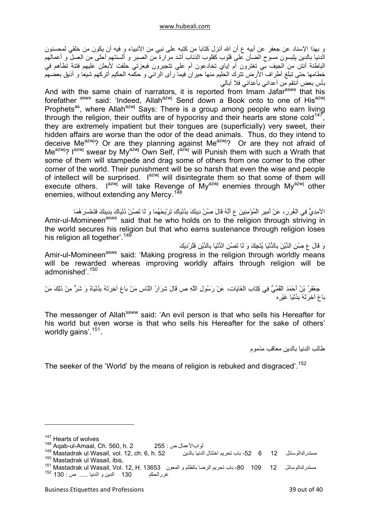و بهذا الإسناد عن جعفر عن أبيه ع أن الله أنزل كتابا من كتبه على نبي من الأنبياء و فيه أن يكون من خلقي لمحسنون الدنيا بالدين يلبسون مسوح الضأن على قلوب آقلوب الذئاب أشد مرارة من الصبر و ألسنتهم أحلى من العسل و أعمالهم الباطنة أنتن من الجيف بي تغترون أم إياي تخادعون أم علي تتجبرون فبعزتي حلفت لأبعثن عليهم فتنة تطأهم في خطامها حتى تبلغ أطراف الأرض تترك الحليم منها حيران فيما رأى الرائي و حكمه الحكيم أتركهم شيعا و أذيق بعضهم بأس بعض أنتقم من أعدائي بأعدائي فلا أبالي

And with the same chain of narrators, it is reported from Imam Jafarasws that his forefather asws said: 'Indeed, Allah<sup>azwj</sup> Send down a Book onto to one of His<sup>azwj</sup> Prophets<sup>as</sup>, where Allah<sup>azwj</sup> Says: There is a group among people who earn living through the religion, their outfits are of hypocrisy and their hearts are stone cold<sup>[147](#page-38-0)</sup>, they are extremely impatient but their tongues are (superficially) very sweet, their hidden affairs are worse than the odor of the dead animals. Thus, do they intend to deceive Me<sup>azwj</sup>? Or are they planning against Me<sup>azwj</sup>? Or are they not afraid of Me<sup>azwj</sup>? I<sup>azwj</sup> swear by My<sup>azwj</sup> Own Self, I<sup>azwj</sup> will Punish them with such a Wrath that some of them will stampede and drag some of others from one corner to the other corner of the world. Their punishment will be so harsh that even the wise and people of intellect will be surprised. Iazwj will disintegrate them so that some of them will execute others.  $I^{azwj}$  will take Revenge of  $My^{azwj}$  enemies through My<sup>azwj</sup> other enemies, without extending any Mercy.<sup>[148](#page-38-1)</sup>

الآمِدِيُّ فِي الْغُرَر،ِ عَنْ أَمِيرِ الْمُؤْمِنِينَ ع أَنَّهُ قَالَ صُنْ دِينَكَ بِدُنْيَاكَ تَرْبَحْهُمَا وَ لَا تَصُنْ دُنْيَاكَ بِدِينِكَ فَتَخْسَرَهُمَا Amir-ul-Momineen<sup>asws</sup> said that he who holds on to the religion through striving in the world secures his religion but that who earns sustenance through religion loses his religion all together'.<sup>[149](#page-38-2)</sup>

وَ قَالَ ع صُنِ الدِّيْنَ بِالدُّنْيَا يُنْجِكَ وَ لَا تَصُنِ الدُّنْيَا بِالدِّيْنِ فَتُرْدِيَكَ

Amir-ul-Momineen<sup>asws</sup> said: 'Making progress in the religion through worldly means will be rewarded whereas improving worldly affairs through religion will be admonished'.[150](#page-38-3)

جَعْفَرُ بْنُ أَحْمَدَ الْقُمِّيُّ فِي كِتَابِ الْغَايَاتِ، عَنْ رَسُولِ اللَّهِ ص قَالَ شِرَارُ النَّاسِ مَنْ بَاعَ آخِرِتَهُ بِدُنْيَاهُ وَ شَرٌّ مِنْ ذَلِكَ مَنْ بَاعَ آخِرَتَهُ بِدُنْيَا غَيْرِه

The messenger of Allah<sup>saww</sup> said: 'An evil person is that who sells his Hereafter for his world but even worse is that who sells his Hereafter for the sake of others' worldly gains'.<sup>[151](#page-38-4)</sup>.

طالب الدنيا بالدين معاقب مذموم

The seeker of the 'World' by the means of religion is rebuked and disgraced'.<sup>[152](#page-38-5)</sup>

<span id="page-38-0"></span><sup>&</sup>lt;sup>147</sup> Hearts of wolves

<span id="page-38-1"></span><sup>148</sup> Aqab-ul-Amaal, Ch. 560, h. 2 255 : ص ثوابالأعمال

<span id="page-38-2"></span><sup>&</sup>lt;sup>149</sup> Mastadrak ul Wasail, vol. 12, ch. 6, h. 52 باب نحريم اختتال الدنيا بالدين الدنيا بالدين الدنيا الذنيا تحريم<br><sup>150</sup> Mastadrak ul Wasail, ibis,

<span id="page-38-5"></span><span id="page-38-4"></span><span id="page-38-3"></span>مستدر كالوسائل 12 109 - 100 - باب تحريم الرضا بالظلم و المعون 13653 .H. 13653 .H 13653 .Nastadrak ul Wasail, Vol غررالحكم 130 الدين و الدنيا ..... ص : 130 <sup>152</sup>